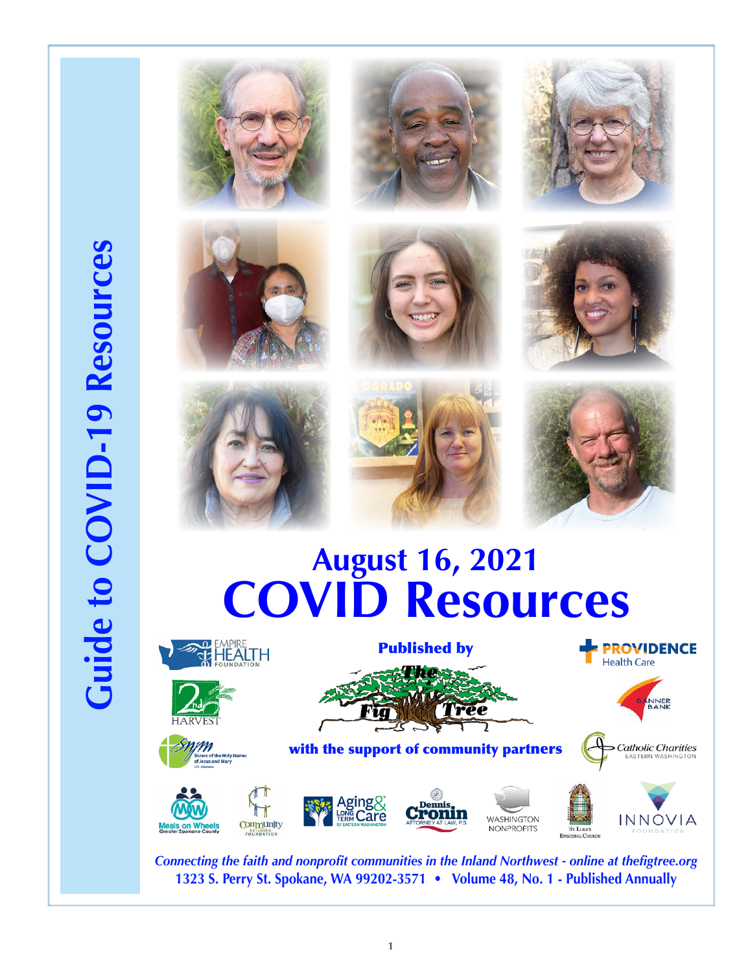# **Guide to COVID-19 Resources Guide to COVID-19 Resources**











![](_page_0_Picture_6.jpeg)

![](_page_0_Picture_7.jpeg)

![](_page_0_Picture_8.jpeg)

# **August 16, 2021 COVID Resources**

![](_page_0_Picture_10.jpeg)

*Connecting the faith and nonprofit communities in the Inland Northwest - online at thefigtree.org* **1323 S. Perry St. Spokane, WA 99202-3571 • Volume 48, No. 1 - Published Annually**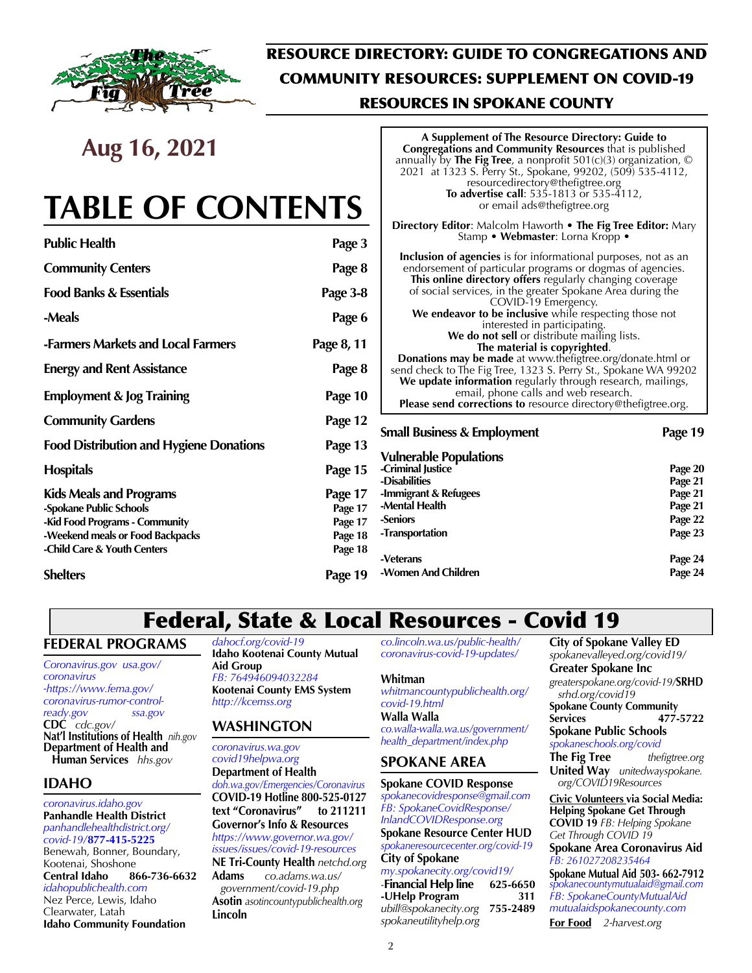![](_page_1_Picture_0.jpeg)

## RESOURCE DIRECTORY: GUIDE TO CONGREGATIONS AND COMMUNITY RESOURCES: SUPPLEMENT ON COVID-19 RESOURCES IN SPOKANE COUNTY

# **Aug 16, 2021**

# **TABLE OF CONTENTS**

| <b>Public Health</b>                           | Page 3     |
|------------------------------------------------|------------|
| <b>Community Centers</b>                       | Page 8     |
| <b>Food Banks &amp; Essentials</b>             | Page 3-8   |
| -Meals                                         | Page 6     |
| -Farmers Markets and Local Farmers             | Page 8, 11 |
| <b>Energy and Rent Assistance</b>              | Page 8     |
| <b>Employment &amp; Jog Training</b>           | Page 10    |
| <b>Community Gardens</b>                       | Page 12    |
| <b>Food Distribution and Hygiene Donations</b> | Page 13    |
| <b>Hospitals</b>                               | Page 15    |
| <b>Kids Meals and Programs</b>                 | Page 17    |
| -Spokane Public Schools                        | Page 17    |
| -Kid Food Programs - Community                 | Page 17    |
| -Weekend meals or Food Backpacks               | Page 18    |
| -Child Care & Youth Centers                    | Page 18    |

**Shelters** Page 19

#### **A Supplement of The Resource Directory: Guide to Congregations and Community Resources** that is published annually by **The Fig Tree**, a nonprofit 501(c)(3) organization, © 2021 at 1323 S. Perry St., Spokane, 99202, (509) 535-4112, resourcedirectory@thefigtree.org **To advertise call**: 535-1813 or 535-4112, or email ads@thefigtree.org **Directory Editor**: Malcolm Haworth • **The Fig Tree Editor:** Mary Stamp • **Webmaster**: Lorna Kropp • **Inclusion of agencies** is for informational purposes, not as an

endorsement of particular programs or dogmas of agencies. **This online directory offers** regularly changing coverage of social services, in the greater Spokane Area during the COVID-19 Emergency. We endeavor to be inclusive while respecting those not interested in participating. **We do not sell** or distribute mailing lists. **The material is copyrighted**. **Donations may be made** at www.thefigtree.org/donate.html or send check to The Fig Tree, 1323 S. Perry St., Spokane WA 99202 **We update information** regularly through research, mailings, email, phone calls and web research. **Please send corrections to** resource directory@thefigtree.org.

#### **Small Business & Employment Page 19 Vulnerable Populations -Criminal Justice Page 20 -Disabilities Page 21 -Immigrant & Refugees Page 21 -Mental Health -Seniors Page 22 -Transportation** Page 23 **-Veterans Page 24 -Women And Children Page 24**

## Federal, State & Local Resources - Covid 19

#### **FEDERAL PROGRAMS**

*Coronavirus.gov usa.gov/ coronavirus -https://www.fema.gov/ coronavirus-rumor-controlready.gov ssa.gov* **CDC** *cdc.gov/* **Nat'l Institutions of Health** *nih.gov* **Department of Health and Human Services** *hhs.gov*

## **IDAHO**

*coronavirus.idaho.gov* **Panhandle Health District** *panhandlehealthdistrict.org/ covid-19/***877-415-5225**

Benewah, Bonner, Boundary, Kootenai, Shoshone **Central Idaho 866-736-6632** *idahopublichealth.com* Nez Perce, Lewis, Idaho Clearwater, Latah **Idaho Community Foundation**

*dahocf.org/covid-19* **Idaho Kootenai County Mutual Aid Group**  *FB: 764946094032284* **Kootenai County EMS System** *http://kcemss.org*

#### **WASHINGTON**

*coronavirus.wa.gov covid19helpwa.org* **Department of Health** *doh.wa.gov/Emergencies/Coronavirus*  **COVID-19 Hotline 800-525-0127 text "Coronavirus" to 211211 Governor's Info & Resources** *https://www.governor.wa.gov/ issues/issues/covid-19-resources* **NE Tri-County Health** *netchd.org* **Adams** *co.adams.wa.us/ government/covid-19.php* **Asotin** *asotincountypublichealth.org*

**Lincoln**

*co.lincoln.wa.us/public-health/ coronavirus-covid-19-updates/*

#### **Whitman**

*whitmancountypublichealth.org/ covid-19.html* **Walla Walla**  *co.walla-walla.wa.us/government/ health\_department/index.php*

## **SPOKANE AREA**

#### **Spokane COVID Response**

*spokanecovidresponse@gmail.com FB: SpokaneCovidResponse/ InlandCOVIDResponse.org* **Spokane Resource Center HUD** *spokaneresourcecenter.org/covid-19*  **City of Spokane**  *my.spokanecity.org/covid19/*

-**Financial Help line 625-6650 -UHelp Program 311** *ubill@spokanecity.org* **755-2489**  *spokaneutilityhelp.org*

**City of Spokane Valley ED** *spokanevalleyed.org/covid19/* **Greater Spokane Inc** *greaterspokane.org/covid-19/***SRHD** *srhd.org/covid19* **Spokane County Community Services 477-5722 Spokane Public Schools** *spokaneschools.org/covid* **The Fig Tree** *thefigtree.org* **United Way** *unitedwayspokane. org/COVID19Resources* **Civic Volunteers via Social Media: Helping Spokane Get Through COVID 19** *FB: Helping Spokane Get Through COVID 19*  **Spokane Area Coronavirus Aid** *FB: 261027208235464*

**Spokane Mutual Aid 503- 662-7912** *spokanecountymutualaid@gmail.com FB: SpokaneCountyMutualAid mutualaidspokanecounty.com*

**For Food** *2-harvest.org*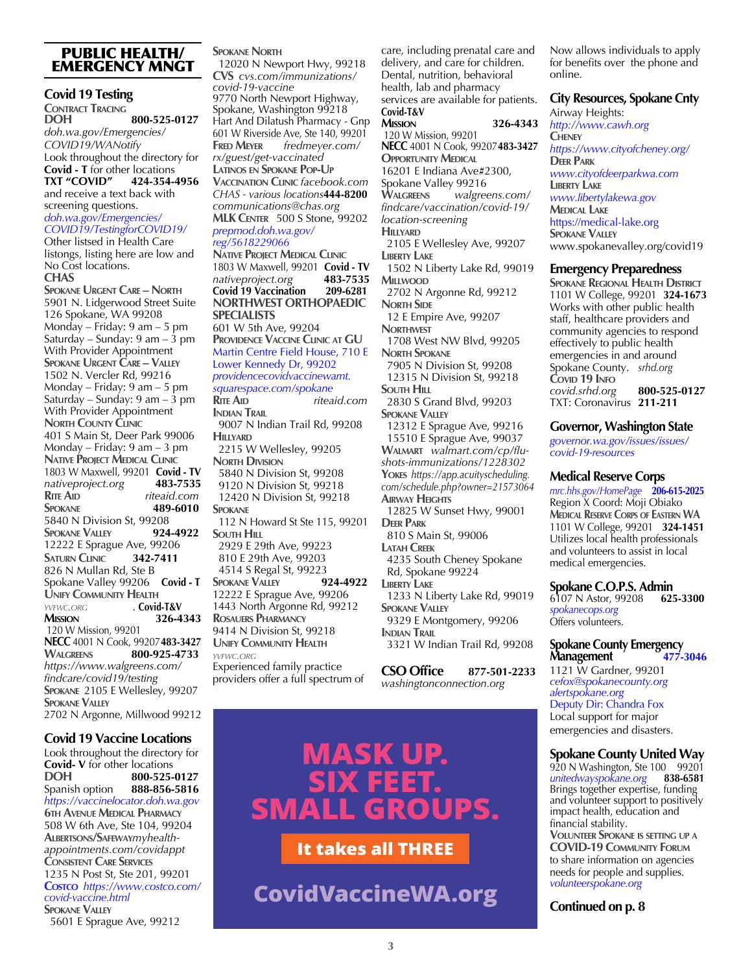#### PUBLIC HEALTH/ EMERGENCY MNGT

#### **Covid 19 Testing**

**CONTRACT TRACING DOH 800-525-0127** *doh.wa.gov/Emergencies/ COVID19/WANotify* Look throughout the directory for **Covid - T** for other locations<br>TXT "COVID" 424-354-4 **TXT "COVID" 424-354-4956**  and receive a text back with screening questions.

#### *doh.wa.gov/Emergencies/ COVID19/TestingforCOVID19/*

Other listsed in Health Care listongs, listing here are low and No Cost locations. **CHAS**

**Spokane Urgent Care – North** 5901 N. Lidgerwood Street Suite 126 Spokane, WA 99208 Monday – Friday: 9 am – 5 pm Saturday – Sunday:  $9 \text{ am} - 3 \text{ pm}$ With Provider Appointment **Spokane Urgent Care – Valley** 1502 N. Vercler Rd, 99216 Monday – Friday: 9 am – 5 pm Saturday – Sunday: 9 am – 3 pm With Provider Appointment **NORTH COUNTY CLINIC** 401 S Main St, Deer Park 99006 Monday – Friday: 9 am – 3 pm **Native Project Medical Clinic** 1803 W Maxwell, 99201 **Covid - TV** *nativeproject.org* **483-7535 Rite Aid** *riteaid.com* **Spokane 489-6010 5840 N Division St, 99208**<br>**SPOKANE VALLEY** 924-4922 **SPOKANE VALLEY** 12222 E Sprague Ave, 99206 **Saturn Clinic 342-7411** 826 N Mullan Rd, Ste B Spokane Valley 99206 **Covid - T UNIFY COMMUNITY HEALTH** *YVEWC.ORG* **Covid** *yvfwc.org* . **Covid-T&V Mission 326-4343** 120 W Mission, 99201 **NECC** 4001 N Cook, 99207**483-3427 Walgreens 800-925-4733** *https://www.walgreens.com/ findcare/covid19/testing* **Spokane** 2105 E Wellesley, 99207 **Spokane Valley** 2702 N Argonne, Millwood 99212

#### **Covid 19 Vaccine Locations**

Look throughout the directory for **Covid- V** for other locations<br>**DOH** 800-525-**DOH 800-525-0127 Spanish option** *https://vaccinelocator.doh.wa.gov* **6th Avenue Medical Pharmacy** 508 W 6th Ave, Ste 104, 99204 **Albertsons/Safeway***myhealthappointments.com/covidappt* **Consistent Care Services** 1235 N Post St, Ste 201, 99201 **Costco** *https://www.costco.com/ covid-vaccine.html* **Spokane Valley**

5601 E Sprague Ave, 99212

#### **Spokane North**

 12020 N Newport Hwy, 99218 **CVS** *cvs.com/immunizations/ covid-19-vaccine* 9770 North Newport Highway, Spokane, Washington 99218 Hart And Dilatush Pharmacy - Gnp 601 W Riverside Ave, Ste 140, 99201 **Fred Meyer** *fredmeyer.com/ rx/guest/get-vaccinated* **Latinos en Spokane Pop-Up Vaccination Clinic** *facebook.com CHAS - various locations***444-8200** *communications@chas.org* **MLK Center** 500 S Stone, 99202 *prepmod.doh.wa.gov/*

#### *reg/5618229066*

**Native Project Medical Clinic** 1803 W Maxwell, 99201 **Covid - TV** *nativeproject.org* **483-7535 Covid 19 Vaccination 209-6281 NORTHWEST ORTHOPAEDIC SPECIALISTS** 601 W 5th Ave, 99204 **Providence Vaccine Clinic at GU** Martin Centre Field House, 710 E Lower Kennedy Dr, 99202 *providencecovidvaccinewamt. squarespace.com/spokane* **Rite Aid** *riteaid.com* **Indian Trail** 9007 N Indian Trail Rd, 99208 **HILLYARD**  2215 W Wellesley, 99205 **North Division** 5840 N Division St, 99208 9120 N Division St, 99218 12420 N Division St, 99218 **Spokane** 112 N Howard St Ste 115, 99201 **SOUTH HILL**  2929 E 29th Ave, 99223 810 E 29th Ave, 99203

 4514 S Regal St, 99223 **Spokane Valley 924-4922** 12222 E Sprague Ave, 99206 1443 North Argonne Rd, 99212 **Rosauers Pharmancy** 9414 N Division St, 99218 **UNIFY COMMUNITY HEALTH** *yvfwc.org* Experienced family practice providers offer a full spectrum of

care, including prenatal care and delivery, and care for children. Dental, nutrition, behavioral health, lab and pharmacy services are available for patients. **Covid-T&V Mission 326-4343** 120 W Mission, 99201 **NECC** 4001 N Cook, 99207**483-3427 OPPORTUNITY MEDICAL** 16201 E Indiana Ave#2300, Spokane Valley 99216<br>WALGREENS walgree **Walgreens** *walgreens.com/ findcare/vaccination/covid-19/ location-screening* **HILLYARD**  2105 E Wellesley Ave, 99207 **Liberty Lake** 1502 N Liberty Lake Rd, 99019 **Millwood** 2702 N Argonne Rd, 99212 **NORTH SIDE**  12 E Empire Ave, 99207 **Northwest** 1708 West NW Blvd, 99205 **North Spokane** 7905 N Division St, 99208

 12315 N Division St, 99218 **SOUTH HILL** 

 2830 S Grand Blvd, 99203 **SPOKANE VALLEY**  12312 E Sprague Ave, 99216 15510 E Sprague Ave, 99037 **Walmart** *walmart.com/cp/flu-*

*shots-immunizations/1228302* **Yokes** *https://app.acuityscheduling. com/schedule.php?owner=21573064* **Airway Heights**

 12825 W Sunset Hwy, 99001 **Deer Park**

 810 S Main St, 99006 **Latah Creek** 4235 South Cheney Spokane Rd, Spokane 99224 **Liberty Lake** 1233 N Liberty Lake Rd, 99019 **SPOKANE VALLEY**  9329 E Montgomery, 99206 **Indian Trail** 3321 W Indian Trail Rd, 99208

**CSO Office 877-501-2233** *washingtonconnection.org* 

# **MASK UP. SIX FEET. SMALL GROUPS.**

#### **It takes all THREE**

**CovidVaccineWA.org** Continued on p. 8

Now allows individuals to apply for benefits over the phone and online.

#### **City Resources, Spokane Cnty**

Airway Heights: *http://www.cawh.org* **Cheney** *https://www.cityofcheney.org/* **Deer Park** *www.cityofdeerparkwa.com* **Liberty Lake** *www.libertylakewa.gov* **Medical Lake** https://medical-lake.org **SPOKANE VALLEY** www.spokanevalley.org/covid19

#### **Emergency Preparedness**

**Spokane Regional Health District** 1101 W College, 99201 **324-1673** Works with other public health staff, healthcare providers and community agencies to respond effectively to public health emergencies in and around Spokane County. *srhd.org* **Covid 19 Info** *covid.srhd.org* **800-525-0127**  TXT: Coronavirus **211-211**

#### **Governor, Washington State**

*governor.wa.gov/issues/issues/ covid-19-resources*

#### **Medical Reserve Corps**

*mrc.hhs.gov/HomePage* **206-615-2025** Region X Coord: Moji Obiako **Medical Reserve Corps of Eastern WA** 1101 W College, 99201 **324-1451** Utilizes local health professionals and volunteers to assist in local medical emergencies.

**Spokane C.O.P.S. Admin**<br>6107 N Astor, 99208 **625-3300** 6107 N Astor, 99208 **625-3300** *spokanecops.org* Offers volunteers.

#### **Spokane County Emergency Management 477-3046**

1121 W Gardner, 99201 *cefox@spokanecounty.org alertspokane.org*  Deputy Dir: Chandra Fox Local support for major emergencies and disasters.

#### **Spokane County United Way**

920 N Washington, Ste 100 99201<br>unitedwayspokane.org 838-6581 *unitedwayspokane.org* **838-6581** Brings together expertise, funding and volunteer support to positively impact health, education and financial stability.

**Volunteer Spokane is setting up <sup>a</sup> COVID-19 Community Forum** to share information on agencies needs for people and supplies. *volunteerspokane.org*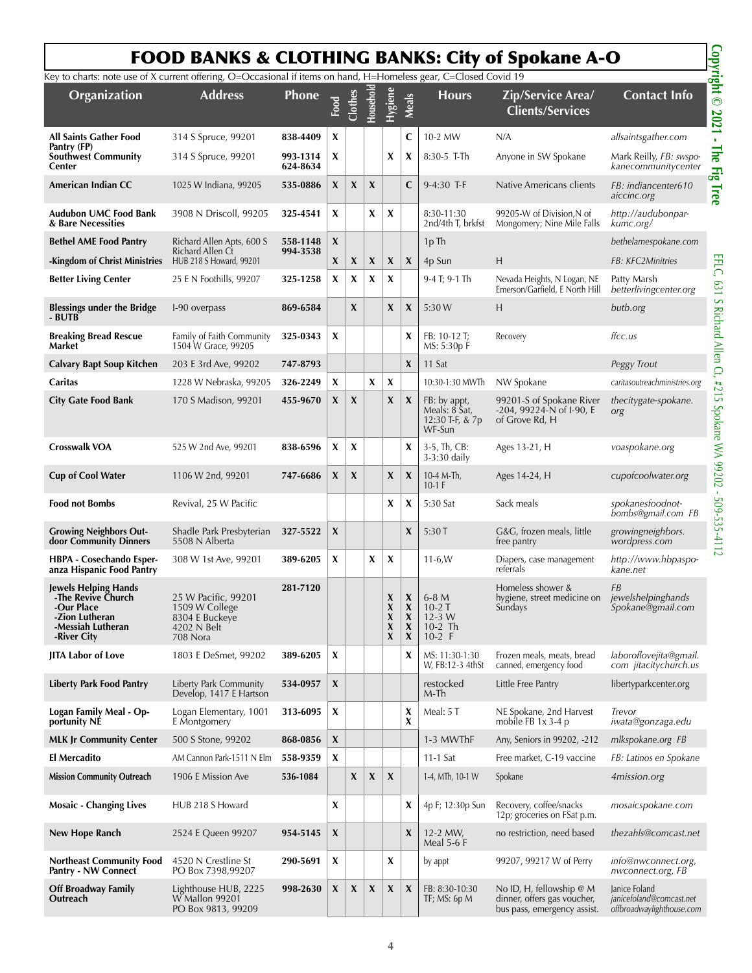## FOOD BANKS & CLOTHING BANKS: City of Spokane A-O

|                                                                                                                       |                                                                                    |                      |      |         |          |                                             |                                 |                                                            | <b>FOOD BANKS &amp; CLOTHING BANKS: City of Spokane A-O</b>                             |                                                                        |
|-----------------------------------------------------------------------------------------------------------------------|------------------------------------------------------------------------------------|----------------------|------|---------|----------|---------------------------------------------|---------------------------------|------------------------------------------------------------|-----------------------------------------------------------------------------------------|------------------------------------------------------------------------|
| Key to charts: note use of X current offering, O=Occasional if items on hand, H=Homeless gear, C=Closed Covid 19      |                                                                                    |                      |      |         |          |                                             |                                 |                                                            |                                                                                         |                                                                        |
| Organization                                                                                                          | <b>Address</b>                                                                     | Phone                | Food | Clothes | Househol | <b>Hygiene</b>                              | <b>Meals</b>                    | <b>Hours</b>                                               | Zip/Service Area/<br><b>Clients/Services</b>                                            | <b>Contact Info</b>                                                    |
| <b>All Saints Gather Food</b>                                                                                         | 314 S Spruce, 99201                                                                | 838-4409             | X    |         |          |                                             | C                               | 10-2 MW                                                    | N/A                                                                                     | allsaintsgather.com                                                    |
| Pantry (FP)<br><b>Southwest Community</b><br>Center                                                                   | 314 S Spruce, 99201                                                                | 993-1314<br>624-8634 | X    |         |          | X                                           | X                               | $8:30-5$ T-Th                                              | Anyone in SW Spokane                                                                    | Mark Reilly, FB: swspo-<br>kanecommunitycenter                         |
| American Indian CC                                                                                                    | 1025 W Indiana, 99205                                                              | 535-0886             | X    | X       | X        |                                             | C                               | 9-4:30 T-F                                                 | Native Americans clients                                                                | FB: indiancenter610<br>aiccinc.org                                     |
| Audubon UMC Food Bank<br>& Bare Necessities                                                                           | 3908 N Driscoll, 99205                                                             | 325-4541             | X    |         | X        | X                                           |                                 | 8:30-11:30<br>2nd/4th T, brkfst                            | 99205-W of Division, N of<br>Mongomery; Nine Mile Falls                                 | http://audubonpar-<br>kumc.org/                                        |
| <b>Bethel AME Food Pantry</b>                                                                                         | Richard Allen Apts, 600 S                                                          | 558-1148             | X    |         |          |                                             |                                 | 1pTh                                                       |                                                                                         | bethelamespokane.com                                                   |
| -Kingdom of Christ Ministries                                                                                         | Richard Allen Ct<br>HUB 218 S Howard, 99201                                        | 994-3538             | X    | X       | X        | X                                           | X                               | 4p Sun                                                     | H                                                                                       | FB: KFC2Minitries                                                      |
| <b>Better Living Center</b>                                                                                           | 25 E N Foothills, 99207                                                            | 325-1258             | X    | X       | X        | X                                           |                                 | 9-4 T; 9-1 Th                                              | Nevada Heights, N Logan, NE<br>Emerson/Garfield, E North Hill                           | Patty Marsh<br>betterlivingcenter.org                                  |
| <b>Blessings under the Bridge</b><br>- BUTB                                                                           | I-90 overpass                                                                      | 869-6584             |      | X       |          | X                                           | X                               | 5:30 W                                                     | Н                                                                                       | butb.org                                                               |
| <b>Breaking Bread Rescue</b><br>Market                                                                                | Family of Faith Community<br>1504 W Grace, 99205                                   | 325-0343             | X    |         |          |                                             | X                               | FB: 10-12 T;<br>MS: 5:30p F                                | Recovery                                                                                | ffcc.us                                                                |
| <b>Calvary Bapt Soup Kitchen</b>                                                                                      | 203 E 3rd Ave, 99202                                                               | 747-8793             |      |         |          |                                             | $\mathbf{x}$                    | 11 Sat                                                     |                                                                                         | Peggy Trout                                                            |
| Caritas                                                                                                               | 1228 W Nebraska, 99205                                                             | 326-2249             | X    |         | X        | X                                           |                                 | 10:30-1:30 MWTh                                            | NW Spokane                                                                              | caritasoutreachministries.org                                          |
| <b>City Gate Food Bank</b>                                                                                            | 170 S Madison, 99201                                                               | 455-9670             | X    | X       |          | X                                           | $\boldsymbol{\mathsf{X}}$       | FB: by appt,<br>Meals: 8 Sat,<br>12:30 T-F, & 7p<br>WF-Sun | 99201-S of Spokane River<br>$-204$ , 99224-N of I-90, E<br>of Grove Rd, H               | thecitygate-spokane.<br>org                                            |
| <b>Crosswalk VOA</b>                                                                                                  | 525 W 2nd Ave, 99201                                                               | 838-6596             | X    | X       |          |                                             | X                               | 3-5, Th, CB:<br>3-3:30 daily                               | Ages 13-21, H                                                                           | voaspokane.org                                                         |
| <b>Cup of Cool Water</b>                                                                                              | 1106 W 2nd, 99201                                                                  | 747-6686             | X    | X       |          | $\boldsymbol{x}$                            | $\boldsymbol{\mathsf{X}}$       | 10-4 M-Th,<br>$10-1$ F                                     | Ages 14-24, H                                                                           | cupofcoolwater.org                                                     |
| <b>Food not Bombs</b>                                                                                                 | Revival, 25 W Pacific                                                              |                      |      |         |          | X                                           | X                               | 5:30 Sat                                                   | Sack meals                                                                              | spokanesfoodnot-<br>bombs@gmail.com FB                                 |
| <b>Growing Neighbors Out-</b><br>door Community Dinners                                                               | Shadle Park Presbyterian<br>5508 N Alberta                                         | 327-5522             | X    |         |          |                                             | X                               | 5:30T                                                      | G&G, frozen meals, little<br>free pantry                                                | growingneighbors.<br>wordpress.com                                     |
| HBPA - Cosechando Esper-<br>anza Hispanic Food Pantry                                                                 | 308 W 1st Ave, 99201                                                               | 389-6205             | X    |         | X        | X                                           |                                 | $11-6, W$                                                  | Diapers, case management<br>referrals                                                   | http://www.hbpaspo-<br>kane.net                                        |
| <b>Jewels Helping Hands</b><br>-The Revive Church<br>-Our Place<br>-Zion Lutheran<br>-Messiah Lutheran<br>-River City | 25 W Pacific, 99201<br>1509 W College<br>8304 E Buckeye<br>4202 N Belt<br>708 Nora | 281-7120             |      |         |          | X<br>X<br>$\pmb{\chi}$<br>$\pmb{\chi}$<br>X | X<br>X<br>X<br>X<br>$\mathbf x$ | $6-8M$<br>$10 - 2T$<br>$12 - 3$ W<br>$10-2$ Th<br>$10-2$ F | Homeless shower &<br>hygiene, street medicine on<br>Sundays                             | <b>FB</b><br>jewelshelpinghands<br>Spokane@gmail.com                   |
| <b>JITA Labor of Love</b>                                                                                             | 1803 E DeSmet, 99202                                                               | 389-6205             | X    |         |          |                                             | X                               | MS: 11:30-1:30<br>W, FB:12-3 4thSt                         | Frozen meals, meats, bread<br>canned, emergency food                                    | laboroflovejita@gmail.<br>com jitacitychurch.us                        |
| <b>Liberty Park Food Pantry</b>                                                                                       | Liberty Park Community<br>Develop, 1417 E Hartson                                  | 534-0957             | X    |         |          |                                             |                                 | restocked<br>M-Th                                          | Little Free Pantry                                                                      | libertyparkcenter.org                                                  |
| Logan Family Meal - Op-<br>portunity NE                                                                               | Logan Elementary, 1001<br>E Montgomery                                             | 313-6095             | X    |         |          |                                             | X<br>X                          | Meal: 5 T                                                  | NE Spokane, 2nd Harvest<br>mobile FB $1x$ 3-4 p                                         | Trevor<br>iwata@gonzaga.edu                                            |
| <b>MLK Jr Community Center</b>                                                                                        | 500 S Stone, 99202                                                                 | 868-0856             | X    |         |          |                                             |                                 | 1-3 MWThF                                                  | Any, Seniors in 99202, -212                                                             | mlkspokane.org FB                                                      |
| <b>El Mercadito</b>                                                                                                   | AM Cannon Park-1511 N Elm                                                          | 558-9359             | X    |         |          |                                             |                                 | $11-1$ Sat                                                 | Free market, C-19 vaccine                                                               | FB: Latinos en Spokane                                                 |
| <b>Mission Community Outreach</b>                                                                                     | 1906 E Mission Ave                                                                 | 536-1084             |      | X       | X        | $\boldsymbol{x}$                            |                                 | 1-4, MTh, 10-1 W                                           | Spokane                                                                                 | 4mission.org                                                           |
| <b>Mosaic - Changing Lives</b>                                                                                        | HUB 218 S Howard                                                                   |                      | X    |         |          |                                             | X                               | 4p F; 12:30p Sun                                           | Recovery, coffee/snacks<br>12p; groceries on FSat p.m.                                  | mosaicspokane.com                                                      |
| New Hope Ranch                                                                                                        | 2524 E Queen 99207                                                                 | 954-5145             | X    |         |          |                                             | X                               | $12 - 2$ MW,<br>Meal $5-6$ F                               | no restriction, need based                                                              | thezahls@comcast.net                                                   |
| <b>Northeast Community Food</b><br>Pantry - NW Connect                                                                | 4520 N Crestline St<br>PO Box 7398,99207                                           | 290-5691             | X    |         |          | X                                           |                                 | by appt                                                    | 99207, 99217 W of Perry                                                                 | info@nwconnect.org,<br>nwconnect.org, FB                               |
| Off Broadway Family<br>Outreach                                                                                       | Lighthouse HUB, 2225<br>W Mallon 99201<br>PO Box 9813, 99209                       | 998-2630             | X    | X       | X        | $\boldsymbol{x}$                            | X                               | FB: 8:30-10:30<br>TF; MS: 6p M                             | No ID, H, fellowship $@M$<br>dinner, offers gas voucher,<br>bus pass, emergency assist. | Janice Foland<br>janicefoland@comcast.net<br>offbroadwaylighthouse.com |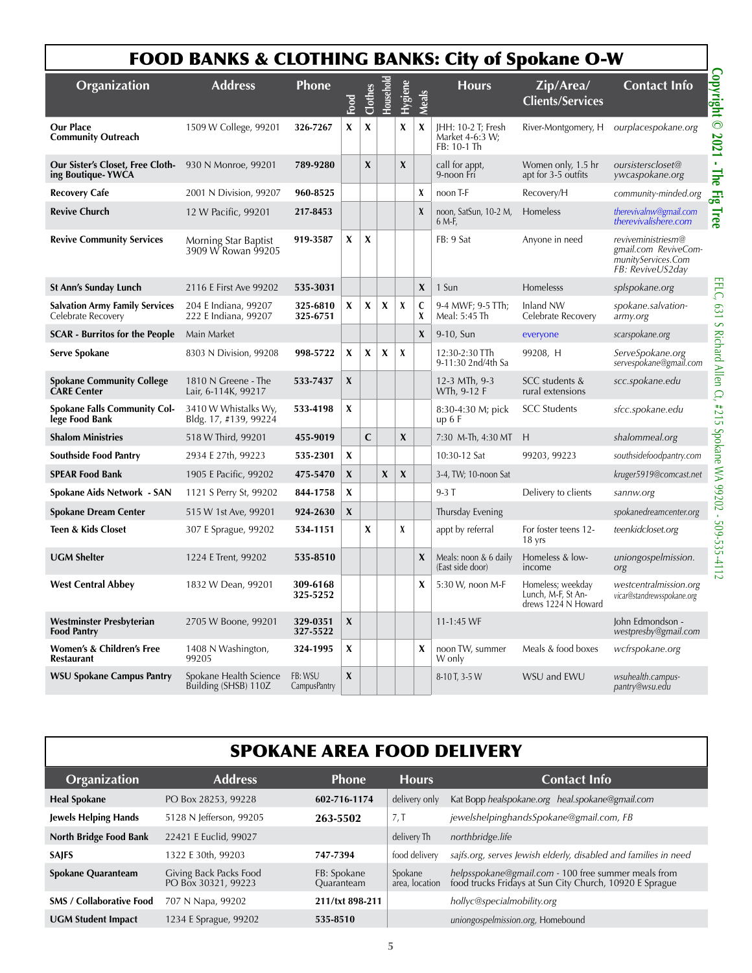|                                                             | <b>FOOD BANKS &amp; CLOTHING BANKS: City of Spokane O-W</b> |                         |                           |                |           |                  |              |                                                      |                                                                |                                                                                      |
|-------------------------------------------------------------|-------------------------------------------------------------|-------------------------|---------------------------|----------------|-----------|------------------|--------------|------------------------------------------------------|----------------------------------------------------------------|--------------------------------------------------------------------------------------|
| Organization                                                | <b>Address</b>                                              | <b>Phone</b>            | Food                      | <b>Clothes</b> | Household | Hygiene          | Meals        | <b>Hours</b>                                         | Zip/Area/<br><b>Clients/Services</b>                           | <b>Contact Info</b>                                                                  |
| <b>Our Place</b><br><b>Community Outreach</b>               | 1509 W College, 99201                                       | 326-7267                | X                         | X              |           | X                | X            | JHH: 10-2 T; Fresh<br>Market 4-6:3 W;<br>FB: 10-1 Th |                                                                | River-Montgomery, H ourplacespokane.org                                              |
| Our Sister's Closet, Free Cloth-<br>ing Boutique-YWCA       | 930 N Monroe, 99201                                         | 789-9280                |                           | X              |           | X                |              | call for appt,<br>9-noon Fri                         | Women only, 1.5 hr<br>apt for 3-5 outfits                      | oursisterscloset@<br>ywcaspokane.org                                                 |
| <b>Recovery Cafe</b>                                        | 2001 N Division, 99207                                      | 960-8525                |                           |                |           |                  | X            | noon T-F                                             | Recovery/H                                                     | community-minded.org                                                                 |
| <b>Revive Church</b>                                        | 12 W Pacific, 99201                                         | 217-8453                |                           |                |           |                  | X            | noon, SatSun, 10-2 M,<br>6 M-F,                      | Homeless                                                       | therevivalnw@gmail.com<br>therevivalishere.com                                       |
| <b>Revive Community Services</b>                            | Morning Star Baptist<br>3909 W Rowan 99205                  | 919-3587                | X                         | X              |           |                  |              | FB: 9 Sat                                            | Anyone in need                                                 | reviveministriesm@<br>gmail.com ReviveCom-<br>munityServices.Com<br>FB: ReviveUS2day |
| <b>St Ann's Sunday Lunch</b>                                | 2116 E First Ave 99202                                      | 535-3031                |                           |                |           |                  | X            | 1 Sun                                                | Homelesss                                                      | splspokane.org                                                                       |
| <b>Salvation Army Family Services</b><br>Celebrate Recovery | 204 E Indiana, 99207<br>222 E Indiana, 99207                | 325-6810<br>325-6751    | X                         | X              | X         | X                | C<br>X       | 9-4 MWF; 9-5 TTh;<br>Meal: 5:45 Th                   | Inland NW<br>Celebrate Recovery                                | spokane.salvation-<br>army.org                                                       |
| <b>SCAR - Burritos for the People</b>                       | Main Market                                                 |                         |                           |                |           |                  | $\pmb{\chi}$ | 9-10, Sun                                            | everyone                                                       | scarspokane.org                                                                      |
| Serve Spokane                                               | 8303 N Division, 99208                                      | 998-5722                | X                         | X              | X         | X                |              | 12:30-2:30 TTh<br>9-11:30 2nd/4th Sa                 | 99208, H                                                       | ServeSpokane.org<br>servespokane@gmail.com                                           |
| <b>Spokane Community College</b><br><b>CARE Center</b>      | 1810 N Greene - The<br>Lair, 6-114K, 99217                  | 533-7437                | $\mathbf{x}$              |                |           |                  |              | 12-3 MTh, 9-3<br>WTh, 9-12 F                         | SCC students &<br>rural extensions                             | scc.spokane.edu                                                                      |
| <b>Spokane Falls Community Col-</b><br>lege Food Bank       | 3410 W Whistalks Wy,<br>Bldg. 17, #139, 99224               | 533-4198                | X                         |                |           |                  |              | 8:30-4:30 M; pick<br>up $6F$                         | <b>SCC Students</b>                                            | sfcc.spokane.edu                                                                     |
| <b>Shalom Ministries</b>                                    | 518 W Third, 99201                                          | 455-9019                |                           | C              |           | $\boldsymbol{x}$ |              | 7:30 M-Th, 4:30 MT                                   | H                                                              | shalommeal.org                                                                       |
| <b>Southside Food Pantry</b>                                | 2934 E 27th, 99223                                          | 535-2301                | X                         |                |           |                  |              | 10:30-12 Sat                                         | 99203, 99223                                                   | southsidefoodpantry.com                                                              |
| <b>SPEAR Food Bank</b>                                      | 1905 E Pacific, 99202                                       | 475-5470                | X                         |                | X         | X                |              | 3-4, TW; 10-noon Sat                                 |                                                                | kruger5919@comcast.net                                                               |
| Spokane Aids Network - SAN                                  | 1121 S Perry St, 99202                                      | 844-1758                | X                         |                |           |                  |              | $9-3T$                                               | Delivery to clients                                            | sannw.org                                                                            |
| <b>Spokane Dream Center</b>                                 | 515 W 1st Ave, 99201                                        | 924-2630                | X                         |                |           |                  |              | Thursday Evening                                     |                                                                | spokanedreamcenter.org                                                               |
| <b>Teen &amp; Kids Closet</b>                               | 307 E Sprague, 99202                                        | 534-1151                |                           | X              |           | X                |              | appt by referral                                     | For foster teens 12-<br>18 yrs                                 | teenkidcloset.org                                                                    |
| <b>UGM Shelter</b>                                          | 1224 E Trent, 99202                                         | 535-8510                |                           |                |           |                  | X            | Meals: noon $& 6$ daily<br>(East side door)          | Homeless & low-<br>income                                      | uniongospelmission.<br>org                                                           |
| <b>West Central Abbey</b>                                   | 1832 W Dean, 99201                                          | 309-6168<br>325-5252    |                           |                |           |                  | X            | 5:30 W, noon M-F                                     | Homeless; weekday<br>Lunch, M-F, St An-<br>drews 1224 N Howard | westcentralmission.org<br>vicar@standrewsspokane.org                                 |
| Westminster Presbyterian<br><b>Food Pantry</b>              | 2705 W Boone, 99201                                         | 329-0351<br>327-5522    | $\boldsymbol{\mathsf{X}}$ |                |           |                  |              | 11-1:45 WF                                           |                                                                | John Edmondson -<br>westpresby@gmail.com                                             |
| Women's & Children's Free<br><b>Restaurant</b>              | 1408 N Washington,<br>99205                                 | 324-1995                | X                         |                |           |                  | X            | noon TW, summer<br>W only                            | Meals & food boxes                                             | wcfrspokane.org                                                                      |
| <b>WSU Spokane Campus Pantry</b>                            | Spokane Health Science<br>Building (SHSB) 110Z              | FB: WSU<br>CampusPantry | $\pmb{\chi}$              |                |           |                  |              | 8-10 T, 3-5 W                                        | WSU and EWU                                                    | wsuhealth.campus-<br>pantry@wsu.edu                                                  |

|                                 | <b>SPOKANE AREA FOOD DELIVERY</b>             |                           |                           |                                                                                                                |  |  |  |  |  |  |  |
|---------------------------------|-----------------------------------------------|---------------------------|---------------------------|----------------------------------------------------------------------------------------------------------------|--|--|--|--|--|--|--|
| Organization                    | <b>Address</b>                                | <b>Phone</b>              | <b>Hours</b>              | <b>Contact Info</b>                                                                                            |  |  |  |  |  |  |  |
| <b>Heal Spokane</b>             | PO Box 28253, 99228                           | 602-716-1174              | delivery only             | Kat Bopp healspokane.org heal.spokane@gmail.com                                                                |  |  |  |  |  |  |  |
| <b>Jewels Helping Hands</b>     | 5128 N Jefferson, 99205                       | 263-5502                  | 7, T                      | jewelshelpinghandsSpokane@gmail.com, FB                                                                        |  |  |  |  |  |  |  |
| North Bridge Food Bank          | 22421 E Euclid, 99027                         |                           | delivery Th               | northbridge.life                                                                                               |  |  |  |  |  |  |  |
| <b>SAJFS</b>                    | 1322 E 30th, 99203                            | 747-7394                  | food delivery             | sajfs.org, serves Jewish elderly, disabled and families in need                                                |  |  |  |  |  |  |  |
| <b>Spokane Quaranteam</b>       | Giving Back Packs Food<br>PO Box 30321, 99223 | FB: Spokane<br>Quaranteam | Spokane<br>area, location | helpsspokane@gmail.com - 100 free summer meals from<br>food trucks Fridays at Sun City Church, 10920 E Sprague |  |  |  |  |  |  |  |
| <b>SMS / Collaborative Food</b> | 707 N Napa, 99202                             | 211/txt 898-211           |                           | hollyc@specialmobility.org                                                                                     |  |  |  |  |  |  |  |
| <b>UGM Student Impact</b>       | 1234 E Sprague, 99202                         | 535-8510                  |                           | uniongospelmission.org, Homebound                                                                              |  |  |  |  |  |  |  |

## **5**

## FOOD BANKS & CLOTHING BANKS: City of Spokane O-W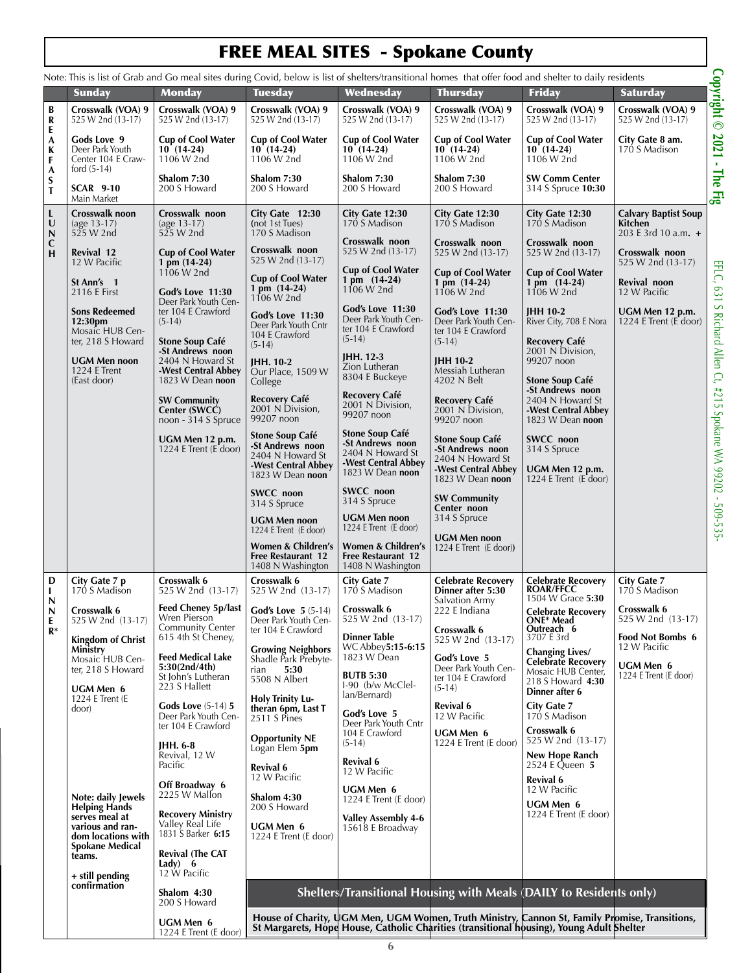# FREE MEAL SITES - Spokane County

|                                         |                                                                         |                                                                                             | Note: This is list of Grab and Go meal sites during Covid, below is list of shelters/transitional homes that offer food and shelter to daily residents |                                                                                       |                                                                                |                                                                                                                                                                                           |                                                               | Copyright <sup>©</sup>                              |
|-----------------------------------------|-------------------------------------------------------------------------|---------------------------------------------------------------------------------------------|--------------------------------------------------------------------------------------------------------------------------------------------------------|---------------------------------------------------------------------------------------|--------------------------------------------------------------------------------|-------------------------------------------------------------------------------------------------------------------------------------------------------------------------------------------|---------------------------------------------------------------|-----------------------------------------------------|
| B                                       | <b>Sunday</b><br>Crosswalk (VOA) 9                                      | <b>Monday</b><br>Crosswalk (VOA) 9                                                          | <b>Tuesday</b><br>Crosswalk (VOA) 9                                                                                                                    | Wednesday<br>Crosswalk (VOA) 9                                                        | <b>Thursday</b><br>Crosswalk (VOA) 9                                           | Friday<br>Crosswalk (VOA) 9                                                                                                                                                               | <b>Saturday</b><br>Crosswalk (VOA) 9                          |                                                     |
| R<br>E                                  | 525 W 2nd (13-17)                                                       | 525 W 2nd (13-17)                                                                           | 525 W 2nd (13-17)                                                                                                                                      | 525 W 2nd (13-17)                                                                     | 525 W 2nd (13-17)                                                              | 525 W 2nd (13-17)                                                                                                                                                                         | 525 W 2nd (13-17)                                             |                                                     |
| A<br>K<br>F<br>A                        | Gods Love 9<br>Deer Park Youth<br>Center 104 E Craw-<br>ford $(5-14)$   | <b>Cup of Cool Water</b><br>$10(14-24)$<br>1106 W 2nd                                       | <b>Cup of Cool Water</b><br>$10(14-24)$<br>1106 W 2nd                                                                                                  | <b>Cup of Cool Water</b><br>$10(14-24)$<br>1106 W 2nd                                 | <b>Cup of Cool Water</b><br>$10(14-24)$<br>1106 W 2nd                          | <b>Cup of Cool Water</b><br>$10(14-24)$<br>1106 W 2nd                                                                                                                                     | City Gate 8 am.<br>170 S Madison                              | 2021<br>$\mathbf{r}$                                |
| S<br>T                                  | <b>SCAR 9-10</b><br>Main Market                                         | Shalom 7:30<br>200 S Howard                                                                 | Shalom 7:30<br>200 S Howard                                                                                                                            | Shalom 7:30<br>200 S Howard                                                           | Shalom 7:30<br>200 S Howard                                                    | <b>SW Comm Center</b><br>314 S Spruce 10:30                                                                                                                                               |                                                               | The<br>$E_{\rm{go}}$                                |
| L<br>U                                  | Crosswalk noon<br>$(age 13-17)$<br>525 W 2nd                            | Crosswalk noon<br>$(age 13-17)$<br>525 W 2nd                                                | City Gate 12:30<br>(not 1st Tues)<br>170 S Madison                                                                                                     | City Gate 12:30<br>170 S Madison                                                      | City Gate 12:30<br>170 S Madison                                               | City Gate 12:30<br>170 S Madison                                                                                                                                                          | <b>Calvary Baptist Soup</b><br>Kitchen<br>203 E 3rd 10 a.m. + |                                                     |
| $\frac{N}{H}$                           | Revival 12<br>12 W Pacific                                              | <b>Cup of Cool Water</b><br>1 pm (14-24)                                                    | Crosswalk noon<br>525 W 2nd (13-17)                                                                                                                    | Crosswalk noon<br>525 W 2nd (13-17)<br><b>Cup of Cool Water</b>                       | Crosswalk noon<br>525 W 2nd (13-17)                                            | Crosswalk noon<br>525 W 2nd (13-17)                                                                                                                                                       | Crosswalk noon<br>525 W 2nd (13-17)                           |                                                     |
|                                         | St Ann's 1<br>2116 E First                                              | 1106 W 2nd<br>God's Love 11:30<br>Deer Park Youth Cen-                                      | <b>Cup of Cool Water</b><br>1 pm (14-24)<br>1106 W 2nd                                                                                                 | 1 pm (14-24)<br>1106 W 2nd                                                            | <b>Cup of Cool Water</b><br>1 pm (14-24)<br>1106 W 2nd                         | <b>Cup of Cool Water</b><br>1 pm (14-24)<br>1106 W 2nd                                                                                                                                    | Revival noon<br>12 W Pacific                                  | EFLC,<br>189                                        |
|                                         | <b>Sons Redeemed</b><br>12:30pm<br>Mosaic HUB Cen-<br>ter, 218 S Howard | ter 104 E Crawford<br>$(5-14)$<br>Stone Soup Café                                           | God's Love 11:30<br>Deer Park Youth Cntr<br>104 E Crawford                                                                                             | God's Love 11:30<br>Deer Park Youth Cen-<br>ter 104 E Crawford<br>$(5-14)$            | God's Love 11:30<br>Deer Park Youth Cen-<br>ter 104 E Crawford<br>$(5-14)$     | <b>IHH 10-2</b><br>River City, 708 E Nora<br>Recovery Café                                                                                                                                | UGM Men 12 p.m.<br>1224 E Trent (E door)                      |                                                     |
|                                         | <b>UGM Men noon</b><br>1224 E Trent<br>(East door)                      | -St Andrews noon<br>2404 N Howard St<br>-West Central Abbey<br>1823 W Dean noon             | $(5-14)$<br>JHH. 10-2<br>Our Place, 1509 W<br>College                                                                                                  | <b>IHH. 12-3</b><br>Zion Lutheran<br>8304 E Buckeye                                   | <b>IHH 10-2</b><br>Messiah Lutheran<br>4202 N Belt                             | 2001 N Division,<br>99207 noon<br><b>Stone Soup Café</b>                                                                                                                                  |                                                               |                                                     |
|                                         |                                                                         | <b>SW Community</b><br>Center (SWCC)<br>noon - 314 S Spruce                                 | <b>Recovery Café</b><br>2001 N Division,<br>99207 noon                                                                                                 | <b>Recovery Café</b><br>2001 N Division,<br>99207 noon                                | <b>Recovery Café</b><br>2001 N Division,<br>99207 noon                         | -St Andrews noon<br>2404 N Howard St<br>-West Central Abbey<br>1823 W Dean noon                                                                                                           |                                                               |                                                     |
|                                         |                                                                         | UGM Men 12 p.m.<br>1224 E Trent (E door)                                                    | <b>Stone Soup Café</b><br>-St Andrews noon<br>2404 N Howard St<br>-West Central Abbey                                                                  | <b>Stone Soup Café</b><br>-St Andrews noon<br>2404 N Howard St<br>-West Central Abbey | Stone Soup Café<br>-St Andrews noon<br>2404 N Howard St<br>-West Central Abbey | <b>SWCC</b> noon<br>314 S Spruce<br>UGM Men 12 p.m.                                                                                                                                       |                                                               | S Richard Allen Ct, #215 Spokane WA 99202 - 509-535 |
|                                         |                                                                         |                                                                                             | 1823 W Dean noon<br>SWCC noon                                                                                                                          | 1823 W Dean noon<br><b>SWCC</b> noon<br>314 S Spruce                                  | 1823 W Dean noon<br><b>SW Community</b>                                        | 1224 E Trent (E door)                                                                                                                                                                     |                                                               |                                                     |
|                                         |                                                                         |                                                                                             | 314 S Spruce<br>UGM Men noon<br>1224 E Trent (E door)                                                                                                  | <b>UGM Men noon</b><br>1224 E Trent (E door)                                          | Center noon<br>314 S Spruce                                                    |                                                                                                                                                                                           |                                                               |                                                     |
|                                         |                                                                         |                                                                                             | Women & Children's<br><b>Free Restaurant 12</b><br>1408 N Washington                                                                                   | Women & Children's<br><b>Free Restaurant 12</b><br>1408 N Washington                  | <b>UGM Men noon</b><br>1224 E Trent (E door))                                  |                                                                                                                                                                                           |                                                               |                                                     |
| D<br>L<br>N                             | City Gate 7 p<br>170 S Madison                                          | Crosswalk 6<br>525 W 2nd (13-17)                                                            | Crosswalk 6<br>525 W 2nd (13-17)                                                                                                                       | City Gate 7<br>170 S Madison                                                          | <b>Celebrate Recovery</b><br>Dinner after 5:30<br>Salvation Army               | <b>Celebrate Recovery</b><br><b>ROAR/FFCC</b><br>1504 W Grace 5:30                                                                                                                        | <b>City Gate 7</b><br>170 S Madison                           |                                                     |
| $\boldsymbol{\mathsf{N}}$<br>E<br>$R^*$ | Crosswalk 6<br>525 W 2nd (13-17)<br><b>Kingdom of Christ</b>            | <b>Feed Cheney 5p/last</b><br>Wren Pierson<br><b>Community Center</b><br>615 4th St Cheney, | <b>God's Love 5</b> $(5-14)$<br>Deer Park Youth Cen-<br>ter 104 E Crawford                                                                             | Crosswalk 6<br>525 W 2nd (13-17)<br>Dinner Table                                      | 222 E Indiana<br>Crosswalk 6<br>525 W 2nd (13-17)                              | <b>Celebrate Recovery</b><br>ONE* Mead<br>Outreach 6<br>3707 E 3rd                                                                                                                        | Crosswalk 6<br>525 W 2nd (13-17)<br>Food Not Bombs 6          |                                                     |
|                                         | Ministry<br>Mosaic HUB Cen-<br>ter, 218 S Howard                        | <b>Feed Medical Lake</b><br>5:30(2nd/4th)<br>St John's Lutheran                             | <b>Growing Neighbors</b><br>Shadle Park Prebyte-<br>5:30<br>rian<br>5508 N Albert                                                                      | WC Abbey5:15-6:15<br>1823 W Dean<br><b>BUTB 5:30</b>                                  | God's Love 5<br>Deer Park Youth Cen-<br>ter 104 E Crawford                     | <b>Changing Lives/</b><br><b>Celebrate Recovery</b><br>Mosaic HUB Center,<br>218 S Howard 4:30                                                                                            | 12 W Pacific<br>UGM Men 6<br>1224 E Trent (E door)            |                                                     |
|                                         | <b>UGM Men 6</b><br>1224 E Trent (E)<br>door)                           | 223 S Hallett<br><b>Gods Love</b> (5-14) 5<br>Deer Park Youth Cen-                          | <b>Holy Trinity Lu-</b><br>theran 6pm, Last T<br>2511 S Pines                                                                                          | I-90 (b/w McClel-<br>lan/Bernard)<br>God's Love 5                                     | $(5-14)$<br>Revival 6<br>12 W Pacific                                          | Dinner after 6<br>City Gate 7<br>170 S Madison                                                                                                                                            |                                                               |                                                     |
|                                         |                                                                         | ter 104 E Crawford<br>IHH. 6-8                                                              | <b>Opportunity NE</b><br>Logan Elem 5pm                                                                                                                | Deer Park Youth Cntr<br>104 E Crawford<br>$(5-14)$                                    | UGM Men 6<br>1224 E Trent (E door)                                             | Crosswalk 6<br>525 W 2nd (13-17)                                                                                                                                                          |                                                               |                                                     |
|                                         |                                                                         | Revival, 12 W<br>Pacific<br>Off Broadway 6                                                  | Revival 6<br>12 W Pacific                                                                                                                              | <b>Revival 6</b><br>12 W Pacific                                                      |                                                                                | New Hope Ranch<br>2524 E Queen 5<br><b>Revival 6</b>                                                                                                                                      |                                                               |                                                     |
|                                         | Note: daily Jewels<br><b>Helping Hands</b><br>serves meal at            | 2225 W Mallon<br><b>Recovery Ministry</b>                                                   | Shalom 4:30<br>200 S Howard                                                                                                                            | <b>UGM Men 6</b><br>1224 E Trent (E door)                                             |                                                                                | 12 W Pacific<br>UGM Men 6<br>1224 E Trent (E door)                                                                                                                                        |                                                               |                                                     |
|                                         | various and ran-<br>dom locations with<br><b>Spokane Medical</b>        | Valley Real Life<br>1831 S Barker 6:15                                                      | <b>UGM Men 6</b><br>1224 E Trent (E door)                                                                                                              | <b>Valley Assembly 4-6</b><br>15618 E Broadway                                        |                                                                                |                                                                                                                                                                                           |                                                               |                                                     |
|                                         | teams.<br>+ still pending                                               | <b>Revival (The CAT</b><br>Lady) $6$<br>12 W Pacific                                        |                                                                                                                                                        |                                                                                       |                                                                                |                                                                                                                                                                                           |                                                               |                                                     |
|                                         | confirmation                                                            | Shalom 4:30<br>200 S Howard                                                                 |                                                                                                                                                        |                                                                                       |                                                                                | Shelters/Transitional Housing with Meals (DAILY to Residents only)                                                                                                                        |                                                               |                                                     |
|                                         |                                                                         | <b>UGM Men 6</b><br>1224 E Trent (E door)                                                   |                                                                                                                                                        |                                                                                       |                                                                                | House of Charity, UGM Men, UGM Women, Truth Ministry, Cannon St, Family Promise, Transitions,<br>St Margarets, Hope House, Catholic Charities (transitional housing), Young Adult Shelter |                                                               |                                                     |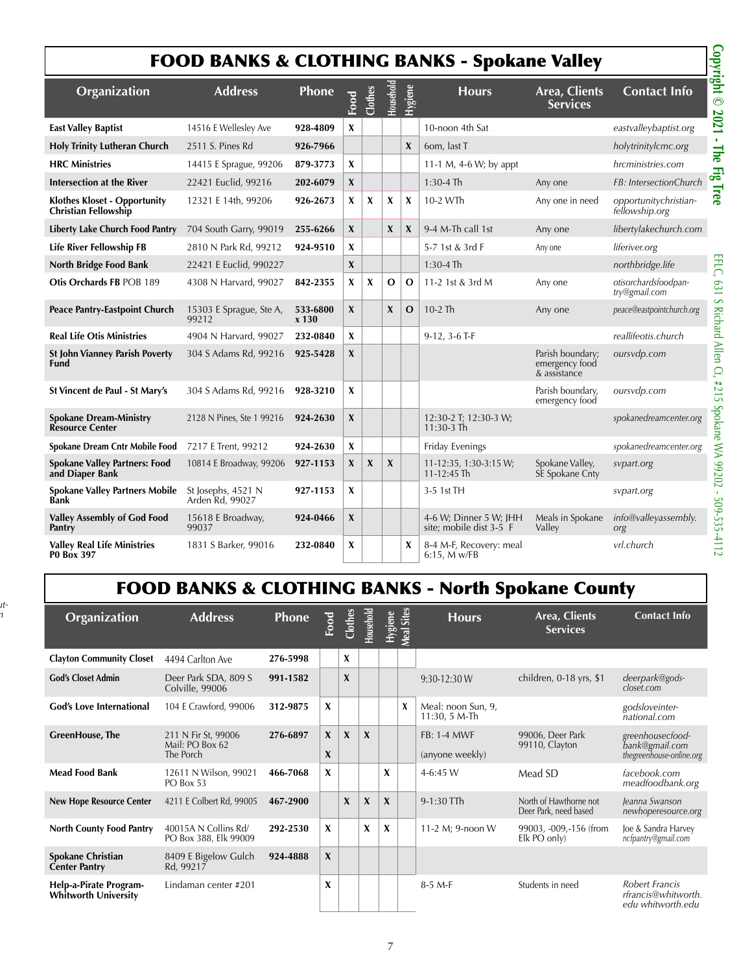## FOOD BANKS & CLOTHING BANKS - Spokane Valley

|                                                                    | Copyright ©<br><b>FOOD BANKS &amp; CLOTHING BANKS - Spokane Valley</b> |                     |              |                           |                  |                  |                                                   |                                                    |                                         |  |  |
|--------------------------------------------------------------------|------------------------------------------------------------------------|---------------------|--------------|---------------------------|------------------|------------------|---------------------------------------------------|----------------------------------------------------|-----------------------------------------|--|--|
| Organization                                                       | <b>Address</b>                                                         | <b>Phone</b>        | Food         | Clothes                   | Household        | <b>Hygiene</b>   | <b>Hours</b>                                      | Area, Clients<br><b>Services</b>                   | <b>Contact Info</b>                     |  |  |
| <b>East Valley Baptist</b>                                         | 14516 E Wellesley Ave                                                  | 928-4809            | X            |                           |                  |                  | 10-noon 4th Sat                                   |                                                    | eastvalleybaptist.org                   |  |  |
| <b>Holy Trinity Lutheran Church</b>                                | 2511 S. Pines Rd                                                       | 926-7966            |              |                           |                  | $\boldsymbol{x}$ | 6om, last T                                       |                                                    | holytrinitylcmc.org                     |  |  |
| <b>HRC Ministries</b>                                              | 14415 E Sprague, 99206                                                 | 879-3773            | X            |                           |                  |                  | 11-1 M, 4-6 W; by appt                            |                                                    | hrcministries.com                       |  |  |
| Intersection at the River                                          | 22421 Euclid, 99216                                                    | 202-6079            | X            |                           |                  |                  | $1:30-4$ Th                                       | Any one                                            | FB: IntersectionChurch                  |  |  |
| <b>Klothes Kloset - Opportunity</b><br><b>Christian Fellowship</b> | 12321 E 14th, 99206                                                    | 926-2673            | X            | X                         | X                | X                | 10-2 WTh                                          | Any one in need                                    | opportunitychristian-<br>fellowship.org |  |  |
| Liberty Lake Church Food Pantry                                    | 704 South Garry, 99019                                                 | 255-6266            | X            |                           | X                | $\boldsymbol{x}$ | 9-4 M-Th call 1st                                 | Any one                                            | libertylakechurch.com                   |  |  |
| <b>Life River Fellowship FB</b>                                    | 2810 N Park Rd, 99212                                                  | 924-9510            | X            |                           |                  |                  | 5-7 1st & 3rd F                                   | Any one                                            | liferiver.org                           |  |  |
| North Bridge Food Bank                                             | 22421 E Euclid, 990227                                                 |                     | X            |                           |                  |                  | $1:30-4$ Th                                       |                                                    | northbridge.life                        |  |  |
| Otis Orchards FB POB 189                                           | 4308 N Harvard, 99027                                                  | 842-2355            | X            | X                         | O                | O                | 11-2 1st & 3rd M                                  | Any one                                            | otisorchardsfoodpan-<br>try@gmail.com   |  |  |
| Peace Pantry-Eastpoint Church                                      | 15303 E Sprague, Ste A,<br>99212                                       | 533-6800<br>$x$ 130 | X            |                           | $\boldsymbol{x}$ | $\mathbf{O}$     | $10-2$ Th                                         | Any one                                            | peace@eastpointchurch.org               |  |  |
| <b>Real Life Otis Ministries</b>                                   | 4904 N Harvard, 99027                                                  | 232-0840            | X            |                           |                  |                  | $9-12$ , $3-6$ T-F                                |                                                    | reallifeotis.church                     |  |  |
| <b>St John Vianney Parish Poverty</b><br>Fund                      | 304 S Adams Rd, 99216                                                  | 925-5428            | X            |                           |                  |                  |                                                   | Parish boundary;<br>emergency food<br>& assistance | oursvdp.com                             |  |  |
| St Vincent de Paul - St Mary's                                     | 304 S Adams Rd, 99216                                                  | 928-3210            | X            |                           |                  |                  |                                                   | Parish boundary,<br>emergency food                 | oursvdp.com                             |  |  |
| <b>Spokane Dream-Ministry</b><br><b>Resource Center</b>            | 2128 N Pines, Ste 1 99216                                              | 924-2630            | X            |                           |                  |                  | 12:30-2 T; 12:30-3 W;<br>11:30-3 Th               |                                                    | spokanedreamcenter.org                  |  |  |
| Spokane Dream Cntr Mobile Food                                     | 7217 E Trent, 99212                                                    | 924-2630            | X            |                           |                  |                  | Friday Evenings                                   |                                                    | spokanedreamcenter.org                  |  |  |
| <b>Spokane Valley Partners: Food</b><br>and Diaper Bank            | 10814 E Broadway, 99206                                                | 927-1153            | X            | $\boldsymbol{\mathsf{x}}$ | $\boldsymbol{X}$ |                  | 11-12:35, 1:30-3:15 W;<br>$11 - 12:45$ Th         | Spokane Valley,<br>SE Spokane Cnty                 | svpart.org                              |  |  |
| <b>Spokane Valley Partners Mobile</b><br>Bank                      | St Josephs, 4521 N<br>Arden Rd, 99027                                  | 927-1153            | X            |                           |                  |                  | 3-5 1st TH                                        |                                                    | sypart.org                              |  |  |
| <b>Valley Assembly of God Food</b><br>Pantry                       | 15618 E Broadway,<br>99037                                             | 924-0466            | $\pmb{\chi}$ |                           |                  |                  | 4-6 W; Dinner 5 W; JHH<br>site; mobile dist 3-5 F | Meals in Spokane<br>Valley                         | info@valleyassembly.<br>org             |  |  |
| <b>Valley Real Life Ministries</b><br><b>PO Box 397</b>            | 1831 S Barker, 99016                                                   | 232-0840            | X            |                           |                  | X                | 8-4 M-F, Recovery: meal<br>$6:15$ , M w/FB        |                                                    | vrl.church                              |  |  |

## FOOD BANKS & CLOTHING BANKS - North Spokane County

*Damerville Stut-*

*ter@gmail.com*

| Organization                                          | <b>Address</b>                                      | <b>Phone</b> | Food              | Clothes     | Household   | Hygiene     | Sites<br>Meal | <b>Hours</b>                           | Area, Clients<br><b>Services</b>                | <b>Contact Info</b>                                            |
|-------------------------------------------------------|-----------------------------------------------------|--------------|-------------------|-------------|-------------|-------------|---------------|----------------------------------------|-------------------------------------------------|----------------------------------------------------------------|
| <b>Clayton Community Closet</b>                       | 4494 Carlton Ave                                    | 276-5998     |                   | X           |             |             |               |                                        |                                                 |                                                                |
| <b>God's Closet Admin</b>                             | Deer Park SDA, 809 S<br>Colville, 99006             | 991-1582     |                   | X           |             |             |               | $9:30-12:30 W$                         | children, 0-18 yrs, \$1                         | deerpark@gods-<br>closet.com                                   |
| <b>God's Love International</b>                       | 104 E Crawford, 99006                               | 312-9875     | $\boldsymbol{x}$  |             |             |             | X             | Meal: noon Sun, 9,<br>$11:30, 5 M$ -Th |                                                 | godsloveinter-<br>national.com                                 |
| <b>GreenHouse</b> , The                               | 211 N Fir St, 99006<br>Mail: PO Box 62<br>The Porch | 276-6897     | $\mathbf{x}$<br>X | $\mathbf x$ | $\mathbf x$ |             |               | <b>FB: 1-4 MWF</b><br>(anyone weekly)  | 99006, Deer Park<br>99110, Clayton              | greenhousecfood-<br>bank@gmail.com<br>thegreenhouse-online.org |
| <b>Mead Food Bank</b>                                 | 12611 N Wilson, 99021<br>PO Box 53                  | 466-7068     | X                 |             |             | X           |               | $4-6:45$ W                             | Mead SD                                         | facebook.com<br>meadfoodbank.org                               |
| <b>New Hope Resource Center</b>                       | 4211 E Colbert Rd, 99005                            | 467-2900     |                   | X           | $\mathbf x$ | $\mathbf x$ |               | 9-1:30 TTh                             | North of Hawthorne not<br>Deer Park, need based | Jeanna Swanson<br>newhoperesource.org                          |
| <b>North County Food Pantry</b>                       | 40015A N Collins Rd/<br>PO Box 388, Elk 99009       | 292-2530     | X                 |             | X           | X           |               | 11-2 M; 9-noon W                       | 99003, -009, -156 (from<br>Elk PO only)         | Joe & Sandra Harvey<br>ncfpantry@gmail.com                     |
| <b>Spokane Christian</b><br><b>Center Pantry</b>      | 8409 E Bigelow Gulch<br>Rd, 99217                   | 924-4888     | $\mathbf{x}$      |             |             |             |               |                                        |                                                 |                                                                |
| Help-a-Pirate Program-<br><b>Whitworth University</b> | Lindaman center #201                                |              | X                 |             |             |             |               | $8-5$ M-F                              | Students in need                                | Robert Francis<br>rfrancis@whitworth.<br>edu whitworth.edu     |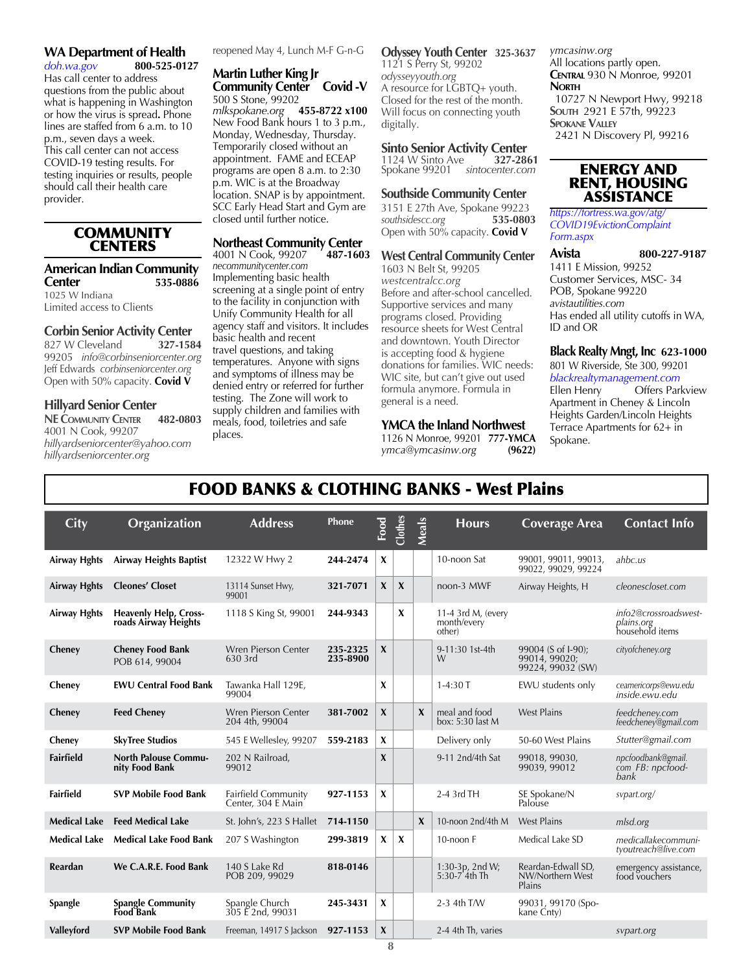## **WA Department of Health**<br>doh.wa.gov 800-525-0127

 $d$ oh.wa.gov Has call center to address questions from the public about what is happening in Washington or how the virus is spread**.** Phone lines are staffed from 6 a.m. to 10 p.m., seven days a week. This call center can not access COVID-19 testing results. For testing inquiries or results, people should call their health care provider.

#### **COMMUNITY CENTERS**

#### **American Indian Community Center 535-0886**

1025 W Indiana Limited access to Clients

## **Corbin Senior Activity Center**<br>827 W Cleveland<br>327-1584

827 W Cleveland 99205 *info@corbinseniorcenter.org* Jeff Edwards *corbinseniorcenter.org* Open with 50% capacity. **Covid V**

#### **Hillyard Senior Center**

**NE Community Center 482-0803** 4001 N Cook, 99207 *hillyardseniorcenter@yahoo.com hillyardseniorcenter.org*

reopened May 4, Lunch M-F G-n-G

**Martin Luther King Jr Community Center Covid -V** 500 S Stone, 99202 *mlkspokane.org* **455-8722 x100** New Food Bank hours 1 to 3 p.m., Monday, Wednesday, Thursday. Temporarily closed without an appointment. FAME and ECEAP programs are open 8 a.m. to 2:30 p.m. WIC is at the Broadway location. SNAP is by appointment. SCC Early Head Start and Gym are closed until further notice.

## **Northeast Community Center**<br>4001 N Cook, 99207 487-1603

4001 N Cook, 99207 *necommunitycenter.com* Implementing basic health screening at a single point of entry to the facility in conjunction with Unify Community Health for all agency staff and visitors. It includes basic health and recent travel questions, and taking temperatures. Anyone with signs and symptoms of illness may be denied entry or referred for further testing. The Zone will work to supply children and families with meals, food, toiletries and safe places.

**Odyssey Youth Center 325-3637** 1121 S Perry St, 99202 *odysseyyouth.org* A resource for LGBTQ+ youth. Closed for the rest of the month. Will focus on connecting youth digitally.

## **Sinto Senior Activity Center**<br>1124 W Sinto Ave **327-2861**

1124 W Sinto Ave **327-2861** Spokane 99201 *sintocenter.com*

#### **Southside Community Center**

3151 E 27th Ave, Spokane 99223 *southsidescc.org* **535-0803** Open with 50% capacity. **Covid V**

#### **West Central Community Center**

1603 N Belt St, 99205 *westcentralcc.org* Before and after-school cancelled. Supportive services and many programs closed. Providing resource sheets for West Central and downtown. Youth Director is accepting food & hygiene donations for families. WIC needs: WIC site, but can't give out used formula anymore. Formula in general is a need.

#### **YMCA the Inland Northwest**

1126 N Monroe, 99201 **777-YMCA** *ymca@ymcasinw.org* **(9622)**

*ymcasinw.org* All locations partly open. **Central** 930 N Monroe, 99201 **North** 10727 N Newport Hwy, 99218 **South** 2921 E 57th, 99223 **SPOKANE VALLEY** 2421 N Discovery Pl, 99216

#### ENERGY AND RENT, HOUSING ASSISTANCE

*https://fortress.wa.gov/atg/ COVID19EvictionComplaint Form.aspx*

**Avista 800-227-9187** 1411 E Mission, 99252 Customer Services, MSC- 34 POB, Spokane 99220 *avistautilities.com* Has ended all utility cutoffs in WA, ID and OR

#### **Black Realty Mngt, Inc 623-1000**

801 W Riverside, Ste 300, 99201 *blackrealtymanagement.com* Offers Parkview Apartment in Cheney & Lincoln Heights Garden/Lincoln Heights Terrace Apartments for 62+ in Spokane.

## FOOD BANKS & CLOTHING BANKS - West Plains

| City                | Organization                                         | <b>Address</b>                            | Phone                | Food             | Clothes          | Meals            | <b>Hours</b>                                | <b>Coverage Area</b>                                     | <b>Contact Info</b>                                    |
|---------------------|------------------------------------------------------|-------------------------------------------|----------------------|------------------|------------------|------------------|---------------------------------------------|----------------------------------------------------------|--------------------------------------------------------|
| <b>Airway Hghts</b> | <b>Airway Heights Baptist</b>                        | 12322 W Hwy 2                             | 244-2474             | X                |                  |                  | 10-noon Sat                                 | 99001, 99011, 99013,<br>99022, 99029, 99224              | ahbc.us                                                |
| <b>Airway Hghts</b> | <b>Cleones' Closet</b>                               | 13114 Sunset Hwy,<br>99001                | 321-7071             | $\mathbf{x}$     | $\boldsymbol{X}$ |                  | noon-3 MWF                                  | Airway Heights, H                                        | cleonescloset.com                                      |
| <b>Airway Hghts</b> | <b>Heavenly Help, Cross-</b><br>roads Airway Heights | 1118 S King St, 99001                     | 244-9343             |                  | X                |                  | 11-4 3rd M, (every<br>month/every<br>other) |                                                          | info2@crossroadswest-<br>plains.org<br>household items |
| Cheney              | <b>Cheney Food Bank</b><br>POB 614, 99004            | Wren Pierson Center<br>630 3rd            | 235-2325<br>235-8900 | X                |                  |                  | 9-11:30 1st-4th<br>W                        | 99004 (S of I-90):<br>99014, 99020;<br>99224, 99032 (SW) | cityofcheney.org                                       |
| Cheney              | <b>EWU Central Food Bank</b>                         | Tawanka Hall 129E,<br>99004               |                      | X                |                  |                  | $1-4:30T$                                   | EWU students only                                        | ceamericorps@ewu.edu<br>inside.ewu.edu                 |
| Cheney              | <b>Feed Chenev</b>                                   | Wren Pierson Center<br>204 4th, 99004     | 381-7002             | X                |                  | $\boldsymbol{x}$ | meal and food<br>box: 5:30 last M           | <b>West Plains</b>                                       | feedchenev.com<br>feedcheney@gmail.com                 |
| Cheney              | <b>SkyTree Studios</b>                               | 545 E Wellesley, 99207                    | 559-2183             | $\boldsymbol{x}$ |                  |                  | Delivery only                               | 50-60 West Plains                                        | Stutter@gmail.com                                      |
| <b>Fairfield</b>    | <b>North Palouse Commu-</b><br>nity Food Bank        | 202 N Railroad,<br>99012                  |                      | X                |                  |                  | 9-11 2nd/4th Sat                            | 99018, 99030,<br>99039, 99012                            | npcfoodbank@gmail.<br>com FB: npcfood-<br>bank         |
| Fairfield           | <b>SVP Mobile Food Bank</b>                          | Fairfield Community<br>Center, 304 E Main | 927-1153             | X                |                  |                  | 2-4 3rd TH                                  | SE Spokane/N<br>Palouse                                  | svpart.org/                                            |
| <b>Medical Lake</b> | <b>Feed Medical Lake</b>                             | St. John's, 223 S Hallet                  | 714-1150             |                  |                  | $\boldsymbol{x}$ | 10-noon 2nd/4th M                           | <b>West Plains</b>                                       | mlsd.org                                               |
| <b>Medical Lake</b> | <b>Medical Lake Food Bank</b>                        | 207 S Washington                          | 299-3819             | $\mathbf{x}$     | X                |                  | 10-noon F                                   | Medical Lake SD                                          | medicallakecommuni-<br>tyoutreach@live.com             |
| Reardan             | We C.A.R.E. Food Bank                                | 140 S Lake Rd<br>POB 209, 99029           | 818-0146             |                  |                  |                  | 1:30-3p, 2nd W;<br>5:30-7 4th Th            | Reardan-Edwall SD,<br>NW/Northern West<br>Plains         | emergency assistance,<br>food vouchers                 |
| <b>Spangle</b>      | <b>Spangle Community</b><br><b>Food Bank</b>         | Spangle Church<br>305 E2nd, 99031         | 245-3431             | X                |                  |                  | 2-3 4th T/W                                 | 99031, 99170 (Spo-<br>kane Cnty)                         |                                                        |
| Valleyford          | <b>SVP Mobile Food Bank</b>                          | Freeman, 14917 S Jackson                  | 927-1153             | X                |                  |                  | 2-4 4th Th, varies                          |                                                          | svpart.org                                             |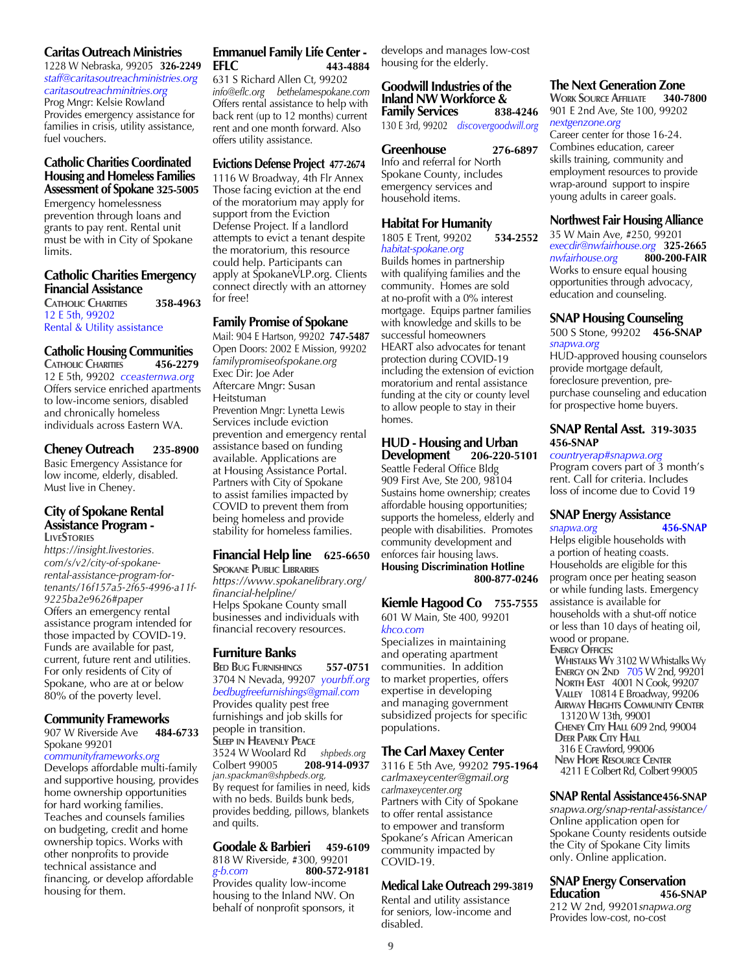#### **Caritas Outreach Ministries**

1228 W Nebraska, 99205 **326-2249** *staff@caritasoutreachministries.org caritasoutreachminitries.org* Prog Mngr: Kelsie Rowland Provides emergency assistance for families in crisis, utility assistance, fuel vouchers.

#### **Catholic Charities Coordinated Housing and Homeless Families Assessment of Spokane 325-5005**

Emergency homelessness prevention through loans and grants to pay rent. Rental unit must be with in City of Spokane limits.

#### **Catholic Charities Emergency Financial Assistance**

**Catholic Charities 358-4963** 12 E 5th, 99202 Rental & Utility assistance

#### **Catholic Housing Communities CATHOLIC CHARITIES**

12 E 5th, 99202 *cceasternwa.org* Offers service enriched apartments to low-income seniors, disabled and chronically homeless individuals across Eastern WA.

#### **Cheney Outreach 235-8900**

Basic Emergency Assistance for low income, elderly, disabled. Must live in Cheney.

#### **City of Spokane Rental Assistance Program - LiveStories**

*https://insight.livestories. com/s/v2/city-of-spokanerental-assistance-program-fortenants/16f157a5-2f65-4996-a11f-9225ba2e9626#paper* Offers an emergency rental assistance program intended for those impacted by COVID-19. Funds are available for past, current, future rent and utilities. For only residents of City of Spokane, who are at or below 80% of the poverty level.

#### **Community Frameworks**

#### 907 W Riverside Ave **484-6733** Spokane 99201

*communityframeworks.org* Develops affordable multi-family and supportive housing, provides home ownership opportunities for hard working families. Teaches and counsels families on budgeting, credit and home ownership topics. Works with other nonprofits to provide technical assistance and financing, or develop affordable housing for them.

#### **Emmanuel Family Life Center - EFLC 443-4884**

631 S Richard Allen Ct, 99202 *info@eflc.org bethelamespokane.com* Offers rental assistance to help with back rent (up to 12 months) current rent and one month forward. Also offers utility assistance.

#### **Evictions Defense Project 477-2674**

1116 W Broadway, 4th Flr Annex Those facing eviction at the end of the moratorium may apply for support from the Eviction Defense Project. If a landlord attempts to evict a tenant despite the moratorium, this resource could help. Participants can apply at SpokaneVLP.org. Clients connect directly with an attorney for free!

#### **Family Promise of Spokane**

Mail: 904 E Hartson, 99202 **747-5487** Open Doors: 2002 E Mission, 99202 *familypromiseofspokane.org* Exec Dir: Joe Ader Aftercare Mngr: Susan Heitstuman Prevention Mngr: Lynetta Lewis Services include eviction prevention and emergency rental assistance based on funding available. Applications are at Housing Assistance Portal. Partners with City of Spokane to assist families impacted by COVID to prevent them from being homeless and provide stability for homeless families.

#### **Financial Help line 625-6650**

**Spokane Public Libraries** *https://www.spokanelibrary.org/ financial-helpline/*  Helps Spokane County small businesses and individuals with financial recovery resources.

#### **Furniture Banks**

**Bed Bug Furnishings 557-0751** 3704 N Nevada, 99207 *yourbff.org bedbugfreefurnishings@gmail.com* Provides quality pest free furnishings and job skills for people in transition. **Sleep in Heavenly Peace**

3524 W Woolard Rd *shpbeds.org* Colbert 99005 **208-914-0937** *jan.spackman@shpbeds.org,* By request for families in need, kids with no beds. Builds bunk beds, provides bedding, pillows, blankets and quilts.

#### **Goodale & Barbieri 459-6109** 818 W Riverside, #300, 99201<br>g-b.com 800-572-9 *g-b.com* **800-572-9181** Provides quality low-income housing to the Inland NW. On behalf of nonprofit sponsors, it

develops and manages low-cost housing for the elderly.

#### **Goodwill Industries of the Inland NW Workforce & Family Services 838-4246**

130 E 3rd, 99202*discovergoodwill.org*

**Greenhouse 276-6897** Info and referral for North Spokane County, includes emergency services and household items.

#### **Habitat For Humanity**

1805 E Trent, 99202 **534-2552** *habitat-spokane.org* Builds homes in partnership

with qualifying families and the community. Homes are sold at no-profit with a 0% interest mortgage. Equips partner families with knowledge and skills to be successful homeowners HEART also advocates for tenant protection during COVID-19 including the extension of eviction moratorium and rental assistance funding at the city or county level to allow people to stay in their homes.

#### **HUD - Housing and Urban Development 206-220-5101**

Seattle Federal Office Bldg 909 First Ave, Ste 200, 98104 Sustains home ownership; creates affordable housing opportunities; supports the homeless, elderly and people with disabilities. Promotes community development and enforces fair housing laws. **Housing Discrimination Hotline 800-877-0246**

## **Kiemle Hagood Co 755-7555**

601 W Main, Ste 400, 99201 *khco.com*

Specializes in maintaining and operating apartment communities. In addition to market properties, offers expertise in developing and managing government subsidized projects for specific populations.

#### **The Carl Maxey Center**

3116 E 5th Ave, 99202 **795-1964** *carlmaxeycenter@gmail.org carlmaxeycenter.org* Partners with City of Spokane to offer rental assistance to empower and transform Spokane's African American community impacted by COVID-19.

#### **Medical Lake Outreach 299-3819**

Rental and utility assistance for seniors, low-income and disabled.

#### **The Next Generation Zone**

**Work Source Affiliate 340-7800** 901 E 2nd Ave, Ste 100, 99202 *nextgenzone.org*

Career center for those 16-24. Combines education, career skills training, community and employment resources to provide wrap-around support to inspire young adults in career goals.

#### **Northwest Fair Housing Alliance**

35 W Main Ave, #250, 99201 *execdir@nwfairhouse.org* **325-2665** *nwfairhouse.org* **800-200-FAIR**  Works to ensure equal housing opportunities through advocacy, education and counseling.

#### **SNAP Housing Counseling**

500 S Stone, 99202 **456-SNAP** *snapwa.org*

HUD-approved housing counselors provide mortgage default, foreclosure prevention, prepurchase counseling and education for prospective home buyers.

#### **SNAP Rental Asst. 319-3035 456-SNAP**

*countryerap#snapwa.org* Program covers part of 3 month's rent. Call for criteria. Includes loss of income due to Covid 19

#### **SNAP Energy Assistance**

*snapwa.org* **456-SNAP**  Helps eligible households with a portion of heating coasts. Households are eligible for this program once per heating season or while funding lasts. Emergency assistance is available for households with a shut-off notice or less than 10 days of heating oil, wood or propane. **Energy Offices: Whistalks Wy** 3102 W Whistalks Wy **ENERGY ON 2ND 705 W 2nd, 99201 North East** 4001 N Cook, 99207  **Valley** 10814 E Broadway, 99206 **Airway Heights Community Center** 13120 W 13th, 99001 **Cheney City Hall** 609 2nd, 99004 **DEER PARK CITY HALL**  316 E Crawford, 99006 **New Hope Resource Center** 4211 E Colbert Rd, Colbert 99005

#### **SNAP Rental Assistance456-SNAP**

*snapwa.org/snap-rental-assistance/* Online application open for Spokane County residents outside the City of Spokane City limits only. Online application.

#### **SNAP Energy Conservation Education 456-SNAP**

212 W 2nd, 99201*snapwa.org* Provides low-cost, no-cost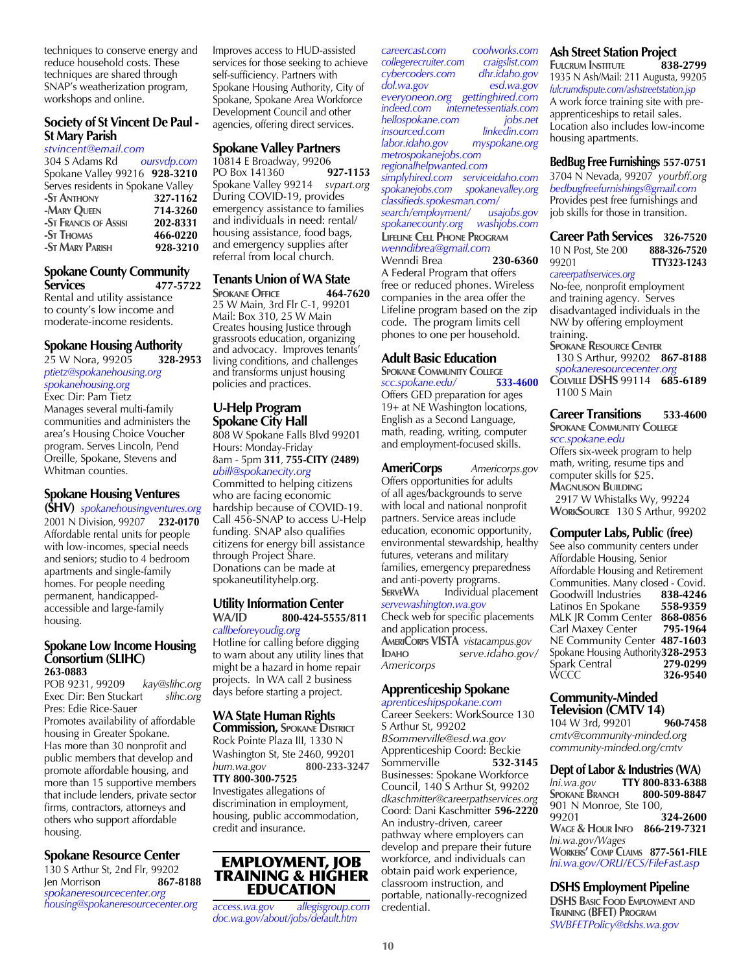techniques to conserve energy and reduce household costs. These techniques are shared through SNAP's weatherization program, workshops and online.

#### **Society of St Vincent De Paul - St Mary Parish**

*stvincent@email.com*

304 S Adams Rd *oursvdp.com* Spokane Valley 99216 **928-3210** Serves residents in Spokane Valley **-St Anthony 327-1162 -Mary Queen 714-3260 -St Francis of Assisi 202-8331 -St Thomas 466-0220 -ST MARY PARISH** 

#### **Spokane County Community Services 477-5722**

Rental and utility assistance to county's low income and moderate-income residents.

#### **Spokane Housing Authority**

25 W Nora, 99205 **328-2953** *ptietz@spokanehousing.org spokanehousing.org* Exec Dir: Pam Tietz Manages several multi-family communities and administers the area's Housing Choice Voucher program. Serves Lincoln, Pend Oreille, Spokane, Stevens and Whitman counties.

#### **Spokane Housing Ventures (SHV)** *spokanehousingventures.org*

2001 N Division, 99207 **232-0170** Affordable rental units for people with low-incomes, special needs and seniors; studio to 4 bedroom apartments and single-family homes. For people needing permanent, handicappedaccessible and large-family housing.

#### **Spokane Low Income Housing Consortium (SLIHC) 263-0883**

POB 9231, 99209 *kay@slihc.org* Exec Dir: Ben Stuckart *slihc.org* Pres: Edie Rice-Sauer Promotes availability of affordable housing in Greater Spokane. Has more than 30 nonprofit and public members that develop and promote affordable housing, and more than 15 supportive members that include lenders, private sector firms, contractors, attorneys and others who support affordable housing.

#### **Spokane Resource Center**

130 S Arthur St, 2nd Flr, 99202 Jen Morrison **867-8188** *spokaneresourcecenter.org housing@spokaneresourcecenter.org*

Improves access to HUD-assisted services for those seeking to achieve self-sufficiency. Partners with Spokane Housing Authority, City of Spokane, Spokane Area Workforce Development Council and other agencies, offering direct services.

#### **Spokane Valley Partners**

10814 E Broadway, 99206 PO Box 141360 **927-1153** Spokane Valley 99214 *svpart.org* During COVID-19, provides emergency assistance to families and individuals in need: rental/ housing assistance, food bags, and emergency supplies after referral from local church.

#### **Tenants Union of WA State**

**Spokane Office 464-7620** 25 W Main, 3rd Flr C-1, 99201 Mail: Box 310, 25 W Main Creates housing Justice through grassroots education, organizing and advocacy. Improves tenants' living conditions, and challenges and transforms unjust housing policies and practices.

#### **U-Help Program Spokane City Hall**

808 W Spokane Falls Blvd 99201 Hours: Monday-Friday 8am - 5pm **311***,* **755-CITY (2489)** 

*ubill@spokanecity.org* Committed to helping citizens who are facing economic hardship because of COVID-19. Call 456-SNAP to access U-Help funding. SNAP also qualifies citizens for energy bill assistance through Project Share. Donations can be made at spokaneutilityhelp.org.

#### **Utility Information Center WA/ID 800-424-5555/811** *callbeforeyoudig.org*

Hotline for calling before digging to warn about any utility lines that might be a hazard in home repair projects. In WA call 2 business days before starting a project.

#### **WA State Human Rights**

**Commission, Spokane District** Rock Pointe Plaza III, 1330 N Washington St, Ste 2460, 99201 *hum.wa.gov* **800-233-3247**

#### **TTY 800-300-7525**

Investigates allegations of discrimination in employment, housing, public accommodation, credit and insurance.

#### EMPLOYMENT, JOB TRAINING & HIGHER EDUCATION

*access.wa.gov allegisgroup.com doc.wa.gov/about/jobs/default.htm*

*careercast.com coolworks.com collegerecruiter.com craigslist.com cybercoders.com dhr.idaho.gov dol.wa.gov esd.wa.gov everyoneon.org gettinghired.com indeed.com internetessentials.com hellospokane.com jobs.net insourced.com linkedin.com labor.idaho.gov myspokane.org metrospokanejobs.com regionalhelpwanted.com simplyhired.com serviceidaho.com spokanejobs.com spokanevalley.org classifieds.spokesman.com/ search/employment/ usajobs.gov spokanecounty.org* **Lifeline Cell Phone Program** *wenndibrea@gmail.com* Wenndi Brea A Federal Program that offers free or reduced phones. Wireless companies in the area offer the Lifeline program based on the zip code. The program limits cell phones to one per household.

#### **Adult Basic Education**

**Spokane Community College**  $scc.spokane.edu/$ Offers GED preparation for ages 19+ at NE Washington locations, English as a Second Language, math, reading, writing, computer and employment-focused skills.

**AmeriCorps** *Americorps.gov*  Offers opportunities for adults of all ages/backgrounds to serve with local and national nonprofit partners. Service areas include education, economic opportunity, environmental stewardship, healthy futures, veterans and military families, emergency preparedness and anti-poverty programs. **SERVEWA** Individual placement *servewashington.wa.gov*  Check web for specific placements and application process. **AmeriCorps VISTA** *vistacampus.gov* **Idaho** *serve.idaho.gov/ Americorps*

#### **Apprenticeship Spokane**

*aprenticeshipspokane.com* Career Seekers: WorkSource 130 S Arthur St, 99202 *BSommerville@esd.wa.gov* Apprenticeship Coord: Beckie Sommerville Businesses: Spokane Workforce Council, 140 S Arthur St, 99202 *dkaschmitter@careerpathservices.org* Coord: Dani Kaschmitter **596-2220** An industry-driven, career pathway where employers can develop and prepare their future workforce, and individuals can obtain paid work experience, classroom instruction, and portable, nationally-recognized credential.

#### **Ash Street Station Project**

**Fulcrum Institute 838-2799** 1935 N Ash/Mail: 211 Augusta, 99205 *fulcrumdispute.com/ashstreetstation.jsp* A work force training site with preapprenticeships to retail sales. Location also includes low-income housing apartments.

**BedBug Free Furnishings 557-0751**

3704 N Nevada, 99207 *yourbff.org bedbugfreefurnishings@gmail.com* Provides pest free furnishings and job skills for those in transition.

**Career Path Services 326-7520** 10 N Post, Ste 200 **888-326-7520**  99201 **TTY323-1243** *careerpathservices.org* No-fee, nonprofit employment and training agency. Serves disadvantaged individuals in the NW by offering employment training. **Spokane Resource Center** 130 S Arthur, 99202 **867-8188**  *spokaneresourcecenter.org* **Colville DSHS** 99114 **685-6189** 1100 S Main

#### **Career Transitions 533-4600 Spokane Community College** *scc.spokane.edu*

Offers six-week program to help math, writing, resume tips and computer skills for \$25. **Magnuson Building** 2917 W Whistalks Wy, 99224 **WorkSource** 130 S Arthur, 99202

#### **Computer Labs, Public (free)**

See also community centers under Affordable Housing, Senior Affordable Housing and Retirement Communities. Many closed - Covid.<br>Goodwill Industries **838-4246** Goodwill Industries **838-4246**<br>Latinos En Spokane **558-9359** Latinos En Spokane MLK JR Comm Center **868-0856 Carl Maxey Center** NE Community Center **487-1603** Spokane Housing Authority**328-2953** Spark Central **279-0299**  WCCC **326-9540**

## **Community-Minded**

**Television (CMTV 14)**<br>104 W 3rd. 99201 **960-7458** 104 W 3rd, 99201 *cmtv@community-minded.org community-minded.org/cmtv*

#### **Dept of Labor & Industries (WA)**

*lni.wa.gov* **TTY 800-833-6388 SPOKANE BRANCH** 901 N Monroe, Ste 100, 99201 **324-2600 Wage & Hour Info 866-219-7321** *lni.wa.gov/Wages* **Workers' Comp Claims 877-561-FILE** *lni.wa.gov/ORLI/ECS/FileFast.asp*

#### **DSHS Employment Pipeline**

**DSHS Basic Food Employment and Training (BFET) Program** *SWBFETPolicy@dshs.wa.gov*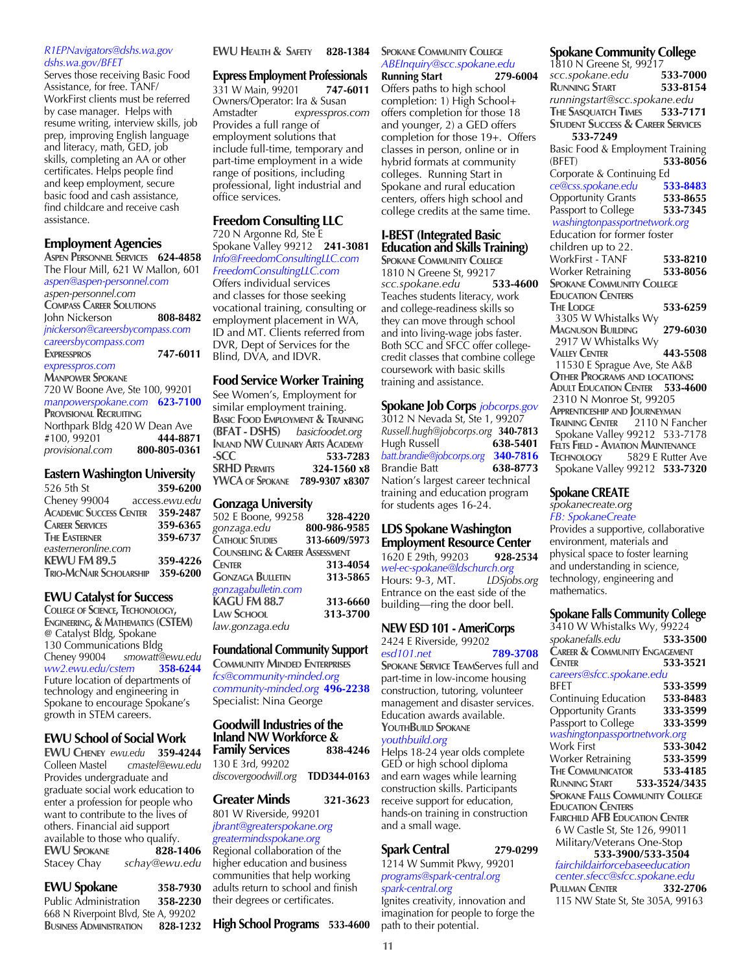#### *R1EPNavigators@dshs.wa.gov dshs.wa.gov/BFET*

Serves those receiving Basic Food Assistance, for free. TANF/ WorkFirst clients must be referred by case manager. Helps with resume writing, interview skills, job prep, improving English language and literacy, math, GED, job skills, completing an AA or other certificates. Helps people find and keep employment, secure basic food and cash assistance, find childcare and receive cash assistance.

#### **Employment Agencies**

**Aspen Personnel Services 624-4858** The Flour Mill, 621 W Mallon, 601 *aspen@aspen-personnel.com aspen-personnel.com*  **Compass Career Solutions** John Nickerson **808-8482** *jnickerson@careersbycompass.com careersbycompass.com* **Expresspros 747-6011**  *expresspros.com* **Manpower Spokane** 720 W Boone Ave, Ste 100, 99201 *manpowerspokane.com* **623-7100 Provisional Recruiting** Northpark Bldg 420 W Dean Ave<br>#100, 99201 444-8871 #100, 99201 **444-8871**  $provisional.com$ 

#### **Eastern Washington University**

| 526 5th St                              | 359-6200 |
|-----------------------------------------|----------|
| Cheney 99004<br>access.ewu.edu          |          |
| <b>ACADEMIC SUCCESS CENTER 359-2487</b> |          |
| <b>CAREER SERVICES</b>                  | 359-6365 |
| <b>THE EASTERNER</b>                    | 359-6737 |
| easterneronline.com                     |          |
| KEWU FM 89.5                            | 359-4226 |
| TRIO-MCNAIR SCHOLARSHIP 359-6200        |          |
|                                         |          |

#### **EWU Catalyst for Success**

**College of Science, Techonology, Engineering, & Mathematics (CSTEM)** @ Catalyst Bldg, Spokane 130 Communications Bldg<br>Cheney 99004 smowatt@ *smowatt@ewu.edu*<br>1<mark>358-6244 *stem*</mark> *ww2.ewu.edu/cstem* **358-6244** Future location of departments of technology and engineering in Spokane to encourage Spokane's growth in STEM careers.

#### **EWU School of Social Work**

**EWU CHENEY** ewu.edu 359-4244<br>Colleen Mastel cmastel@ewu.edu Colleen Mastel *cmastel@ewu.edu* Provides undergraduate and graduate social work education to enter a profession for people who want to contribute to the lives of others. Financial aid support available to those who qualify.<br> **EWU SPOKANE** 828-1406 **EWU SPOKANE**<br>**Stacey Chay** Stacey Chay *schay@ewu.edu*

#### **EWU Spokane 358-7930** Public Administration **358-2230**

668 N Riverpoint Blvd, Ste A, 99202<br>BUSINESS ADMINISTRATION 828-1232 **BUSINESS ADMINISTRATION** 

#### **EWU Health & Safety 828-1384**

**Express Employment Professionals** 331 W Main, 99201 **747-6011** Owners/Operator: Ira & Susan<br>Amstadter expresspros. expresspros.com Provides a full range of employment solutions that include full-time, temporary and part-time employment in a wide range of positions, including professional, light industrial and office services.

#### **Freedom Consulting LLC** 720 N Argonne Rd, Ste E

Spokane Valley 99212 **241-3081** *Info@FreedomConsultingLLC.com FreedomConsultingLLC.com*

Offers individual services and classes for those seeking vocational training, consulting or employment placement in WA, ID and MT. Clients referred from DVR, Dept of Services for the Blind, DVA, and IDVR.

#### **Food Service Worker Training**

See Women's, Employment for similar employment training. **Basic Food Employment & Training (BFAT - DSHS)** *basicfoodet.org*  **Inland NW Culinary Arts Academy -SCC 533-7283 SRHD Permits 324-1560 x8 YWCA of Spokane 789-9307 x8307**

#### **Gonzaga University**

| 502 E Boone, 99258                        | 328-4220      |
|-------------------------------------------|---------------|
| gonzaga.edu                               | 800-986-9585  |
| <b>CATHOLIC STUDIES</b>                   | 313-6609/5973 |
| <b>COUNSELING &amp; CAREER ASSESSMENT</b> |               |
| <b>CENTER</b>                             | 313-4054      |
| <b>GONZAGA BULLETIN</b>                   | 313-5865      |
| gonzagabulletin.com                       |               |
| KAGU FM 88.7                              | 313-6660      |
| LAW SCHOOL                                | 313-3700      |
| law.gonzaga.edu                           |               |

#### **Foundational Community Support**

**Community Minded Enterprises** *fcs@community-minded.org community-minded.org* **496-2238** Specialist: Nina George

## **Goodwill Industries of the Inland NW Workforce &**

**Family Services** 130 E 3rd, 99202 *discovergoodwill.org* **TDD344-0163**

#### **Greater Minds 321-3623**

801 W Riverside, 99201 *jbrant@greaterspokane.org greatermindsspokane.org* Regional collaboration of the higher education and business communities that help working adults return to school and finish their degrees or certificates.

#### **High School Programs 533-4600**

#### **SPOKANE COMMUNITY COLLEGE** *ABEInquiry@scc.spokane.edu*

**Running Start 279-6004** Offers paths to high school completion: 1) High School+ offers completion for those 18 and younger, 2) a GED offers completion for those 19+. Offers classes in person, online or in hybrid formats at community colleges. Running Start in Spokane and rural education centers, offers high school and college credits at the same time.

#### **I-BEST (Integrated Basic Education and Skills Training)**

**SPOKANE COMMUNITY COLLEGE** 1810 N Greene St, 99217<br>scc.spokane.edu 533-4600  $scc$ *spokane.edu* Teaches students literacy, work and college-readiness skills so they can move through school and into living-wage jobs faster. Both SCC and SFCC offer collegecredit classes that combine college coursework with basic skills training and assistance.

**Spokane Job Corps** *jobcorps.gov* 3012 N Nevada St, Ste 1, 99207 *Russell.hugh@jobcorps.org* **340-7813** Hugh Russell **638-5401** *batt.brandie@jobcorps.org* **340-7816 Brandie Batt** Nation's largest career technical training and education program for students ages 16-24.

#### **LDS Spokane Washington Employment Resource Center**

1620 E 29th, 99203 **928-2534** *wel-ec-spokane@ldschurch.org* Hours: 9-3, MT. *LDSjobs.org*  Entrance on the east side of the building—ring the door bell.

## **NEW ESD 101 - AmeriCorps**

2424 E Riverside, 99202<br>esd101.net 789-3708 *esd101.net* **789-3708 SPOKANE SERVICE TEAMServes full and** part-time in low-income housing construction, tutoring, volunteer management and disaster services. Education awards available. **YouthBuild Spokane** *youthbuild.org*  Helps 18-24 year olds complete

GED or high school diploma and earn wages while learning construction skills. Participants receive support for education, hands-on training in construction and a small wage.

#### **Spark Central 279-0299**

1214 W Summit Pkwy, 99201 *programs@spark-central.org spark-central.org* Ignites creativity, innovation and

imagination for people to forge the path to their potential.

#### **Spokane Community College**

1810 N Greene St, 99217 *scc.spokane.edu* **533-7000 RUNNING START** *runningstart@scc.spokane.edu* **The Sasquatch Times 533-7171 Student Success & Career Services 533-7249** Basic Food & Employment Training (BFET) **533-8056** Corporate & Continuing Ed *ce@css.spokane.edu* **533-8483** Opportunity Grants **533-8655** Passport to College **533-7345**  *washingtonpassportnetwork.org* Education for former foster children up to 22. WorkFirst - TANF **533-8210** Worker Retraining **533-8056 SPOKANE COMMUNITY COLLEGE Education Centers The Lodge 533-6259** 3305 W Whistalks Wy **Magnuson Building 279-6030** 2917 W Whistalks Wy **Valley Center 443-5508** 11530 E Sprague Ave, Ste A&B **Other Programs and locations: Adult Education Center 533-4600** 2310 N Monroe St, 99205 **Apprenticeship and Journeyman Training Center** 2110 N Fancher Spokane Valley 99212 533-7178 **FELTS FIELD - AVIATION MAINTENANCE<br><b>TECHNOLOGY** 5829 E Rutter Av **Technology** 5829 E Rutter Ave Spokane Valley 99212 **533-7320**

#### **Spokane CREATE**  *spokanecreate.org*

#### *FB: SpokaneCreate*

Provides a supportive, collaborative environment, materials and physical space to foster learning and understanding in science, technology, engineering and mathematics.

#### **Spokane Falls Community College**

| 3410 W Whistalks Wy, 99224                               | ອັ       |
|----------------------------------------------------------|----------|
| spokanefalls.edu 533-35<br>CAREER & COMMUNITY ENGAGEMENT | 533-3500 |
|                                                          |          |
| <b>CENTER</b>                                            | 533-3521 |
| careers@sfcc.spokane.edu                                 |          |
| BFET                                                     | 533-3599 |
| Continuing Education                                     | 533-8483 |
| <b>Opportunity Grants</b>                                | 333-3599 |
| Passport to College                                      | 333-3599 |
| washingtonpassportnetwork.org                            |          |
| Work First                                               | 533-3042 |
| Worker Retraining                                        | 533-3599 |
| <b>THE COMMUNICATOR</b>                                  | 533-4185 |
| <b>RUNNING START 533-3524/3435</b>                       |          |
| <b>SPOKANE FALLS COMMUNITY COLLEGE</b>                   |          |
| <b>EDUCATION CENTERS</b>                                 |          |
| <b>FAIRCHILD AFB EDUCATION CENTER</b>                    |          |
| 6 W Castle St, Ste 126, 99011                            |          |
| Military/Veterans One-Stop                               |          |
| 533-3900/533-3504                                        |          |
| fairchildairforcebaseeducation                           |          |
| center.sfecc@sfcc.spokane.edu                            |          |
| <b>PULLMAN CENTER</b>                                    | 332-2706 |
| 115 NW State St, Ste 305A, 99163                         |          |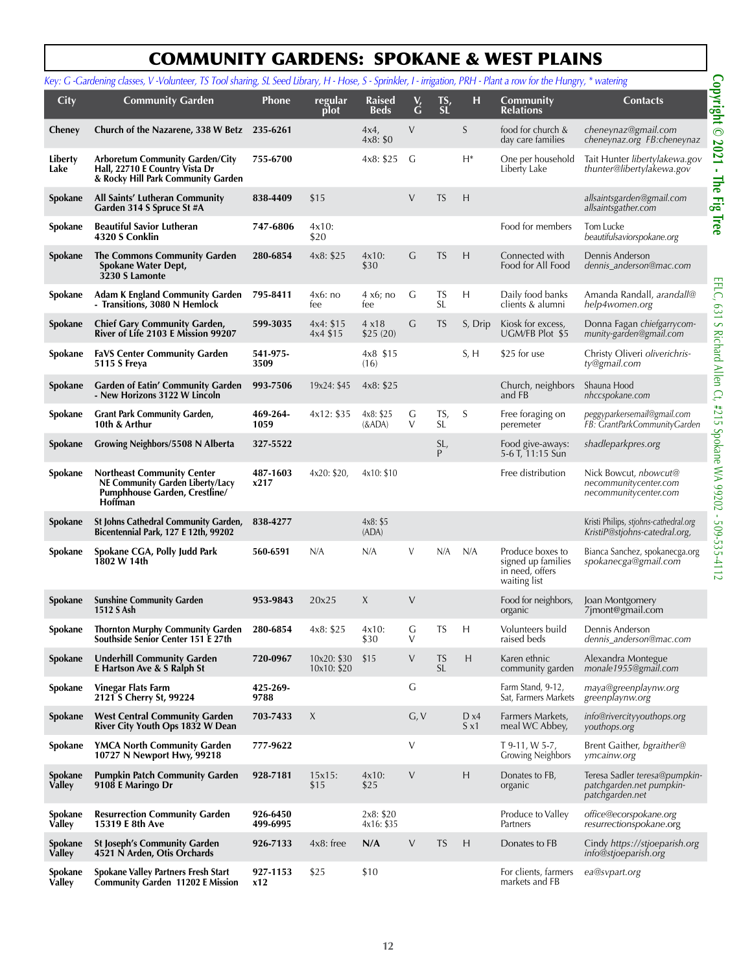## COMMUNITY GARDENS: SPOKANE & WEST PLAINS

|                          | Key: G -Gardening classes, V -Volunteer, TS Tool sharing, SL Seed Library, H - Hose, S - Sprinkler, I - irrigation, PRH - Plant a row for the Hungry, * watering |                      |                            |                              |             |                        |                      |                                                                           |                                                                              |
|--------------------------|------------------------------------------------------------------------------------------------------------------------------------------------------------------|----------------------|----------------------------|------------------------------|-------------|------------------------|----------------------|---------------------------------------------------------------------------|------------------------------------------------------------------------------|
| <b>City</b>              | <b>Community Garden</b>                                                                                                                                          | <b>Phone</b>         | regular<br>plot            | <b>Raised</b><br><b>Beds</b> | $\check{G}$ | TS,<br>SL              | н                    | Community<br><b>Relations</b>                                             | <b>Contacts</b>                                                              |
| Cheney                   | Church of the Nazarene, 338 W Betz 235-6261                                                                                                                      |                      |                            | 4x4<br>4x8: \$0              | V           |                        | S                    | food for church &<br>day care families                                    | cheneynaz@gmail.com<br>cheneynaz.org FB:cheneynaz                            |
| Liberty<br>Lake          | <b>Arboretum Community Garden/City</b><br>Hall, 22710 E Country Vista Dr<br>& Rocky Hill Park Community Garden                                                   | 755-6700             |                            | 4x8: \$25                    | G           |                        | H*                   | One per household<br>Liberty Lake                                         | Tait Hunter libertylakewa.gov<br>thunter@libertylakewa.gov                   |
| Spokane                  | All Saints' Lutheran Community<br>Garden 314 S Spruce St #A                                                                                                      | 838-4409             | \$15                       |                              | $\vee$      | <b>TS</b>              | H                    |                                                                           | allsaintsgarden@gmail.com<br>allsaintsgather.com                             |
| Spokane                  | <b>Beautiful Savior Lutheran</b><br>4320 S Conklin                                                                                                               | 747-6806             | $4x10$ :<br>\$20           |                              |             |                        |                      | Food for members                                                          | Tom Lucke<br>beautifulsaviorspokane.org                                      |
| Spokane                  | <b>The Commons Community Garden</b><br>Spokane Water Dept,<br>3230 S Lamonte                                                                                     | 280-6854             | 4x8: \$25                  | $4x10$ :<br>\$30             | G           | <b>TS</b>              | H                    | Connected with<br>Food for All Food                                       | Dennis Anderson<br>dennis_anderson@mac.com                                   |
| Spokane                  | <b>Adam K England Community Garden</b><br>- Transitions, 3080 N Hemlock                                                                                          | 795-8411             | 4x6:no<br>fee              | 4 x6; no<br>fee              | G           | TS<br><b>SL</b>        | Н                    | Daily food banks<br>clients & alumni                                      | Amanda Randall, arandall@<br>help4women.org                                  |
| Spokane                  | <b>Chief Gary Community Garden,</b><br>River of Life 2103 E Mission 99207                                                                                        | 599-3035             | 4x4: \$15<br>4x4 \$15      | 4x18<br>\$25(20)             | G           | TS                     | S, Drip              | Kiosk for excess,<br>UGM/FB Plot \$5                                      | Donna Fagan chiefgarrycom-<br>munity-garden@gmail.com                        |
| Spokane                  | <b>FaVS Center Community Garden</b><br>5115 S Freya                                                                                                              | 541-975-<br>3509     |                            | 4x8 \$15<br>(16)             |             |                        | S, H                 | \$25 for use                                                              | Christy Oliveri oliverichris-<br>ty@gmail.com                                |
| Spokane                  | <b>Garden of Eatin' Community Garden</b><br>- New Horizons 3122 W Lincoln                                                                                        | 993-7506             | 19x24: \$45                | 4x8: \$25                    |             |                        |                      | Church, neighbors<br>and FB                                               | Shauna Hood<br>nhccspokane.com                                               |
| Spokane                  | <b>Grant Park Community Garden,</b><br>10th & Arthur                                                                                                             | 469-264-<br>1059     | 4x12: \$35                 | 4x8: \$25<br>$&$ ADA $)$     | G<br>V      | TS,<br>SL.             | S                    | Free foraging on<br>peremeter                                             | peggyparkersemail@gmail.com<br>FB: GrantParkCommunityGarden                  |
| Spokane                  | Growing Neighbors/5508 N Alberta                                                                                                                                 | 327-5522             |                            |                              |             | SL,<br>P               |                      | Food give-aways:<br>5-6 T, 11:15 Sun                                      | shadleparkpres.org                                                           |
| Spokane                  | <b>Northeast Community Center</b><br><b>NE Community Garden Liberty/Lacy</b><br>Pumphhouse Garden, Crestline/<br><b>Hoffman</b>                                  | 487-1603<br>x217     | 4x20: \$20,                | 4x10: \$10                   |             |                        |                      | Free distribution                                                         | Nick Bowcut, nbowcut@<br>necommunitycenter.com<br>necommunitycenter.com      |
| Spokane                  | St Johns Cathedral Community Garden,<br>Bicentennial Park, 127 E 12th, 99202                                                                                     | 838-4277             |                            | 4x8: \$5<br>(ADA)            |             |                        |                      |                                                                           | Kristi Philips, stjohns-cathedral.org<br>KristiP@stjohns-catedral.org,       |
| Spokane                  | Spokane CGA, Polly Judd Park<br>1802 W 14th                                                                                                                      | 560-6591             | N/A                        | N/A                          | V           | N/A                    | N/A                  | Produce boxes to<br>signed up families<br>in need, offers<br>waiting list | Bianca Sanchez, spokanecga.org<br>spokanecga@gmail.com                       |
| Spokane                  | <b>Sunshine Community Garden</b><br>1512 S Ash                                                                                                                   | 953-9843             | 20x25                      | X                            | $\vee$      |                        |                      | Food for neighbors,<br>organic                                            | Joan Montgomery<br>7jmont@gmail.com                                          |
| Spokane                  | <b>Thornton Murphy Community Garden</b><br>Southside Senior Center 151 E 27th                                                                                    | 280-6854             | 4x8: \$25                  | $4x10$ :<br>\$30             | G<br>V      | TS                     | H                    | Volunteers build<br>raised beds                                           | Dennis Anderson<br>dennis anderson@mac.com                                   |
| Spokane                  | <b>Underhill Community Garden</b><br>E Hartson Ave & S Ralph St                                                                                                  | 720-0967             | 10x20: \$30<br>10x10: \$20 | \$15                         | V           | <b>TS</b><br><b>SL</b> | Н                    | Karen ethnic<br>community garden                                          | Alexandra Montegue<br>monale1955@gmail.com                                   |
| Spokane                  | Vinegar Flats Farm<br>2121 S Cherry St, 99224                                                                                                                    | 425-269-<br>9788     |                            |                              | G           |                        |                      | Farm Stand, 9-12,<br>Sat, Farmers Markets                                 | maya@greenplaynw.org<br>greenplaynw.org                                      |
| Spokane                  | <b>West Central Community Garden</b><br>River City Youth Ops 1832 W Dean                                                                                         | 703-7433             | X                          |                              | G, V        |                        | D x4<br>$S \times 1$ | Farmers Markets,<br>meal WC Abbey,                                        | info@rivercityyouthops.org<br>youthops.org                                   |
| Spokane                  | YMCA North Community Garden<br>10727 N Newport Hwy, 99218                                                                                                        | 777-9622             |                            |                              | V           |                        |                      | T 9-11, W 5-7,<br><b>Growing Neighbors</b>                                | Brent Gaither, bgraither@<br>ymcainw.org                                     |
| Spokane<br>Valley        | <b>Pumpkin Patch Community Garden</b><br>9108 E Maringo Dr                                                                                                       | 928-7181             | 15x15:<br>\$15             | $4x10$ :<br>\$25             | V           |                        | H                    | Donates to FB,<br>organic                                                 | Teresa Sadler teresa@pumpkin-<br>patchgarden.net pumpkin-<br>patchgarden.net |
| Spokane<br><b>Valley</b> | <b>Resurrection Community Garden</b><br>15319 E 8th Ave                                                                                                          | 926-6450<br>499-6995 |                            | 2x8: \$20<br>4x16: \$35      |             |                        |                      | Produce to Valley<br>Partners                                             | office@ecorspokane.org<br>resurrectionspokane.org                            |
| Spokane<br><b>Valley</b> | <b>St Joseph's Community Garden</b><br>4521 N Arden, Otis Orchards                                                                                               | 926-7133             | $4x8:$ free                | N/A                          | $\vee$      | <b>TS</b>              | H                    | Donates to FB                                                             | Cindy https://stjoeparish.org<br>info@stjoeparish.org                        |
| Spokane<br><b>Valley</b> | Spokane Valley Partners Fresh Start<br><b>Community Garden 11202 E Mission</b>                                                                                   | 927-1153<br>x12      | \$25                       | \$10                         |             |                        |                      | For clients, farmers<br>markets and FB                                    | ea@svpart.org                                                                |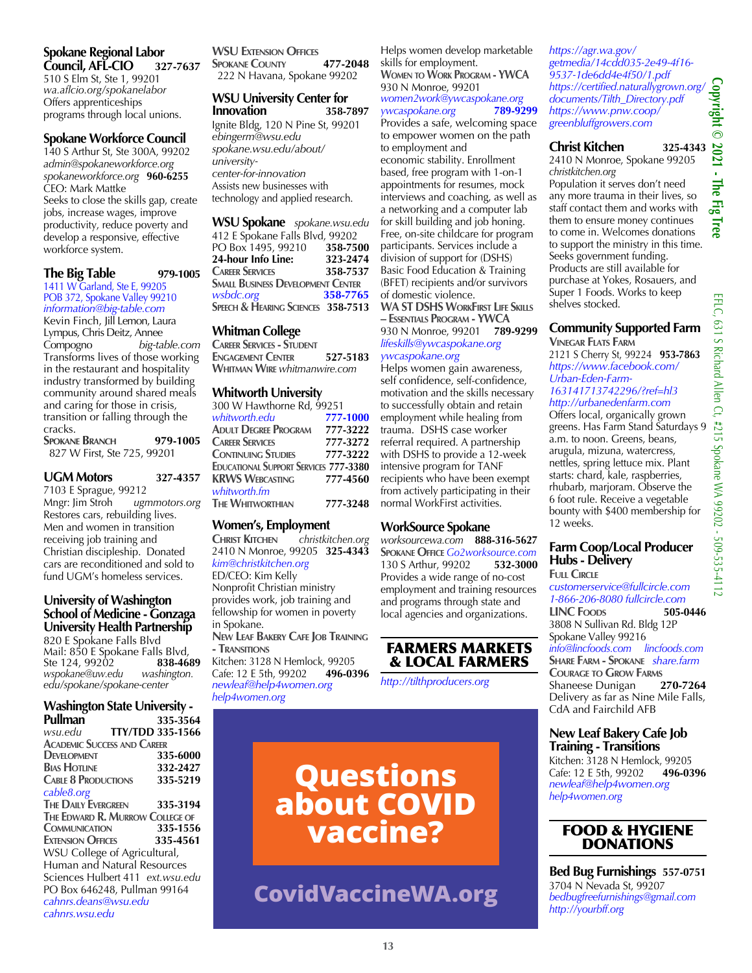#### **Spokane Regional Labor Council, AFL-CIO 327-7637**

510 S Elm St, Ste 1, 99201 *wa.aflcio.org/spokanelabor* Offers apprenticeships programs through local unions.

#### **Spokane Workforce Council**

140 S Arthur St, Ste 300A, 99202 *admin@spokaneworkforce.org spokaneworkforce.org* **960-6255** CEO: Mark Mattke Seeks to close the skills gap, create jobs, increase wages, improve productivity, reduce poverty and develop a responsive, effective workforce system.

#### **The Big Table 979-1005**

1411 W Garland, Ste E, 99205 POB 372, Spokane Valley 99210 *information@big-table.com* Kevin Finch, Jill Lemon, Laura Lympus, Chris Deitz, Annee<br>Compogno big-ta big-table.com Transforms lives of those working in the restaurant and hospitality industry transformed by building community around shared meals and caring for those in crisis, transition or falling through the cracks. **Spokane Branch 979-1005**

827 W First, Ste 725, 99201

#### **UGM Motors 327-4357**

7103 E Sprague, 99212 Mngr: Jim Stroh *ugmmotors.org* Restores cars, rebuilding lives. Men and women in transition receiving job training and Christian discipleship. Donated cars are reconditioned and sold to fund UGM's homeless services.

#### **University of Washington School of Medicine - Gonzaga University Health Partnership**

820 E Spokane Falls Blvd Mail: 850 E Spokane Falls Blvd, Ste 124, 99202 **838-468**<br>wspokane@uw.edu washington. wspokane@uw.edu *edu/spokane/spokane-center*

## **Washington State University -**

| Pullman                            | 335-3564 |
|------------------------------------|----------|
| <b>TTY/TDD 335-1566</b><br>wsu.edu |          |
| <b>ACADEMIC SUCCESS AND CAREER</b> |          |
| <b>DEVELOPMENT</b>                 | 335-6000 |
| <b>BIAS HOTLINE</b>                | 332-2427 |
| <b>CABLE 8 PRODUCTIONS</b>         | 335-5219 |
| cable8.org                         |          |
| <b>THE DAILY EVERGREEN</b>         | 335-3194 |
| THE EDWARD R. MURROW COLLEGE OF    |          |
| <b>COMMUNICATION</b>               | 335-1556 |
| <b>EXTENSION OFFICES</b>           | 335-4561 |
| WSU College of Agricultural,       |          |
| Human and Natural Resources        |          |
| Sciences Hulbert 411 ext.wsu.edu   |          |
| PO Box 646248, Pullman 99164       |          |
| cahnrs.deans@wsu.edu               |          |
| cahnrs.wsu.edu                     |          |

**WSU Extension Offices Spokane County 477-2048** 222 N Havana, Spokane 99202

#### **WSU University Center for Innovation**

Ignite Bldg, 120 N Pine St, 99201 *ebingerm@wsu.edu spokane.wsu.edu/about/ universitycenter-for-innovation* Assists new businesses with technology and applied research.

**WSU Spokane** *spokane.wsu.edu* 412 E Spokane Falls Blvd, 99202 PO Box 1495, 99210 **358-7500 24-hour Info Line: Career Services 358-7537 Small Business Development Center** *wsbdc.org* **358-7765 Speech & Hearing Sciences 358-7513**

#### **Whitman College**

**Career Services - Student Engagement Center 527-5183 Whitman Wire** *whitmanwire.com*

#### **Whitworth University**

| 300 W Hawthorne Rd, 99251                    |          |
|----------------------------------------------|----------|
| whitworth.edu                                | 777-1000 |
| ADULT DEGREE PROGRAM                         | 777-3222 |
| <b>CAREER SERVICES</b>                       | 777-3272 |
| <b>CONTINUING STUDIES</b>                    | 777-3222 |
| <b>EDUCATIONAL SUPPORT SERVICES 777-3380</b> |          |
| <b>KRWS WEBCASTING</b>                       | 777-4560 |
| whitworth.fm                                 |          |
| <b>THE WHITWORTHIAN</b>                      | 777-3248 |

**Women's, Employment**<br>CHRIST KITCHEN christkit **Christ Kitchen** *christkitchen.org* 2410 N Monroe, 99205 **325-4343**  *kim@christkitchen.org*  ED/CEO: Kim Kelly Nonprofit Christian ministry provides work, job training and fellowship for women in poverty in Spokane.

**New Leaf Bakery Cafe Job Training - Transitions** Kitchen: 3128 N Hemlock, 99205

Cafe: 12 E 5th, 99202 **496-0396** *newleaf@help4women.org help4women.org*

Helps women develop marketable skills for employment. **Women to Work Program - YWCA** 930 N Monroe, 99201 *women2work@ywcaspokane.org ywcaspokane.org* **789-9299**

Provides a safe, welcoming space to empower women on the path to employment and

economic stability. Enrollment based, free program with 1-on-1 appointments for resumes, mock interviews and coaching, as well as a networking and a computer lab for skill building and job honing. Free, on-site childcare for program participants. Services include a division of support for (DSHS) Basic Food Education & Training (BFET) recipients and/or survivors of domestic violence.

#### **WA ST DSHS WorkFirst Life Skills – Essentials Program - YWCA** 930 N Monroe, 99201 **789-9299** *lifeskills@ywcaspokane.org*

*ywcaspokane.org* Helps women gain awareness, self confidence, self-confidence, motivation and the skills necessary to successfully obtain and retain employment while healing from trauma. DSHS case worker referral required. A partnership with DSHS to provide a 12-week intensive program for TANF recipients who have been exempt from actively participating in their

#### **WorkSource Spokane**

normal WorkFirst activities.

*worksourcewa.com* **888-316-5627 Spokane Office** *Go2worksource.com* 130 S Arthur, 99202 **532-3000** Provides a wide range of no-cost employment and training resources and programs through state and local agencies and organizations.

#### FARMERS MARKETS & LOCAL FARMERS

*http://tilthproducers.org*

**Questions about COVID vaccine?** 

## **CovidVaccineWA.org**

*https://agr.wa.gov/ getmedia/14cdd035-2e49-4f16- 9537-1de6dd4e4f50/1.pdf https://certified.naturallygrown.org/ documents/Tilth\_Directory.pdf https://www.pnw.coop/ greenbluffgrowers.com*

#### **Christ Kitchen 325-4343**

2410 N Monroe, Spokane 99205 *christkitchen.org* 

Population it serves don't need any more trauma in their lives, so staff contact them and works with them to ensure money continues to come in. Welcomes donations to support the ministry in this time. Seeks government funding. Products are still available for purchase at Yokes, Rosauers, and Super 1 Foods. Works to keep shelves stocked.

#### **Community Supported Farm Vinegar Flats Farm**

2121 S Cherry St, 99224 **953-7863** *https://www.facebook.com/ Urban-Eden-Farm-163141713742296/?ref=hl3*

*http://urbanedenfarm.com* Offers local, organically grown greens. Has Farm Stand Saturdays 9 a.m. to noon. Greens, beans, arugula, mizuna, watercress, nettles, spring lettuce mix. Plant starts: chard, kale, raspberries, rhubarb, marjoram. Observe the 6 foot rule. Receive a vegetable bounty with \$400 membership for 12 weeks.

#### **Farm Coop/Local Producer Hubs - Delivery**

**Full Circle** *customerservice@fullcircle.com 1-866-206-8080 fullcircle.com*

**LINC Foods 505-0446** 3808 N Sullivan Rd. Bldg 12P Spokane Valley 99216 *info@lincfoods.com lincfoods.com* **Share Farm - Spokane** *share.farm* **Courage to Grow Farms** Shaneese Dunigan **270-7264** Delivery as far as Nine Mile Falls, CdA and Fairchild AFB

#### **New Leaf Bakery Cafe Job Training - Transitions**

Kitchen: 3128 N Hemlock, 99205 Cafe: 12 E 5th, 99202 **496-0396** *newleaf@help4women.org help4women.org*

#### FOOD & HYGIENE DONATIONS

**Bed Bug Furnishings 557-0751** 3704 N Nevada St, 99207 *bedbugfreefurnishings@gmail.com http://yourbff.org*

**Copyright © 2021 - The Fig Tree** 

2021 - The Fig

Copyright ©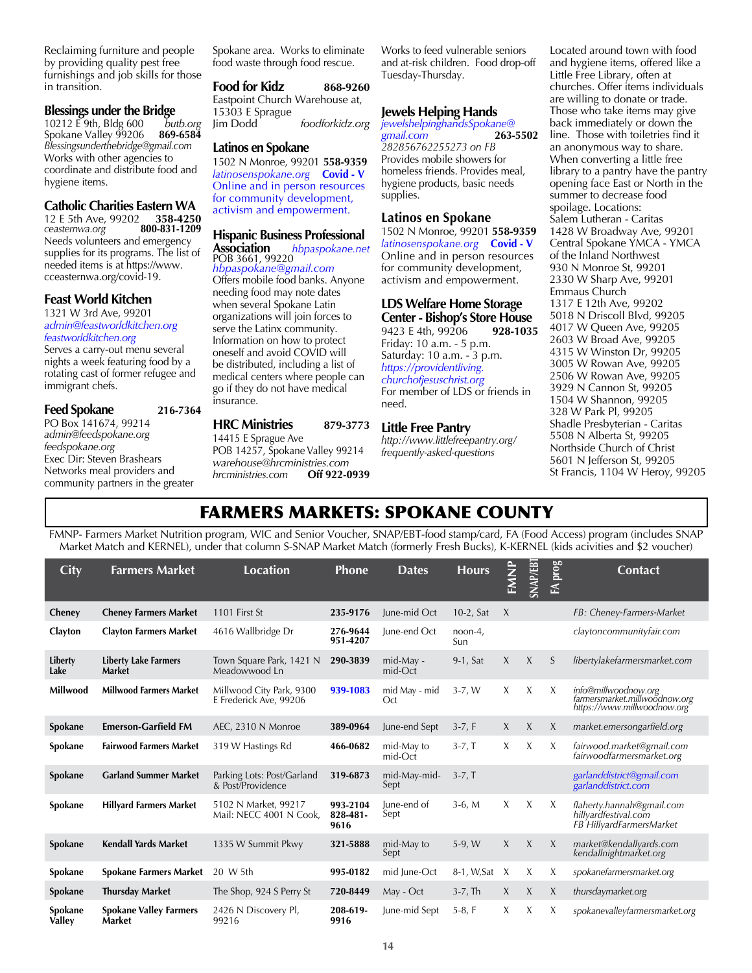Reclaiming furniture and people by providing quality pest free furnishings and job skills for those in transition.

**Blessings under the Bridge**<br>10212 E 9th, Bldg 600 butb.org 10212 E 9th, Bldg 600 *butb.org* **Spokane Valley 99206** *Blessingsunderthebridge@gmail.com* Works with other agencies to coordinate and distribute food and hygiene items.

#### **Catholic Charities Eastern WA**

12 E 5th Ave, 99202 **358-4250** *ceasternwa.org* **800-831-1209** Needs volunteers and emergency supplies for its programs. The list of needed items is at https://www. cceasternwa.org/covid-19.

#### **Feast World Kitchen**

#### 1321 W 3rd Ave, 99201 *admin@feastworldkitchen.org feastworldkitchen.org*

Serves a carry-out menu several nights a week featuring food by a rotating cast of former refugee and immigrant chefs.

#### **Feed Spokane 216-7364**

PO Box 141674, 99214 *admin@feedspokane.org feedspokane.org* Exec Dir: Steven Brashears Networks meal providers and community partners in the greater Spokane area. Works to eliminate food waste through food rescue.

**Food for Kidz 868-9260** Eastpoint Church Warehouse at, 15303 E Sprague foodforkidz.org

#### **Latinos en Spokane**

1502 N Monroe, 99201 **558-9359** *latinosenspokane.org* **Covid - V** Online and in person resources for community development, activism and empowerment.

## **Hispanic Business Professional**<br>**Association** *hbpaspokane.ne*

## **Association** *hbpaspokane.net* POB 3661, 99220

*hbpaspokane@gmail.com* Offers mobile food banks. Anyone needing food may note dates when several Spokane Latin organizations will join forces to serve the Latinx community. Information on how to protect oneself and avoid COVID will be distributed, including a list of medical centers where people can go if they do not have medical insurance.

#### **HRC Ministries 879-3773**

14415 E Sprague Ave POB 14257, Spokane Valley 99214 *warehouse@hrcministries.com*  $h$ *rcministries.com* 

Works to feed vulnerable seniors and at-risk children. Food drop-off Tuesday-Thursday.

#### **Jewels Helping Hands**

*jewelshelpinghandsSpokane@ gmail.com* **263-5502** *282856762255273 on FB* Provides mobile showers for homeless friends. Provides meal, hygiene products, basic needs supplies.

#### **Latinos en Spokane**

1502 N Monroe, 99201 **558-9359** *latinosenspokane.org* **Covid - V** Online and in person resources for community development, activism and empowerment.

#### **LDS Welfare Home Storage Center - Bishop's Store House**

9423 E 4th, 99206 **928-1035** Friday: 10 a.m. - 5 p.m. Saturday: 10 a.m. - 3 p.m. *https://providentliving. churchofjesuschrist.org* For member of LDS or friends in need.

#### **Little Free Pantry**

*http://www.littlefreepantry.org/ frequently-asked-questions*

Located around town with food and hygiene items, offered like a Little Free Library, often at churches. Offer items individuals are willing to donate or trade. Those who take items may give back immediately or down the line. Those with toiletries find it an anonymous way to share. When converting a little free library to a pantry have the pantry opening face East or North in the summer to decrease food spoilage. Locations: Salem Lutheran - Caritas 1428 W Broadway Ave, 99201 Central Spokane YMCA - YMCA of the Inland Northwest 930 N Monroe St, 99201 2330 W Sharp Ave, 99201 Emmaus Church 1317 E 12th Ave, 99202 5018 N Driscoll Blvd, 99205 4017 W Queen Ave, 99205 2603 W Broad Ave, 99205 4315 W Winston Dr, 99205 3005 W Rowan Ave, 99205 2506 W Rowan Ave, 99205 3929 N Cannon St, 99205 1504 W Shannon, 99205 328 W Park Pl, 99205 Shadle Presbyterian - Caritas 5508 N Alberta St, 99205 Northside Church of Christ 5601 N Jefferson St, 99205 St Francis, 1104 W Heroy, 99205

## FARMERS MARKETS: SPOKANE COUNTY

FMNP- Farmers Market Nutrition program, WIC and Senior Voucher, SNAP/EBT-food stamp/card, FA (Food Access) program (includes SNAP Market Match and KERNEL), under that column S-SNAP Market Match (formerly Fresh Bucks), K-KERNEL (kids acivities and \$2 voucher)

| City              | <b>Farmers Market</b>                   | <b>Location</b>                                    | <b>Phone</b>                 | <b>Dates</b>          | <b>Hours</b>      | FMNP | <b>SNAP/EBT</b> | <b>Exprog</b> | <b>Contact</b>                                                                       |
|-------------------|-----------------------------------------|----------------------------------------------------|------------------------------|-----------------------|-------------------|------|-----------------|---------------|--------------------------------------------------------------------------------------|
| Cheney            | <b>Cheney Farmers Market</b>            | 1101 First St                                      | 235-9176                     | lune-mid Oct          | $10-2$ , Sat      | X    |                 |               | FB: Cheney-Farmers-Market                                                            |
| Clayton           | <b>Clayton Farmers Market</b>           | 4616 Wallbridge Dr                                 | 276-9644<br>951-4207         | June-end Oct          | $noon-4$ ,<br>Sun |      |                 |               | claytoncommunityfair.com                                                             |
| Liberty<br>Lake   | <b>Liberty Lake Farmers</b><br>Market   | Town Square Park, 1421 N<br>Meadowwood Ln          | 290-3839                     | mid-May -<br>mid-Oct  | 9-1, Sat          | X    | X               | S             | libertylakefarmersmarket.com                                                         |
| Millwood          | <b>Millwood Farmers Market</b>          | Millwood City Park, 9300<br>E Frederick Ave, 99206 | 939-1083                     | mid May - mid<br>Oct  | $3-7$ , W         | X    | X               | X             | info@millwoodnow.org<br>farmersmarket.millwoodnow.org<br>https://www.millwoodnow.org |
| Spokane           | <b>Emerson-Garfield FM</b>              | AEC, 2310 N Monroe                                 | 389-0964                     | June-end Sept         | $3-7, F$          | X    | X               | $\chi$        | market.emersongarfield.org                                                           |
| Spokane           | <b>Fairwood Farmers Market</b>          | 319 W Hastings Rd                                  | 466-0682                     | mid-May to<br>mid-Oct | $3-7, T$          | X    | X               | X             | fairwood.market@gmail.com<br>fairwoodfarmersmarket.org                               |
| Spokane           | <b>Garland Summer Market</b>            | Parking Lots: Post/Garland<br>& Post/Providence    | 319-6873                     | mid-May-mid-<br>Sept  | $3-7, T$          |      |                 |               | garlanddistrict@gmail.com<br>garlanddistrict.com                                     |
| Spokane           | <b>Hillyard Farmers Market</b>          | 5102 N Market, 99217<br>Mail: NECC 4001 N Cook,    | 993-2104<br>828-481-<br>9616 | June-end of<br>Sept   | $3-6, M$          | X    | X               | X             | flaherty.hannah@gmail.com<br>hillyardfestival.com<br>FB HillyardFarmersMarket        |
| Spokane           | <b>Kendall Yards Market</b>             | 1335 W Summit Pkwy                                 | 321-5888                     | mid-May to<br>Sept    | $5-9, W$          | X    | $\chi$          | $\chi$        | market@kendallvards.com<br>kendallnightmarket.org                                    |
| Spokane           | <b>Spokane Farmers Market</b>           | 20 W 5th                                           | 995-0182                     | mid June-Oct          | 8-1, W, Sat       | X    | X               | X             | spokanefarmersmarket.org                                                             |
| Spokane           | <b>Thursday Market</b>                  | The Shop, 924 S Perry St                           | 720-8449                     | May - Oct             | $3-7$ , Th        | X    | X               | X             | thursdaymarket.org                                                                   |
| Spokane<br>Valley | <b>Spokane Valley Farmers</b><br>Market | 2426 N Discovery Pl,<br>99216                      | 208-619-<br>9916             | June-mid Sept         | $5-8, F$          | X    | X               | X             | spokanevalleyfarmersmarket.org                                                       |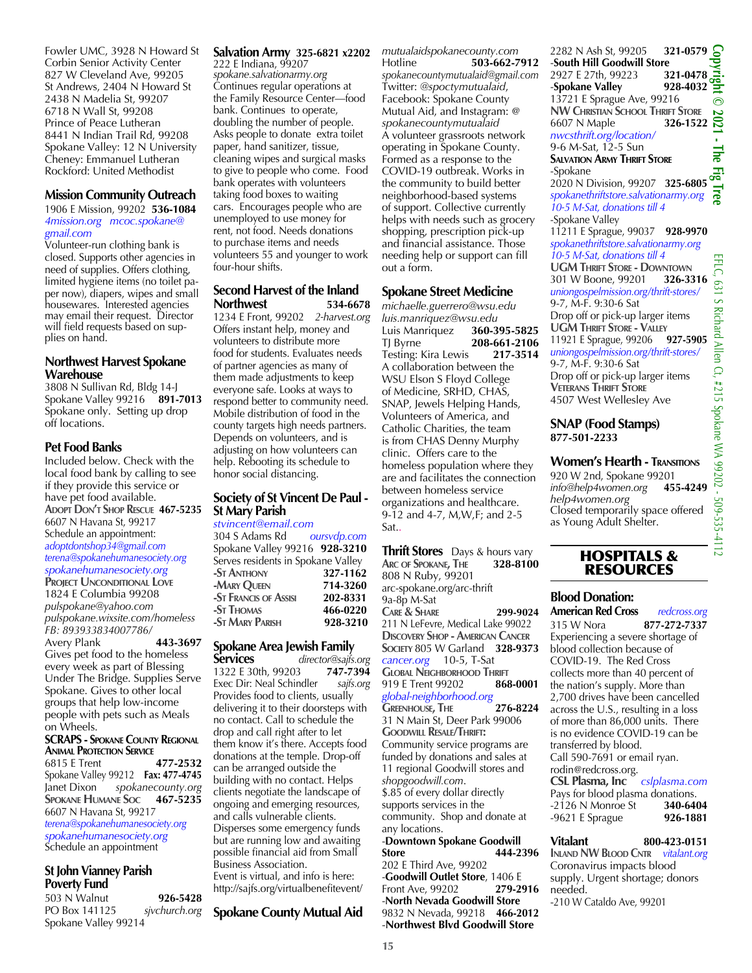Fowler UMC, 3928 N Howard St Corbin Senior Activity Center 827 W Cleveland Ave, 99205 St Andrews, 2404 N Howard St 2438 N Madelia St, 99207 6718 N Wall St, 99208 Prince of Peace Lutheran 8441 N Indian Trail Rd, 99208 Spokane Valley: 12 N University Cheney: Emmanuel Lutheran Rockford: United Methodist

#### **Mission Community Outreach**

#### 1906 E Mission, 99202 **536-1084** *4mission.org mcoc.spokane@ gmail.com*

Volunteer-run clothing bank is closed. Supports other agencies in need of supplies. Offers clothing, limited hygiene items (no toilet paper now), diapers, wipes and small housewares. Interested agencies may email their request. Director will field requests based on supplies on hand.

#### **Northwest Harvest Spokane Warehouse**

3808 N Sullivan Rd, Bldg 14-J Spokane Valley 99216 **891-7013** Spokane only. Setting up drop off locations.

#### **Pet Food Banks**

Included below. Check with the local food bank by calling to see if they provide this service or have pet food available. **Adopt Don't Shop Rescue 467-5235** 6607 N Havana St, 99217 Schedule an appointment: *adoptdontshop34@gmail.com terena@spokanehumanesociety.org spokanehumanesociety.org*

**Project Unconditional Love** 1824 E Columbia 99208 *pulspokane@yahoo.com pulspokane.wixsite.com/homeless FB: 893933834007786/* 

Avery Plank **443-3697** Gives pet food to the homeless every week as part of Blessing Under The Bridge. Supplies Serve Spokane. Gives to other local groups that help low-income people with pets such as Meals on Wheels.

#### **SCRAPS - Spokane County Regional Animal Protection Service**<br>6815 E Trent **477-2532**

6815 E Trent **477-2532** Spokane Valley 99212 **Fax: 477-4745** Janet Dixon *spokanecounty.org* **Spokane Humane Soc 467-5235** 6607 N Havana St, 99217 *terena@spokanehumanesociety.org* 

*spokanehumanesociety.org* Schedule an appointment

#### **St John Vianney Parish Poverty Fund**

503 N Walnut **926-5428** PO Box 141125 *sjvchurch.org* Spokane Valley 99214

#### **Salvation Army 325-6821 x2202** 222 E Indiana, 99207

*spokane.salvationarmy.org* Continues regular operations at the Family Resource Center—food bank. Continues to operate, doubling the number of people. Asks people to donate extra toilet paper, hand sanitizer, tissue, cleaning wipes and surgical masks to give to people who come. Food bank operates with volunteers taking food boxes to waiting cars. Encourages people who are unemployed to use money for rent, not food. Needs donations to purchase items and needs volunteers 55 and younger to work four-hour shifts.

#### **Second Harvest of the Inland Northwest 534-6678**

1234 E Front, 99202 *2-harvest.org* Offers instant help, money and volunteers to distribute more food for students. Evaluates needs of partner agencies as many of them made adjustments to keep everyone safe. Looks at ways to respond better to community need. Mobile distribution of food in the county targets high needs partners. Depends on volunteers, and is adjusting on how volunteers can help. Rebooting its schedule to honor social distancing.

#### **Society of St Vincent De Paul - St Mary Parish**

*stvincent@email.com*

| 304 S Adams Rd                     | oursvdp.com |
|------------------------------------|-------------|
| Spokane Valley 99216 928-3210      |             |
| Serves residents in Spokane Valley |             |
| -St Anthony                        | 327-1162    |
| -MARY OUEEN                        | 714-3260    |
| -St Francis of Assisi              | 202-8331    |
| -St Thomas                         | 466-0220    |
| -St Mary Parish                    | 928-3210    |
|                                    |             |

#### **Spokane Area Jewish Family**

**Services** *director@sajfs.org* 1322 E 30th, 99203 **747-7394** Exec Dir: Neal Schindler *sajfs.org* Provides food to clients, usually delivering it to their doorsteps with no contact. Call to schedule the drop and call right after to let them know it's there. Accepts food donations at the temple. Drop-off can be arranged outside the building with no contact. Helps clients negotiate the landscape of ongoing and emerging resources, and calls vulnerable clients. Disperses some emergency funds but are running low and awaiting possible financial aid from Small Business Association. Event is virtual, and info is here: http://sajfs.org/virtualbenefitevent/

#### **Spokane County Mutual Aid**

*mutualaidspokanecounty.com*  Hotline **503-662-7912** *spokanecountymutualaid@gmail.com* Twitter: *@spoctymutualaid*, Facebook: Spokane County Mutual Aid, and Instagram: @ *spokanecountymutualaid* A volunteer grassroots network operating in Spokane County. Formed as a response to the COVID-19 outbreak. Works in the community to build better neighborhood-based systems of support. Collective currently helps with needs such as grocery shopping, prescription pick-up and financial assistance. Those needing help or support can fill out a form.

#### **Spokane Street Medicine**

*michaelle.guerrero@wsu.edu luis.manriquez@wsu.edu* Luis Manriquez **360-395-5825** TJ Byrne **208-661-2106 Testing: Kira Lewis** A collaboration between the WSU Elson S Floyd College of Medicine, SRHD, CHAS, SNAP, Jewels Helping Hands, Volunteers of America, and Catholic Charities, the team is from CHAS Denny Murphy clinic. Offers care to the homeless population where they are and facilitates the connection between homeless service organizations and healthcare. 9-12 and 4-7, M,W,F; and 2-5 Sat..

**Thrift Stores** Days & hours vary **Arc of Spokane, The 328-8100** 808 N Ruby, 99201 arc-spokane.org/arc-thrift 9a-8p M-Sat **Care & Share 299-9024** 211 N LeFevre, Medical Lake 99022 **Discovery Shop - American Cancer Society** 805 W Garland **328-9373** *cancer.org* 10-5, T-Sat **GLOBAL NEIGHBORHOOD THRIFT**<br>919 E Trent 99202 **868-0001** 919 E Trent 99202 **868-0001** *global-neighborhood.org* **Greenhouse, The 276-8224** 31 N Main St, Deer Park 99006 **Goodwill Resale/Thrift:** Community service programs are funded by donations and sales at 11 regional Goodwill stores and *shopgoodwill.com*. \$.85 of every dollar directly supports services in the community. Shop and donate at any locations.

-**Downtown Spokane Goodwill Store 444-2396** 202 E Third Ave, 99202 -**Goodwill Outlet Store**, 1406 E Front Ave, 99202 **279-2916** -**North Nevada Goodwill Store** 9832 N Nevada, 99218 **466-2012** -**Northwest Blvd Goodwill Store**

2282 N Ash St, 99205 **321-0579 Copyright © 2021 - The Fig Tree** -**South Hill Goodwill Store** 2927 E 27th, 99223 **321-0478**<br> **323-4032**<br> **228-4032 -Spokane Valley** 13721 E Sprague Ave, 99216  $\odot$ **NW Christian School Thrift Store** 6607 N Maple **326-1522** *nwcsthrift.org/location/* 9-6 M-Sat, 12-5 Sun **The Salvation Army Thrift Store** -Spokane 2020 N Division, 99207 **325-6805** *spokanethriftstore.salvationarmy.org 10-5 M-Sat, donations till 4* -Spokane Valley 11211 E Sprague, 99037 **928-9970** *spokanethriftstore.salvationarmy.org 10-5 M-Sat, donations till 4* EFLC, 631 S Richard Allen Ct, #215 Spokane WA 99202 - 509-535-4112 **UGM THRIFT STORE - DOWNTOWN**<br>301 W Boone, 99201 **326-3316** 301 W Boone, 99201 **326-3316**   $-631$ *uniongospelmission.org/thrift-stores/* S Richard Allen Ct, #215 Spokane WA 99202 - 509-535-4112 9-7, M-F. 9:30-6 Sat Drop off or pick-up larger items **UGM Thrift Store - Valley** 11921 E Sprague, 99206 **927-5905** *uniongospelmission.org/thrift-stores/* 9-7, M-F. 9:30-6 Sat Drop off or pick-up larger items **Veterans Thrift Store** 4507 West Wellesley Ave

#### **SNAP (Food Stamps) 877-501-2233**

#### **Women's Hearth - Transitions**

920 W 2nd, Spokane 99201<br>info@help4women.org 455-4249 *info@help4women.org* **455-4249** *help4women.org* Closed temporarily space offered as Young Adult Shelter.

#### HOSPITALS & RESOURCES

## **Blood Donation:**

**American Red Cross** *redcross.org* 315 W Nora **877-272-7337** Experiencing a severe shortage of blood collection because of COVID-19. The Red Cross collects more than 40 percent of the nation's supply. More than 2,700 drives have been cancelled across the U.S., resulting in a loss of more than 86,000 units. There is no evidence COVID-19 can be transferred by blood. Call 590-7691 or email ryan. rodin@redcross.org. **CSL Plasma, Inc** *cslplasma.com*

Pays for blood plasma donations.<br>-2126 N Monroe St **340-6404** -2126 N Monroe St **340-6404** -9621 E Sprague

**Vitalant 800-423-0151 Inland NW Blood Cntr** *vitalant.org* Coronavirus impacts blood supply. Urgent shortage; donors needed.

-210 W Cataldo Ave, 99201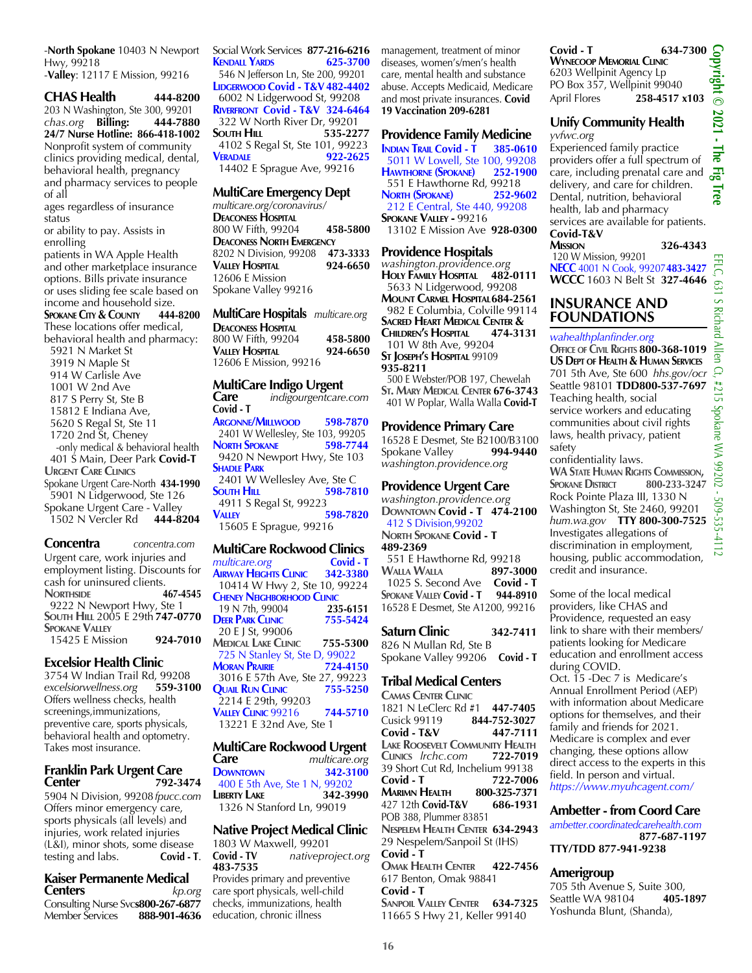-**North Spokane** 10403 N Newport Hwy, 99218 -**Valley**: 12117 E Mission, 99216

**CHAS Health 444-8200** 203 N Washington, Ste 300, 99201 *chas.org* **Billing: 444-7880 24/7 Nurse Hotline: 866-418-1002** Nonprofit system of community clinics providing medical, dental, behavioral health, pregnancy and pharmacy services to people of all ages regardless of insurance status

or ability to pay. Assists in enrolling patients in WA Apple Health and other marketplace insurance options. Bills private insurance or uses sliding fee scale based on

income and household size.<br>**SPOKANE CITY & COUNTY** 444-8200 **SPOKANE CITY & COUNTY** These locations offer medical, behavioral health and pharmacy: 5921 N Market St 3919 N Maple St 914 W Carlisle Ave 1001 W 2nd Ave 817 S Perry St, Ste B 15812 E Indiana Ave, 5620 S Regal St, Ste 11 1720 2nd St, Cheney -only medical & behavioral health 401 S Main, Deer Park **Covid-T Urgent Care Clinics** Spokane Urgent Care-North **434-1990** 5901 N Lidgerwood, Ste 126 Spokane Urgent Care - Valley 1502 N Vercler Rd **444-8204**

**Concentra** *concentra.com* Urgent care, work injuries and employment listing. Discounts for cash for uninsured clients. **NORTHSIDE 467-4545**  9222 N Newport Hwy, Ste 1 **South Hill** 2005 E 29th **747-0770 Spokane Valley** 15425 E Mission **924-7010**

#### **Excelsior Health Clinic**

3754 W Indian Trail Rd, 99208<br>excelsiorwellness.org 559-3100  $excelsiorwellness.org$ Offers wellness checks, health screenings,immunizations, preventive care, sports physicals, behavioral health and optometry. Takes most insurance.

#### **Franklin Park Urgent Care Center 792-3474**

5904 N Division, 99208 *fpucc.com* Offers minor emergency care, sports physicals (all levels) and injuries, work related injuries (L&I), minor shots, some disease<br>testing and labs. **Covid - T**. testing and labs.

#### **Kaiser Permanente Medical Centers** *kp.org*

Consulting Nurse Svc**s800-267-6877** Member Services **888-901-4636**

Social Work Services **877-216-6216 KENDALL YARDS**  546 N Jefferson Ln, Ste 200, 99201 **LIDGERWOOD Covid - T&V 482-4402**  6002 N Lidgerwood St, 99208 **Riverfront Covid - T&V 324-6464** 322 W North River Dr, 99201<br> **S35-2277 SOUTH HILL** 4102 S Regal St, Ste 101, 99223<br> **VERADALE** 922-2625 **Veradale 922-2625** 14402 E Sprague Ave, 99216

#### **MultiCare Emergency Dept**

*multicare.org/coronavirus/* **DEACONESS HOSPITAL** 800 W Fifth, 99204 **458-5800 DEACONESS NORTH EMERGENCY**<br>8202 N Division, 99208 473-3333 8202 N Division, 99208 **Valley Hospital 924-6650** 12606 E Mission Spokane Valley 99216

**MultiCare Hospitals** *multicare.org* **DEACONESS HOSPITAL** 800 W Fifth, 99204 **458-5800 Valley Hospital 924-6650** 12606 E Mission, 99216

#### **MultiCare Indigo Urgent**

**Care** *indigourgentcare.com* **Covid - T Argonne/Millwood 598-7870** 2401 W Wellesley, Ste 103, 99205<br>**NORTH SPOKANE** 598-7744 **NORTH SPOKANE**  9420 N Newport Hwy, Ste 103 **Shadle Park** 2401 W Wellesley Ave, Ste C **SOUTH HILL** 598-7810 4911 S Regal St, 99223 **Valley 598-7820** 15605 E Sprague, 99216 **MultiCare Rockwood Clinics**

*multicare.org* **Covid - T**<br>**AIRWAY HEIGHTS CLINIC** 342-3380 **AIRWAY HEIGHTS CLINIC**  10414 W Hwy 2, Ste 10, 99224 **CHENEY NEIGHBORHOOD CLINIC**  19 N 7th, 99004 **235-6151 DEER PARK CLINIC**  20 E J St, 99006 **Medical Lake Clinic 755-5300** 725 N Stanley St, Ste D, 99022<br>**AORAN PRAIRIE** 724-4150 **Moran Prairie 724-4150** 3016 E 57th Ave, Ste 27, 99223 **Quail Run Clinic 755-5250** 2214 E 29th, 99203 **Valley Clinic** 99216 **744-5710** 13221 E 32nd Ave, Ste 1

**MultiCare Rockwood Urgent Care** *multicare.org* **Downtown 342-3100** 400 E 5th Ave, Ste 1 N, 99202 **Liberty Lake 342-3990** 1326 N Stanford Ln, 99019

#### **Native Project Medical Clinic**

1803 W Maxwell, 99201<br>Covid - TV nativepro **Covid - TV** *nativeproject.org* **483-7535** Provides primary and preventive care sport physicals, well-child checks, immunizations, health education, chronic illness

management, treatment of minor diseases, women's/men's health care, mental health and substance abuse. Accepts Medicaid, Medicare and most private insurances. **Covid 19 Vaccination 209-6281**

#### **Providence Family Medicine**

**Indian Trail Covid - T 385-0610** 5011 W Lowell, Ste 100, 99208<br>**HAWTHORNE (SPOKANE)** 252-1900 **HAWTHORNE (SPOKANE)**  551 E Hawthorne Rd, 99218 **North (Spokane) 252-9602** 212 E Central, Ste 440, 99208 **Spokane Valley -** 99216 13102 E Mission Ave **928-0300**

#### **Providence Hospitals**

*washington.providence.org* **Holy Family Hospital 482-0111** 5633 N Lidgerwood, 99208 **Mount Carmel Hospital684-2561** 982 E Columbia, Colville 99114 **Sacred Heart Medical Center & Children's Hospital 474-3131** 101 W 8th Ave, 99204 **St Joseph's Hospital** 99109 **935-8211**

 500 E Webster/POB 197, Chewelah **St. Mary Medical Center 676-3743** 401 W Poplar, Walla Walla **Covid-T**

#### **Providence Primary Care**

16528 E Desmet, Ste B2100/B3100<br>Spokane Vallev **994-9440 Spokane Vallev** *washington.providence.org*

#### **Providence Urgent Care**

*washington.providence.org* **Downtown Covid - T 474-2100** 412 S Division,99202 **North Spokane Covid - T 489-2369**

 551 E Hawthorne Rd, 99218 **Walla Walla 897-3000** 1025 S. Second Ave **Covid - T SPOKANE VALLEY Covid - T** 16528 E Desmet, Ste A1200, 99216

**Saturn Clinic 342-7411** 826 N Mullan Rd, Ste B Spokane Valley 99206 **Covid - T**

#### **Tribal Medical Centers**

**Camas Center Clinic** 1821 N LeClerc Rd #1 **447-7405** Cusick 99119 **844-752-3027 Covid - T&V 447-7111 LAKE ROOSEVELT** COMMUNITY HEALTH **Clinics** *lrchc.com* **722-7019** 39 Short Cut Rd, Inchelium 99138 **Covid - T 722-7006 Marimn Health 800-325-7371**<br>427 12th Covid-T&V 686-1931 427 12th **Covid-T&V 686-1931** POB 388, Plummer 83851 **Nespelem Health Center 634-2943** 29 Nespelem/Sanpoil St (IHS) **Covid - T Omak Health Center 422-7456**

617 Benton, Omak 98841 **Covid - T Sanpoil Valley Center 634-7325**

11665 S Hwy 21, Keller 99140

#### **Covid - T** 634-7300<br>
WYNECOOP MEMORIAL CLINIC<br>
6203 Wellpinit Agency Lp<br>
PO Box 357, Wellpinit 99040<br>
April Elerec<br>
258 4517 x102 **Wynecoop Memorial Clinic** 6203 Wellpinit Agency Lp PO Box 357, Wellpinit 99040 April Flores **258-4517 x103**

#### **Unify Community Health**  *yvfwc.org*

Experienced family practice providers offer a full spectrum of care, including prenatal care and delivery, and care for children. Dental, nutrition, behavioral health, lab and pharmacy services are available for patients.

#### **Covid-T&V**

**Mission 326-4343**

 120 W Mission, 99201 **NECC** 4001 N Cook, 99207**483-3427 WCCC** 1603 N Belt St **327-4646**

#### **INSURANCE AND FOUNDATIONS**

#### *wahealthplanfinder.org*

**Office of Civil Rights 800-368-1019 US Dept of Health & Human Services** 701 5th Ave, Ste 600 *hhs.gov/ocr* Seattle 98101 **TDD800-537-7697** Teaching health, social service workers and educating communities about civil rights laws, health privacy, patient safety

confidentiality laws. **WA State Human Rights Commission, SPOKANE DISTRICT** Rock Pointe Plaza III, 1330 N Washington St, Ste 2460, 99201 *hum.wa.gov* **TTY 800-300-7525** Investigates allegations of discrimination in employment, housing, public accommodation,

credit and insurance.

Some of the local medical providers, like CHAS and Providence, requested an easy link to share with their members/ patients looking for Medicare education and enrollment access during COVID. Oct. 15 -Dec 7 is Medicare's Annual Enrollment Period (AEP) with information about Medicare options for themselves, and their family and friends for 2021. Medicare is complex and ever changing, these options allow direct access to the experts in this field. In person and virtual. *https://www.myuhcagent.com/*

#### **Ambetter - from Coord Care** *ambetter.coordinatedcarehealth.com*

 **877-687-1197 TTY/TDD 877-941-9238**

#### **Amerigroup**

705 5th Avenue S, Suite 300,<br>Seattle WA 98104 **405-1897** Seattle WA 98104 **405-1897** Yoshunda Blunt, (Shanda),

509-535-41

 $\overline{z}$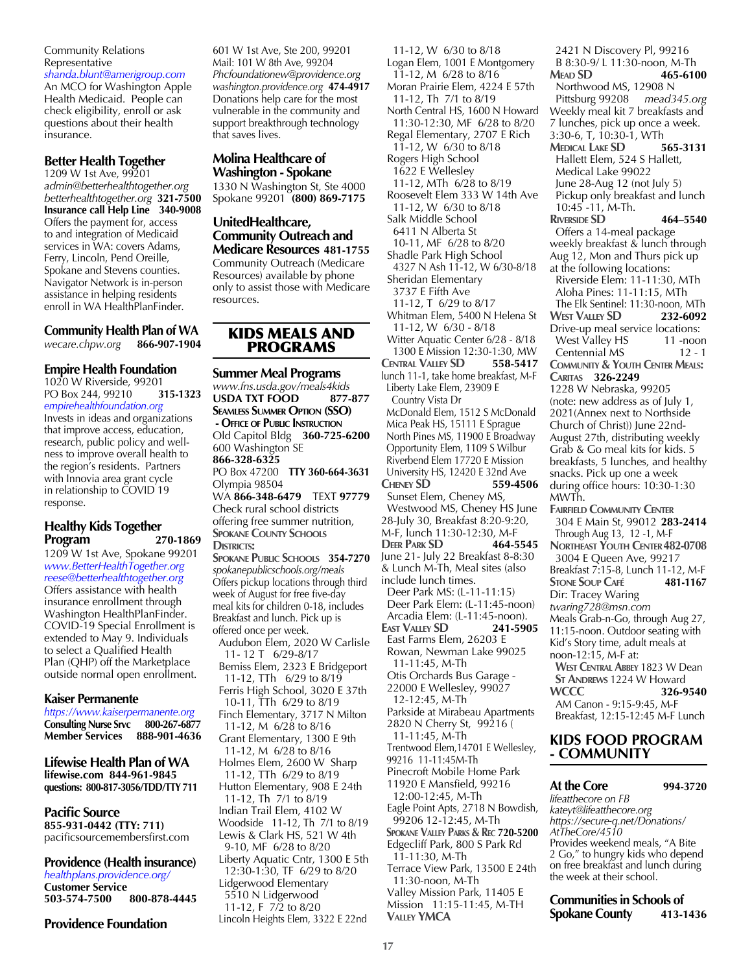#### Community Relations Representative

*shanda.blunt@amerigroup.com* An MCO for Washington Apple Health Medicaid. People can check eligibility, enroll or ask questions about their health insurance.

#### **Better Health Together**

1209 W 1st Ave, 99201 *admin@betterhealthtogether.org betterhealthtogether.org* **321-7500 Insurance call Help Line 340-9008** Offers the payment for, access to and integration of Medicaid services in WA: covers Adams, Ferry, Lincoln, Pend Oreille, Spokane and Stevens counties. Navigator Network is in-person assistance in helping residents enroll in WA HealthPlanFinder.

## **Community Health Plan of WA**

*wecare.chpw.org* **866-907-1904**

#### **Empire Health Foundation**

1020 W Riverside, 99201 PO Box 244, 99210 **315-1323** *empirehealthfoundation.org*

Invests in ideas and organizations that improve access, education, research, public policy and wellness to improve overall health to the region's residents. Partners with Innovia area grant cycle in relationship to COVID 19 response.

#### **Healthy Kids Together Program 270-1869**

1209 W 1st Ave, Spokane 99201 *www.BetterHealthTogether.org reese@betterhealthtogether.org* Offers assistance with health insurance enrollment through Washington HealthPlanFinder. COVID-19 Special Enrollment is extended to May 9. Individuals to select a Qualified Health Plan (QHP) off the Marketplace outside normal open enrollment.

#### **Kaiser Permanente**

*https://www.kaiserpermanente.org* **Consulting Nurse Srvc 800-267-6877 Member Services 888-901-4636**

**Lifewise Health Plan of WA lifewise.com 844-961-9845 questions: 800-817-3056/TDD/TTY 711**

#### **Pacific Source**

**855-931-0442 (TTY: 711)** pacificsourcemembersfirst.com

#### **Providence (Health insurance)**

*healthplans.providence.org/* **Customer Service** 503-574-7500

**Providence Foundation**

601 W 1st Ave, Ste 200, 99201 Mail: 101 W 8th Ave, 99204 *Phcfoundationew@providence.org washington.providence.org* **474-4917** Donations help care for the most vulnerable in the community and support breakthrough technology that saves lives.

#### **Molina Healthcare of Washington - Spokane**

1330 N Washington St, Ste 4000 Spokane 99201 **(800) 869-7175**

#### **UnitedHealthcare, Community Outreach and Medicare Resources 481-1755**

Community Outreach (Medicare Resources) available by phone only to assist those with Medicare resources.

#### KIDS MEALS AND PROGRAMS

#### **Summer Meal Programs**

*www.fns.usda.gov/meals4kids* **USDA TXT FOOD 877-877 Seamless Summer Option (SSO) - Office of Public Instruction** Old Capitol Bldg **360-725-6200** 600 Washington SE **866-328-6325** PO Box 47200 **TTY 360-664-3631** Olympia 98504 WA **866-348-6479** TEXT **97779** Check rural school districts offering free summer nutrition, **SPOKANE COUNTY SCHOOLS DISTRICTS: Spokane Public Schools 354-7270** *spokanepublicschools.org/meals* Offers pickup locations through third week of August for free five-day meal kits for children 0-18, includes Breakfast and lunch. Pick up is offered once per week. Audubon Elem, 2020 W Carlisle 11- 12 T 6/29-8/17 Bemiss Elem, 2323 E Bridgeport 11-12, TTh 6/29 to 8/19 Ferris High School, 3020 E 37th 10-11, TTh 6/29 to 8/19 Finch Elementary, 3717 N Milton 11-12, M 6/28 to 8/16 Grant Elementary, 1300 E 9th 11-12, M 6/28 to 8/16 Holmes Elem, 2600 W Sharp 11-12, TTh 6/29 to 8/19 Hutton Elementary, 908 E 24th 11-12, Th 7/1 to 8/19 Indian Trail Elem, 4102 W Woodside 11-12, Th 7/1 to 8/19 Lewis & Clark HS, 521 W 4th 9-10, MF 6/28 to 8/20 Liberty Aquatic Cntr, 1300 E 5th 12:30-1:30, TF 6/29 to 8/20 Lidgerwood Elementary 5510 N Lidgerwood 11-12, F 7/2 to 8/20 Lincoln Heights Elem, 3322 E 22nd

 11-12, W 6/30 to 8/18 Logan Elem, 1001 E Montgomery 11-12, M 6/28 to 8/16 Moran Prairie Elem, 4224 E 57th 11-12, Th 7/1 to 8/19 North Central HS, 1600 N Howard 11:30-12:30, MF 6/28 to 8/20 Regal Elementary, 2707 E Rich 11-12, W 6/30 to 8/18 Rogers High School 1622 E Wellesley 11-12, MTh 6/28 to 8/19 Roosevelt Elem 333 W 14th Ave 11-12, W 6/30 to 8/18 Salk Middle School 6411 N Alberta St 10-11, MF 6/28 to 8/20 Shadle Park High School 4327 N Ash 11-12, W 6/30-8/18 Sheridan Elementary 3737 E Fifth Ave 11-12, T 6/29 to 8/17 Whitman Elem, 5400 N Helena St 11-12, W 6/30 - 8/18 Witter Aquatic Center 6/28 - 8/18 1300 E Mission 12:30-1:30, MW<br>NTRAL VALLEY **SD** 55**8-5417 CENTRAL VALLEY SD** lunch 11-1, take home breakfast, M-F Liberty Lake Elem, 23909 E Country Vista Dr McDonald Elem, 1512 S McDonald Mica Peak HS, 15111 E Sprague North Pines MS, 11900 E Broadway Opportunity Elem, 1109 S Wilbur Riverbend Elem 17720 E Mission University HS, 12420 E 32nd Ave<br>CHENEY **SD** 559-4506 **CHENEY SD**  Sunset Elem, Cheney MS, Westwood MS, Cheney HS June 28-July 30, Breakfast 8:20-9:20, M-F, lunch 11:30-12:30, M-F **Deer Park SD 464-5545** June 21- July 22 Breakfast 8-8:30 & Lunch M-Th, Meal sites (also include lunch times. Deer Park MS: (L-11-11:15) Deer Park Elem: (L-11:45-noon) Arcadia Elem: (L-11:45-noon). **East Valley SD 241-5905** East Farms Elem, 26203 E Rowan, Newman Lake 99025 11-11:45, M-Th Otis Orchards Bus Garage - 22000 E Wellesley, 99027 12-12:45, M-Th Parkside at Mirabeau Apartments 2820 N Cherry St, 99216 ( 11-11:45, M-Th Trentwood Elem,14701 E Wellesley, 99216 11-11:45M-Th Pinecroft Mobile Home Park 11920 E Mansfield, 99216 12:00-12:45, M-Th Eagle Point Apts, 2718 N Bowdish, 99206 12-12:45, M-Th  **Spokane Valley Parks & Rec 720-5200** Edgecliff Park, 800 S Park Rd 11-11:30, M-Th Terrace View Park, 13500 E 24th 11:30-noon, M-Th Valley Mission Park, 11405 E Mission 11:15-11:45, M-TH  **Valley YMCA**

 2421 N Discovery Pl, 99216 B 8:30-9/ L 11:30-noon, M-Th **Mead SD 465-6100** Northwood MS, 12908 N Pittsburg 99208 *mead345.org* Weekly meal kit 7 breakfasts and 7 lunches, pick up once a week. 3:30-6, T, 10:30-1, WTh **MEDICAL LAKE SD** Hallett Elem, 524 S Hallett, Medical Lake 99022 June 28-Aug 12 (not July 5) Pickup only breakfast and lunch 10:45 -11, M-Th. **Riverside SD 464–5540** Offers a 14-meal package weekly breakfast & lunch through Aug  $12$ , Mon and Thurs pick up at the following locations: Riverside Elem: 11-11:30, MTh Aloha Pines: 11-11:15, MTh The Elk Sentinel: 11:30-noon, MTh **West Valley SD 232-6092** Drive-up meal service locations: West Valley HS 11 -noon Centennial MS 12 - 1 **Community & Youth Center Meals: Caritas 326-2249** 1228 W Nebraska, 99205 (note: new address as of July 1, 2021(Annex next to Northside Church of Christ)) June 22nd-August 27th, distributing weekly Grab & Go meal kits for kids. 5 breakfasts, 5 lunches, and healthy snacks. Pick up one a week during office hours: 10:30-1:30 MWTh. **Fairfield Community Center** 304 E Main St, 99012 **283-2414** Through Aug 13, 12 -1, M-F **Northeast Youth Center482-0708** 3004 E Queen Ave, 99217 Breakfast 7:15-8, Lunch 11-12, M-F **Stone Soup Café 481-1167** Dir: Tracey Waring *twaring728@msn.com* Meals Grab-n-Go, through Aug 27, 11:15-noon. Outdoor seating with Kid's Story time, adult meals at noon-12:15, M-F at:  **West Central Abbey** 1823 W Dean **ST ANDREWS** 1224 W Howard<br>**WCCC** 326-9 **WCCC 326-9540** AM Canon - 9:15-9:45, M-F Breakfast, 12:15-12:45 M-F Lunch

#### **KIDS FOOD PROGRAM - COMMUNITY**

## **At the Core 994-3720**

*lifeatthecore on FB kateyt@lifeatthecore.org https://secure-q.net/Donations/ AtTheCore/4510* Provides weekend meals, "A Bite 2 Go," to hungry kids who depend on free breakfast and lunch during the week at their school.

**Communities in Schools of Spokane County 413-1436**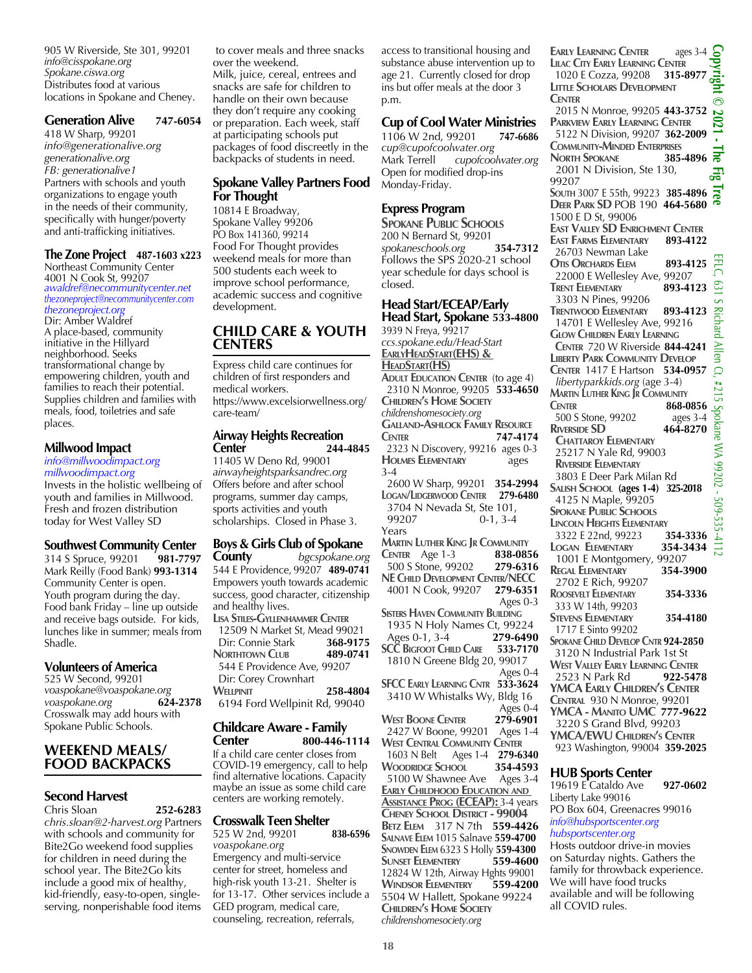905 W Riverside, Ste 301, 99201 *info@cisspokane.org Spokane.ciswa.org* Distributes food at various locations in Spokane and Cheney.

#### **Generation Alive 747-6054**

418 W Sharp, 99201 *info@generationalive.org generationalive.org FB: generationalive1* Partners with schools and youth organizations to engage youth in the needs of their community, specifically with hunger/poverty and anti-trafficking initiatives.

#### **The Zone Project 487-1603 x223**

Northeast Community Center 4001 N Cook St, 99207 *awaldref@necommunitycenter.net thezoneproject@necommunitycenter.com thezoneproject.org*

Dir: Amber Waldref A place-based, community initiative in the Hillyard neighborhood. Seeks transformational change by empowering children, youth and families to reach their potential. Supplies children and families with meals, food, toiletries and safe places.

#### **Millwood Impact**

#### *info@millwoodimpact.org millwoodimpact.org*

Invests in the holistic wellbeing of youth and families in Millwood. Fresh and frozen distribution today for West Valley SD

#### **Southwest Community Center**

314 S Spruce, 99201 **981-7797**  Mark Reilly (Food Bank) **993-1314** Community Center is open. Youth program during the day. Food bank Friday – line up outside and receive bags outside. For kids, lunches like in summer; meals from Shadle.

#### **Volunteers of America**

525 W Second, 99201 *voaspokane@voaspokane.org voaspokane.org* **624-2378** Crosswalk may add hours with Spokane Public Schools.

#### **WEEKEND MEALS/ FOOD BACKPACKS**

#### **Second Harvest**

Chris Sloan **252-6283** *chris.sloan@2-harvest.org* Partners with schools and community for Bite2Go weekend food supplies for children in need during the school year. The Bite2Go kits include a good mix of healthy, kid-friendly, easy-to-open, singleserving, nonperishable food items

 to cover meals and three snacks over the weekend.

Milk, juice, cereal, entrees and snacks are safe for children to handle on their own because they don't require any cooking or preparation. Each week, staff at participating schools put packages of food discreetly in the backpacks of students in need.

#### **Spokane Valley Partners Food For Thought**

10814 E Broadway, Spokane Valley 99206 PO Box 141360, 99214 Food For Thought provides weekend meals for more than 500 students each week to improve school performance, academic success and cognitive development.

#### **CHILD CARE & YOUTH CENTERS**

Express child care continues for children of first responders and medical workers. https://www.excelsiorwellness.org/ care-team/

#### **Airway Heights Recreation Center 244-4845**

11405 W Deno Rd, 99001 *airwayheightsparksandrec.org* Offers before and after school programs, summer day camps, sports activities and youth scholarships. Closed in Phase 3.

## **Boys & Girls Club of Spokane County** *bgcspokane.org*

544 E Providence, 99207 **489-0741** Empowers youth towards academic success, good character, citizenship and healthy lives.

**Lisa Stiles-Gyllenhammer Center** 12509 N Market St, Mead 99021<br>Dir: Connie Stark 368-9175 **Dir: Connie Stark 368-9175**<br>**NORTHTOWN CLUB** 489-0741 **NORTHTOWN CLUB**  544 E Providence Ave, 99207 Dir: Corey Crownhart **WELLPINIT** 258-4804 6194 Ford Wellpinit Rd, 99040

#### **Childcare Aware - Family Center 800-446-1114**

If a child care center closes from COVID-19 emergency, call to help find alternative locations. Capacity maybe an issue as some child care centers are working remotely.

#### **Crosswalk Teen Shelter**

525 W 2nd, 99201 **838-6596** *voaspokane.org* Emergency and multi-service center for street, homeless and high-risk youth 13-21. Shelter is for 13-17. Other services include a GED program, medical care, counseling, recreation, referrals,

access to transitional housing and substance abuse intervention up to age 21. Currently closed for drop ins but offer meals at the door 3 p.m.

#### **Cup of Cool Water Ministries**

1106 W 2nd, 99201 **747-6686** *cup@cupofcoolwater.org* Mark Terrell *cupofcoolwater.org* Open for modified drop-ins Monday-Friday.

#### **Express Program**

**Spokane Public Schools** 200 N Bernard St, 99201 *spokaneschools.org* **354-7312** Follows the SPS 2020-21 school year schedule for days school is closed.

#### **Head Start/ECEAP/Early Head Start, Spokane 533-4800**

3939 N Freya, 99217 *ccs.spokane.edu/Head-Start* **EarlyHeadStart(EHS) & HeadStart(HS) Adult Education Center** (to age 4) 2310 N Monroe, 99205 **533-4650 Children's Home Society** *childrenshomesociety.org* **Galland-Ashlock Family Resource Center 747-4174** 2323 N Discovery, 99216ages 0-3 **Holmes Elementary** ages 3-4

 2600 W Sharp, 99201 **354-2994 Logan/Lidgerwood Center 279-6480** 3704 N Nevada St, Ste 101,  $0-1, 3-4$ Years **Martin Luther King Jr Community CENTER** Age 1-3

 500 S Stone, 99202 **279-6316 NE Child Development Center/NECC** 4001 N Cook, 99207 **279-6351** Ages 0-3 **SISTERS HAVEN COMMUNITY BUILDING**  1935 N Holy Names Ct, 99224 Ages 0-1, 3-4 **279-6490 SCC BIGFOOT CHILD CARE**  1810 N Greene Bldg 20, 99017 Ages 0-4 **SFCC Early Learning Cntr 533-3624** 3410 W Whistalks Wy, Bldg 16 Ages 0-4<br>**279-6901 WEST BOONE CENTER**  2427 W Boone, 99201 Ages 1-4 **WEST CENTRAL COMMUNITY CENTER**<br>1603 N Belt Ages 1-4 279-63 Ages 1-4 **279-6340 Woodridge School 354-4593** 5100 W Shawnee Ave Ages 3-4 **Early Childhood Education and ASSISTANCE PROG (ECEAP):** 3-4 years **Cheney School District - 99004 Betz Elem** 317 N 7th **559-4426 Salnave Elem** 1015 Salnave **559-4700 SNOWDEN ELEM 6323 S Holly <b>559-4300**<br>**SUNSET ELEMENTERY** 559-4600 **SUNSET FLEMENTERY** 12824 W 12th, Airway Hghts 99001<br>WINDSOR ELEMENTERY 559-4200 **WINDSOR ELEMENTERY** 5504 W Hallett, Spokane 99224

**Copyright © 2021 - The Fig Tree Early Learning Center** ages 3-4 **Lilac City Early Learning Center** 1020 E Cozza, 99208 **315-8977 LITTLE SCHOLARS DEVELOPMENT Center** 2015 N Monroe, 99205 **443-3752 Parkview Early Learning Center** 5122 N Division, 99207 **362-2009 Community-Minded Enterprises NORTH SPOKANE**  2001 N Division, Ste 130, 묺 99207 **South** 3007 E 55th, 99223 **385-4896 Deer Park SD** POB 190 **464-5680** 1500 E D St, 99006 **East Valley SD Enrichment Center**<br>East Farms Elementary 893-4122 **EAST FARMS ELEMENTARY**  26703 Newman Lake EFLC, 631 S Richard Allen Ct, #215 Spokane WA 99202 - 509-535-4112 **Otis Orchards Elem 893-4125** 22000 E Wellesley Ave, 99207<br> **RENT ELEMENTARY** 893-4123  $\mathfrak{S}$ **TRENT ELEMENTARY**  3303 N Pines, 99206 **Richard Trentwood Elementary 893-4123** 14701 E Wellesley Ave, 99216<br>Glow Children Early Learning **Allen CENTER 720 W Riverside 844-4241 Liberty Park Community Develop Center** 1417 E Hartson **534-0957**  $\mathbb{C}$  *libertyparkkids.org* (age 3-4) 1215 **Martin Luther King Jr Community Center 868-0856** Spokane WA 99202 - 509-535-41 500 S Stone, 99202 ages 3-4<br>RIVERSIDE SD 464-8270 **RIVERSIDE SD Chattaroy Elementary** 25217 N Yale Rd, 99003  **Riverside Elementary** 3803 E Deer Park Milan Rd **Salish School (ages 1-4) 325-2018**  4125 N Maple, 99205 **SPOKANE PUBLIC SCHOOLS LINCOLN HEIGHTS ELEMENTARY**<br>3322 E 22nd, 99223 354-3336 3322 E 22nd, 99223 **354-3336 Logan Elementary 354-3434** 1001 E Montgomery, 99207<br>REGAL ELEMENTARY 354-3900 **REGAL ELEMENTARY**  2702 E Rich, 99207 **Roosevelt Elementary 354-3336** 333 W 14th, 99203 **Stevens Elementary 354-4180** 1717 E Sinto 99202 **Spokane Child Develop Cntr 924-2850** 3120 N Industrial Park 1st St **West Valley Early Learning Center** 2523 N Park Rd **922-5478 YMCA Early Children's Center Central** 930 N Monroe, 99201 **YMCA - Manito UMC 777-9622** 3220 S Grand Blvd, 99203 **YMCA/EWU Children's Center**

923 Washington, 99004 **359-2025**

#### **HUB Sports Center**

19619 E Cataldo Ave **927-0602** Liberty Lake 99016 PO Box 604, Greenacres 99016 *info@hubsportscenter.org hubsportscenter.org*

Hosts outdoor drive-in movies on Saturday nights. Gathers the family for throwback experience. We will have food trucks available and will be following all COVID rules.

**Children's Home Society**

**18**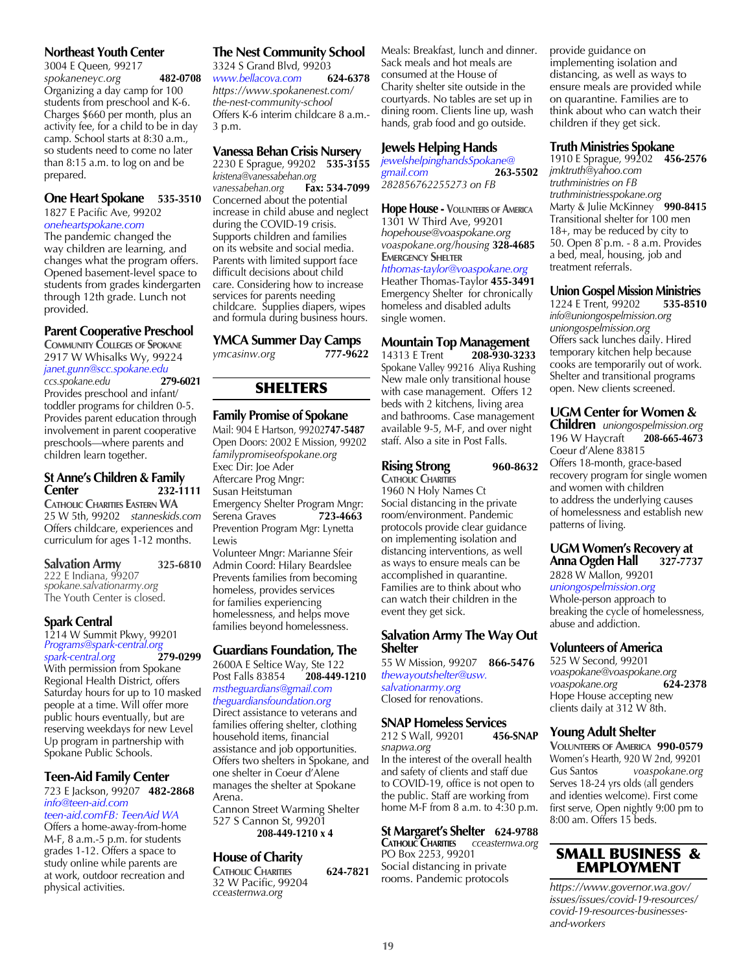#### **Northeast Youth Center**

3004 E Queen*,* 99217 *spokaneneyc.org* **482-0708** Organizing a day camp for 100 students from preschool and K-6. Charges \$660 per month, plus an activity fee, for a child to be in day camp. School starts at 8:30 a.m., so students need to come no later than 8:15 a.m. to log on and be prepared.

#### **One Heart Spokane 535-3510**

1827 E Pacific Ave, 99202 *oneheartspokane.com*

The pandemic changed the way children are learning, and changes what the program offers. Opened basement-level space to students from grades kindergarten through 12th grade. Lunch not provided.

#### **Parent Cooperative Preschool**

**Community Colleges of Spokane** 2917 W Whisalks Wy, 99224

*janet.gunn@scc.spokane.edu ccs.spokane.edu* **279-6021** Provides preschool and infant/ toddler programs for children 0-5. Provides parent education through involvement in parent cooperative preschools—where parents and children learn together.

#### **St Anne's Children & Family Center 232-1111**

**Catholic Charities Eastern WA** 25 W 5th, 99202 *stanneskids.com* Offers childcare, experiences and curriculum for ages 1-12 months.

| <b>Salvation Army</b>              | 325-6810 |
|------------------------------------|----------|
| 222 E Indiana, 9 <sup>6</sup> 9207 |          |
| spokane.salvationarmy.org          |          |
| The Youth Center is closed.        |          |

#### **Spark Central**

1214 W Summit Pkwy, 99201 *Programs@spark-central.org spark-central.org* **279-0299** With permission from Spokane Regional Health District, offers Saturday hours for up to 10 masked people at a time. Will offer more public hours eventually, but are

reserving weekdays for new Level Up program in partnership with Spokane Public Schools.

#### **Teen-Aid Family Center**

723 E Jackson, 99207 **482-2868** *info@teen-aid.com*

*teen-aid.comFB: TeenAid WA* Offers a home-away-from-home M-F, 8 a.m.-5 p.m. for students grades 1-12. Offers a space to study online while parents are at work, outdoor recreation and physical activities.

#### **The Nest Community School** 3324 S Grand Blvd, 99203 *www.bellacova.com* **624-6378** *https://www.spokanenest.com/ the-nest-community-school*

Offers K-6 interim childcare 8 a.m.- 3 p.m.

#### **Vanessa Behan Crisis Nursery**

2230 E Sprague, 99202 **535-3155** *kristena@vanessabehan.org*  $vanessabehan.org$ Concerned about the potential increase in child abuse and neglect during the COVID-19 crisis. Supports children and families on its website and social media. Parents with limited support face difficult decisions about child care. Considering how to increase services for parents needing childcare. Supplies diapers, wipes and formula during business hours.

## **YMCA Summer Day Camps**<br>vmcasinw.org **177-9622**

*ymcasinw.org* **777-9622**

#### SHELTERS

#### **Family Promise of Spokane**

Mail: 904 E Hartson, 99202**747-5487** Open Doors: 2002 E Mission, 99202 *familypromiseofspokane.org* Exec Dir: Joe Ader Aftercare Prog Mngr: Susan Heitstuman Emergency Shelter Program Mngr:<br>Serena Graves 723-4663 Serena Graves Prevention Program Mgr: Lynetta Lewis Volunteer Mngr: Marianne Sfeir

Admin Coord: Hilary Beardslee Prevents families from becoming homeless, provides services for families experiencing homelessness, and helps move families beyond homelessness.

#### **Guardians Foundation, The**

2600A E Seltice Way, Ste 122<br>Post Falls 83854 208-449-1210 **Post Falls 83854** *mstheguardians@gmail.com theguardiansfoundation.org* Direct assistance to veterans and families offering shelter, clothing household items, financial assistance and job opportunities. Offers two shelters in Spokane, and one shelter in Coeur d'Alene manages the shelter at Spokane Arena. Cannon Street Warming Shelter 527 S Cannon St, 99201

**208-449-1210 x 4**

#### **House of Charity**

**Catholic Charities 624-7821** 32 W Pacific, 99204 *cceasternwa.org*

Meals: Breakfast, lunch and dinner. Sack meals and hot meals are consumed at the House of Charity shelter site outside in the courtyards. No tables are set up in dining room. Clients line up, wash hands, grab food and go outside.

#### **Jewels Helping Hands**

*jewelshelpinghandsSpokane@ gmail.com* **263-5502** *282856762255273 on FB*

**Hope House - Volunteers of America** 1301 W Third Ave, 99201 *hopehouse@voaspokane.org voaspokane.org/housing* **328-4685 EMERGENCY SHELTER** *hthomas-taylor@voaspokane.org* Heather Thomas-Taylor **455-3491**  Emergency Shelter for chronically homeless and disabled adults single women.

## **Mountain Top Management**<br>14313 E Trent **208-930-3233**

14313 E Trent **208-930-3233** Spokane Valley 99216 Aliya Rushing New male only transitional house with case management. Offers 12 beds with 2 kitchens, living area and bathrooms. Case management available 9-5, M-F, and over night staff. Also a site in Post Falls.

#### **Rising Strong 960-8632 CATHOLIC CHARITIES**

1960 N Holy Names Ct Social distancing in the private room/environment. Pandemic protocols provide clear guidance on implementing isolation and distancing interventions, as well as ways to ensure meals can be accomplished in quarantine. Families are to think about who can watch their children in the event they get sick.

#### **Salvation Army The Way Out Shelter**

55 W Mission, 99207 **866-5476** *thewayoutshelter@usw. salvationarmy.org* Closed for renovations.

**SNAP Homeless Services**<br>212 S Wall, 99201 456-SNAP 212 S Wall, 99201 *snapwa.org* In the interest of the overall health and safety of clients and staff due to COVID-19, office is not open to the public. Staff are working from home M-F from 8 a.m. to 4:30 p.m.

#### **St Margaret's Shelter 624-9788 Catholic Charities** *cceasternwa.org*

PO Box 2253, 99201 Social distancing in private rooms. Pandemic protocols provide guidance on implementing isolation and distancing, as well as ways to ensure meals are provided while on quarantine. Families are to think about who can watch their children if they get sick.

#### **Truth Ministries Spokane**

1910 E Sprague, 99202 **456-2576** *jmktruth@yahoo.com truthministries on FB truthministriesspokane.org* Marty & Julie McKinney **990-8415** Transitional shelter for 100 men 18+, may be reduced by city to 50. Open 8`p.m. - 8 a.m. Provides a bed, meal, housing, job and treatment referrals.

## **Union Gospel Mission Ministries**<br>1224 E Trent, 99202 535-8510

1224 E Trent, 99202 **535-8510** *info@uniongospelmission.org uniongospelmission.org* Offers sack lunches daily. Hired temporary kitchen help because cooks are temporarily out of work. Shelter and transitional programs open. New clients screened.

#### **UGM Center for Women &**

**Children** *uniongospelmission.org* 196 W Haycraft Coeur d'Alene 83815 Offers 18-month, grace-based recovery program for single women and women with children to address the underlying causes of homelessness and establish new patterns of living.

#### **UGM Women's Recovery at Anna Ogden Hall 327-7737**

2828 W Mallon, 99201 *uniongospelmission.org*

Whole-person approach to breaking the cycle of homelessness, abuse and addiction.

#### **Volunteers of America**

525 W Second, 99201 *voaspokane@voaspokane.org voaspokane.org* **624-2378** Hope House accepting new clients daily at 312 W 8th.

#### **Young Adult Shelter**

**Volunteers of America 990-0579** Women's Hearth, 920 W 2nd, 99201 Gus Santos *voaspokane.org*  Serves 18-24 yrs olds (all genders and identies welcome). First come first serve, Open nightly 9:00 pm to 8:00 am. Offers 15 beds.

![](_page_18_Picture_60.jpeg)

*https://www.governor.wa.gov/ issues/issues/covid-19-resources/ covid-19-resources-businessesand-workers*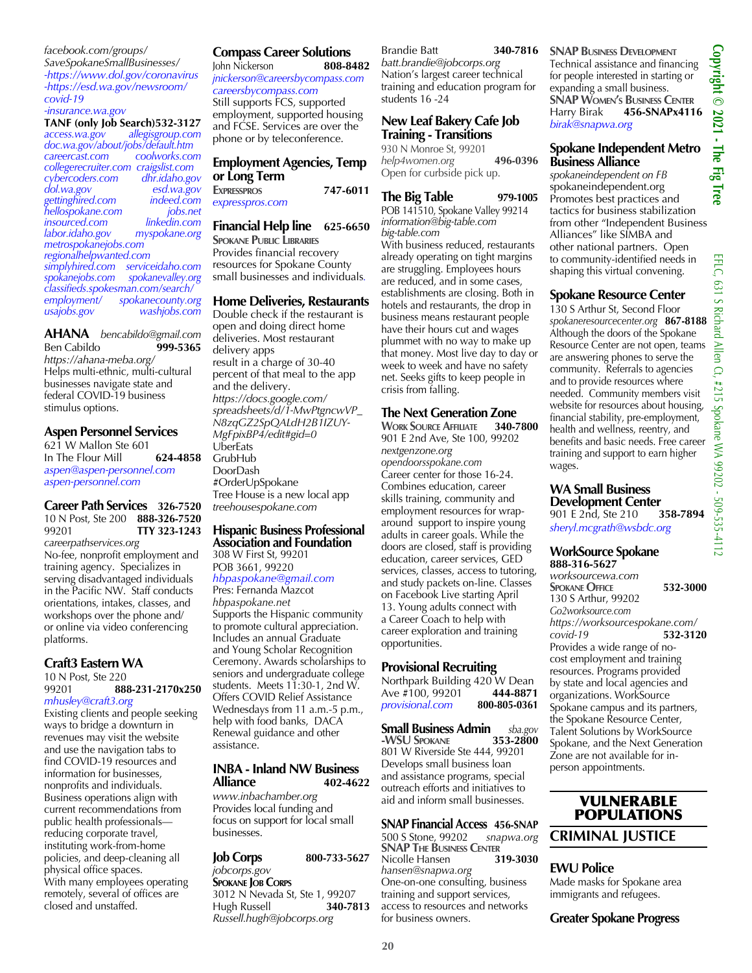*facebook.com/groups/ SaveSpokaneSmallBusinesses/ -https://www.dol.gov/coronavirus -https://esd.wa.gov/newsroom/ covid-19 -insurance.wa.gov*

**TANF (only Job Search)532-3127**<br>*access.wa.gov allegisgroup.com access.wa.gov allegisgroup.com doc.wa.gov/about/jobs/default.htm careercast.com coolworks.com collegerecruiter.com craigslist.com cybercoders.com*<br>*dol.wa.gov dol.wa.gov esd.wa.gov gettinghired.com indeed.com hellospokane.com jobs.net insourced.com linkedin.com labor.idaho.gov myspokane.org metrospokanejobs.com regionalhelpwanted.com simplyhired.com serviceidaho.com spokanejobs.com spokanevalley.org classifieds.spokesman.com/search/ employment/ spokanecounty.org usajobs.gov washjobs.com*

**AHANA** *bencabildo@gmail.com* Ben Cabildo *https://ahana-meba.org/* Helps multi-ethnic, multi-cultural businesses navigate state and federal COVID-19 business stimulus options.

#### **Aspen Personnel Services**

621 W Mallon Ste 601 In The Flour Mill **624-4858** *aspen@aspen-personnel.com aspen-personnel.com*

#### **Career Path Services 326-7520** 10 N Post, Ste 200 **888-326-7520**  99201 **TTY 323-1243**

*careerpathservices.org* No-fee, nonprofit employment and training agency. Specializes in serving disadvantaged individuals in the Pacific NW. Staff conducts orientations, intakes, classes, and workshops over the phone and/ or online via video conferencing platforms.

#### **Craft3 Eastern WA**

10 N Post, Ste 220

99201 **888-231-2170x250** *mhusley@craft3.org*

Existing clients and people seeking ways to bridge a downturn in revenues may visit the website and use the navigation tabs to find COVID-19 resources and information for businesses, nonprofits and individuals. Business operations align with current recommendations from public health professionals reducing corporate travel, instituting work-from-home policies, and deep-cleaning all physical office spaces. With many employees operating remotely, several of offices are closed and unstaffed.

## **Compass Career Solutions**<br> **John Nickerson 808-8482**

John Nickerson **808-8482**  *jnickerson@careersbycompass.com careersbycompass.com* Still supports FCS, supported employment, supported housing and FCSE. Services are over the phone or by teleconference.

#### **Employment Agencies, Temp or Long Term**

**Expresspros 747-6011**  *expresspros.com*

#### **Financial Help line 625-6650**

**Spokane Public Libraries** Provides financial recovery resources for Spokane County small businesses and individuals*.*

#### **Home Deliveries, Restaurants**

Double check if the restaurant is open and doing direct home deliveries. Most restaurant delivery apps result in a charge of 30-40 percent of that meal to the app and the delivery. *https://docs.google.com/ spreadsheets/d/1-MwPtgncwVP\_ N8zqGZ2SpQALdH2B1IZUY-MgFpixBP4/edit#gid=0* UberEats GrubHub DoorDash #OrderUpSpokane Tree House is a new local app *treehousespokane.com*

#### **Hispanic Business Professional Association and Foundation**

308 W First St, 99201 POB 3661, 99220

#### *hbpaspokane@gmail.com*

Pres: Fernanda Mazcot *hbpaspokane.net* Supports the Hispanic community to promote cultural appreciation. Includes an annual Graduate and Young Scholar Recognition Ceremony. Awards scholarships to seniors and undergraduate college students. Meets  $1\overline{1}$ :30-1, 2nd W. Offers COVID Relief Assistance Wednesdays from 11 a.m.-5 p.m., help with food banks, DACA Renewal guidance and other assistance.

#### **INBA - Inland NW Business Alliance 402-4622**

*www.inbachamber.org* Provides local funding and focus on support for local small businesses.

#### **Job Corps** 800-733-5627 *jobcorps.gov* **SPOKANE JOB CORPS** 3012 N Nevada St, Ste 1, 99207 Hugh Russell **340-7813** *Russell.hugh@jobcorps.org*

Brandie Batt **340-7816** *batt.brandie@jobcorps.org*  Nation's largest career technical training and education program for students 16 -24

#### **New Leaf Bakery Cafe Job Training - Transitions**

930 N Monroe St, 99201 *help4women.org* **496-0396** Open for curbside pick up.

#### **The Big Table 979-1005**

POB 141510, Spokane Valley 99214 *information@big-table.com big-table.com* With business reduced, restaurants already operating on tight margins are struggling. Employees hours are reduced, and in some cases, establishments are closing. Both in hotels and restaurants, the drop in business means restaurant people have their hours cut and wages plummet with no way to make up that money. Most live day to day or week to week and have no safety net. Seeks gifts to keep people in crisis from falling.

## **The Next Generation Zone**<br>WORK SOURCE AFFILIATE 340-7800

**WORK SOURCE AFFILIATE** 901 E 2nd Ave, Ste 100, 99202 *nextgenzone.org opendoorsspokane.com* Career center for those 16-24. Combines education, career skills training, community and employment resources for wraparound support to inspire young adults in career goals. While the doors are closed, staff is providing education, career services, GED services, classes, access to tutoring, and study packets on-line. Classes on Facebook Live starting April 13. Young adults connect with a Career Coach to help with career exploration and training opportunities.

#### **Provisional Recruiting**

Northpark Building 420 W Dean Ave #100, 99201 **444-8871**<br>provisional.com 800-805-0361  $provisional.com$ 

#### **Small Business Admin** *sba.gov*  **-WSU SPOKANE** 801 W Riverside Ste 444, 99201 Develops small business loan and assistance programs, special outreach efforts and initiatives to aid and inform small businesses.

#### **SNAP Financial Access 456-SNAP**

500 S Stone, 99202 *snapwa.org* **SNAP** THE BUSINESS CENTER<sup>1</sup><br>Nicolle Hansen **319-3030 Nicolle Hansen** *hansen@snapwa.org* One-on-one consulting, business training and support services, access to resources and networks for business owners.

**SNAP BUSINESS DEVELOPMENT** Technical assistance and financing for people interested in starting or expanding a small business. **SNAP Women's Business Center** Harry Birak **456-SNAPx4116** *birak@snapwa.org*

#### **Spokane Independent Metro Business Alliance**

*spokaneindependent on FB* spokaneindependent.org Promotes best practices and tactics for business stabilization from other "Independent Business Alliances" like SIMBA and other national partners. Open to community-identified needs in shaping this virtual convening.

#### **Spokane Resource Center**

130 S Arthur St, Second Floor *spokaneresourcecenter.org* **867-8188** Although the doors of the Spokane Resource Center are not open, teams are answering phones to serve the community. Referrals to agencies and to provide resources where needed. Community members visit website for resources about housing, financial stability, pre-employment, health and wellness, reentry, and benefits and basic needs. Free career training and support to earn higher wages.

## **WA Small Business**

**Development Center**<br>901 E 2nd, Ste 210 358-7894 901 E 2nd, Ste 210 *sheryl.mcgrath@wsbdc.org*

#### **WorkSource Spokane 888-316-5627**

*worksourcewa.com*  **Spokane Office 532-3000** 130 S Arthur, 99202 *Go2worksource.com https://worksourcespokane.com/ covid-19* **532-3120** Provides a wide range of nocost employment and training resources. Programs provided by state and local agencies and organizations. WorkSource Spokane campus and its partners, the Spokane Resource Center, Talent Solutions by WorkSource Spokane, and the Next Generation Zone are not available for inperson appointments.

#### VULNERABLE POPULATIONS **CRIMINAL JUSTICE**

#### **EWU Police**

Made masks for Spokane area immigrants and refugees.

**Greater Spokane Progress**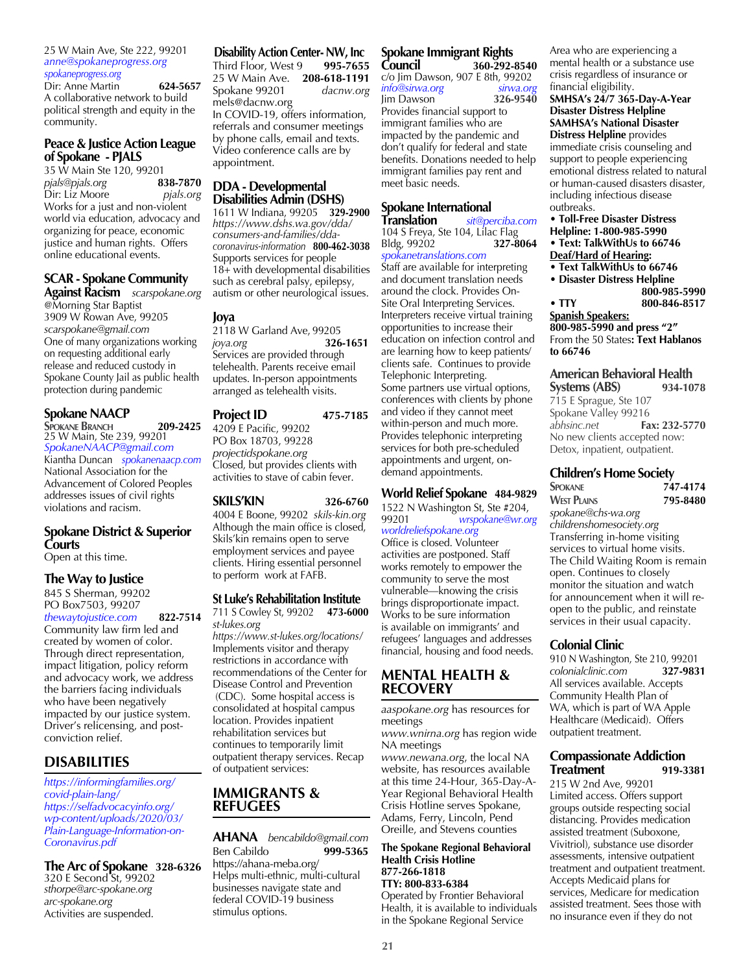25 W Main Ave, Ste 222, 99201 *anne@spokaneprogress.org spokaneprogress.org*

Dir: Anne Martin **624-5657** A collaborative network to build political strength and equity in the community.

## **Peace & Justice Action League of Spokane - PJALS**

35 W Main Ste 120, 99201<br>pials@pials.org 838-7870 *pjals@pjals.org* **838-7870** Dir: Liz Moore Works for a just and non-violent world via education, advocacy and organizing for peace, economic justice and human rights. Offers online educational events.

#### **SCAR - Spokane Community**

**Against Racism** *scarspokane.org* @Morning Star Baptist 3909 W Rowan Ave, 99205 *scarspokane@gmail.com* One of many organizations working on requesting additional early release and reduced custody in Spokane County Jail as public health protection during pandemic

#### **Spokane NAACP**

**Spokane Branch 209-2425**  25 W Main, Ste 239, 99201 *SpokaneNAACP@gmail.com* Kiantha Duncan *spokanenaacp.com* National Association for the Advancement of Colored Peoples addresses issues of civil rights violations and racism.

#### **Spokane District & Superior Courts**

Open at this time.

#### **The Way to Justice**

845 S Sherman, 99202 PO Box7503, 99207 *thewaytojustice.com* **822-7514** Community law firm led and created by women of color. Through direct representation, impact litigation, policy reform and advocacy work, we address the barriers facing individuals who have been negatively impacted by our justice system. Driver's relicensing, and postconviction relief.

#### **DISABILITIES**

*https://informingfamilies.org/ covid-plain-lang/ https://selfadvocacyinfo.org/ wp-content/uploads/2020/03/ Plain-Language-Information-on-Coronavirus.pdf*

**The Arc of Spokane 328-6326** 320 E Second St, 99202 *sthorpe@arc-spokane.org arc-spokane.org* Activities are suspended.

#### **Disability Action Center- NW, Inc**

Third Floor, West 9 **995-7655** 25 W Main Ave. **208-618-1191** Spokane 99201 *dacnw.org* mels@dacnw.org In COVID-19, offers information, referrals and consumer meetings by phone calls, email and texts. Video conference calls are by appointment.

# **DDA - Developmental Disabilities Admin (DSHS)**

1611 W Indiana, 99205 **329-2900** *https://www.dshs.wa.gov/dda/ consumers-and-families/ddacoronavirus-information* **800-462-3038** Supports services for people 18+ with developmental disabilities such as cerebral palsy, epilepsy, autism or other neurological issues.

#### **Joya**

2118 W Garland Ave, 99205 *joya.org* **326-1651** Services are provided through telehealth. Parents receive email updates. In-person appointments arranged as telehealth visits.

#### **Project ID 475-7185**

4209 E Pacific, 99202 PO Box 18703, 99228 *projectidspokane.org* Closed, but provides clients with activities to stave of cabin fever.

#### **SKILS'KIN 326-6760**

4004 E Boone, 99202 *skils-kin.org* Although the main office is closed, Skils'kin remains open to serve employment services and payee clients. Hiring essential personnel to perform work at FAFB.

#### **St Luke's Rehabilitation Institute**

711 S Cowley St, 99202 **473-6000** *st-lukes.org*

*https://www.st-lukes.org/locations/* Implements visitor and therapy restrictions in accordance with recommendations of the Center for Disease Control and Prevention (CDC). Some hospital access is consolidated at hospital campus location. Provides inpatient rehabilitation services but continues to temporarily limit outpatient therapy services. Recap of outpatient services:

#### **IMMIGRANTS & REFUGEES**

**AHANA** *bencabildo@gmail.com* **Ben Cabildo** https://ahana-meba.org/ Helps multi-ethnic, multi-cultural businesses navigate state and federal COVID-19 business stimulus options.

#### **Spokane Immigrant Rights Council 360-292-8540**

c/o Jim Dawson, 907 E 8th, 99202 *info@sirwa.org sirwa.org*  Jim Dawson **326-9540** Provides financial support to immigrant families who are impacted by the pandemic and don't qualify for federal and state benefits. Donations needed to help immigrant families pay rent and meet basic needs.

#### **Spokane International**

**Translation** *sit@perciba.com*  104 S Freya, Ste 104, Lilac Flag<br>Bldg, 99202 **327-8064** Bldg, 99202 **327-8064** *spokanetranslations.com* Staff are available for interpreting and document translation needs around the clock. Provides On-Site Oral Interpreting Services. Interpreters receive virtual training opportunities to increase their education on infection control and are learning how to keep patients/ clients safe. Continues to provide Telephonic Interpreting. Some partners use virtual options,

conferences with clients by phone and video if they cannot meet within-person and much more. Provides telephonic interpreting services for both pre-scheduled appointments and urgent, ondemand appointments.

#### **World Relief Spokane 484-9829**

1522 N Washington St, Ste #204,<br>99201 wrspokane@wr.o 99201 *wrspokane@wr.org worldreliefspokane.org* 

Office is closed. Volunteer activities are postponed. Staff works remotely to empower the community to serve the most vulnerable—knowing the crisis brings disproportionate impact. Works to be sure information is available on immigrants' and refugees' languages and addresses financial, housing and food needs.

#### **MENTAL HEALTH & RECOVERY**

*aaspokane.org* has resources for meetings

*www.wnirna.org* has region wide NA meetings

*www.newana.org*, the local NA website, has resources available at this time 24-Hour, 365-Day-A-Year Regional Behavioral Health Crisis Hotline serves Spokane, Adams, Ferry, Lincoln, Pend Oreille, and Stevens counties

#### **The Spokane Regional Behavioral Health Crisis Hotline 877-266-1818**

**TTY: 800-833-6384**  Operated by Frontier Behavioral Health, it is available to individuals in the Spokane Regional Service

Area who are experiencing a mental health or a substance use crisis regardless of insurance or financial eligibility.

#### **SMHSA's 24/7 365-Day-A-Year Disaster Distress Helpline SAMHSA's National Disaster**

**Distress Helpline** provides immediate crisis counseling and support to people experiencing emotional distress related to natural or human-caused disasters disaster, including infectious disease outbreaks.

#### **• Toll-Free Disaster Distress Helpline: 1-800-985-5990 • Text: TalkWithUs to 66746**

- **Deaf/Hard of Hearing: • Text TalkWithUs to 66746**
- **Disaster Distress Helpline** 
	- **800-985-5990**
- **TTY 800-846-8517**

#### **Spanish Speakers: 800-985-5990 and press "2"** From the 50 States**: Text Hablanos to 66746**

#### **American Behavioral Health Systems (ABS) 934-1078**

715 E Sprague, Ste 107 Spokane Valley 99216<br>abhsinc.net Fa *abhsinc.net* **Fax: 232-5770** No new clients accepted now: Detox, inpatient, outpatient.

#### **Children's Home Society**

#### **Spokane 747-4174 West Plains 795-8480** *spokane@chs-wa.org childrenshomesociety.org* Transferring in-home visiting services to virtual home visits. The Child Waiting Room is remain open. Continues to closely monitor the situation and watch for announcement when it will reopen to the public, and reinstate services in their usual capacity.

#### **Colonial Clinic**

910 N Washington, Ste 210, 99201 *colonialclinic.com* **327-9831** All services available. Accepts Community Health Plan of WA, which is part of WA Apple Healthcare (Medicaid). Offers outpatient treatment.

#### **Compassionate Addiction Treatment 919-3381**

215 W 2nd Ave, 99201 Limited access. Offers support groups outside respecting social distancing. Provides medication assisted treatment (Suboxone, Vivitriol), substance use disorder assessments, intensive outpatient treatment and outpatient treatment. Accepts Medicaid plans for services, Medicare for medication assisted treatment. Sees those with no insurance even if they do not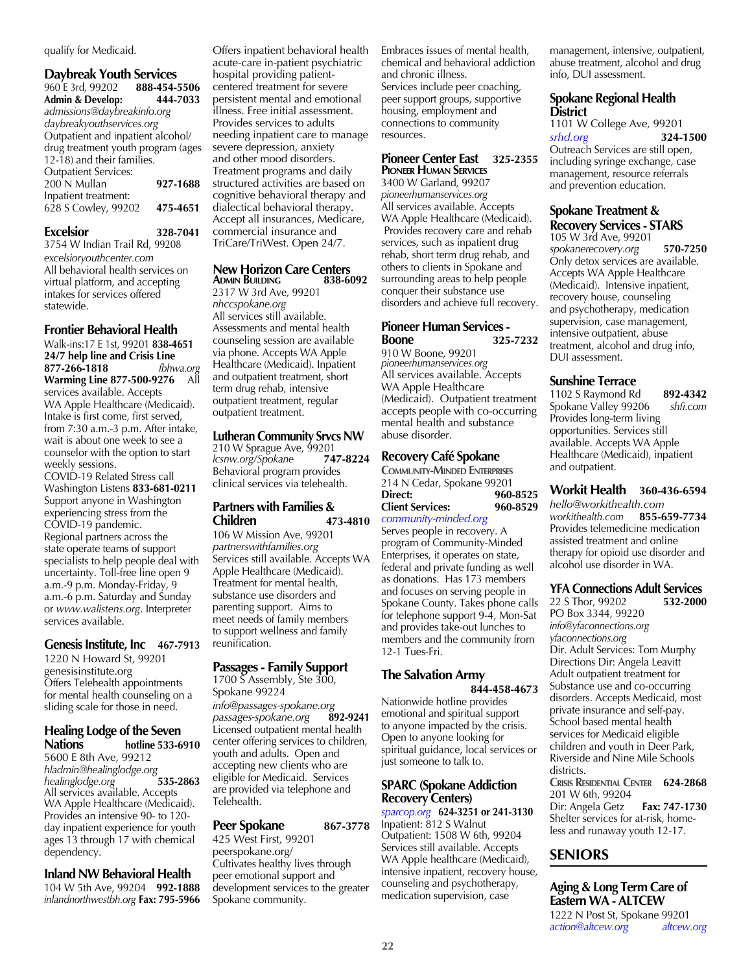qualify for Medicaid.

| <b>Daybreak Youth Services</b>                                                                                                                        |          |
|-------------------------------------------------------------------------------------------------------------------------------------------------------|----------|
| 960 E 3rd, 99202 888-454-5506                                                                                                                         |          |
| <b>Admin &amp; Develop:</b>                                                                                                                           | 444-7033 |
| admissions@daybreakinfo.org                                                                                                                           |          |
|                                                                                                                                                       |          |
|                                                                                                                                                       |          |
|                                                                                                                                                       |          |
|                                                                                                                                                       |          |
| <b>Outpatient Services:</b>                                                                                                                           |          |
|                                                                                                                                                       | 927-1688 |
| Inpatient treatment:                                                                                                                                  |          |
| 628 S Cowley, 99202                                                                                                                                   | 475-4651 |
| daybreakyouthservices.org<br>Outpatient and inpatient alcohol/<br>drug treatment youth program (ages<br>$12-18$ ) and their families.<br>200 N Mullan |          |

**Excelsior 328-7041** 3754 W Indian Trail Rd, 99208 *excelsioryouthcenter.com* All behavioral health services on virtual platform, and accepting intakes for services offered statewide.

#### **Frontier Behavioral Health**

Walk-ins:17 E 1st, 99201 **838-4651 24/7 help line and Crisis Line 877-266-1818** *fbhwa.org* **Warming Line 877-500-9276** All services available. Accepts WA Apple Healthcare (Medicaid). Intake is first come, first served, from 7:30 a.m.-3 p.m. After intake, wait is about one week to see a counselor with the option to start weekly sessions. COVID-19 Related Stress call Washington Listens **833-681-0211** Support anyone in Washington experiencing stress from the COVID-19 pandemic. Regional partners across the state operate teams of support

specialists to help people deal with uncertainty. Toll-free line open 9 a.m.-9 p.m. Monday-Friday, 9 a.m.-6 p.m. Saturday and Sunday or *www.walistens.org*. Interpreter services available.

#### **Genesis Institute, Inc 467-7913**

1220 N Howard St, 99201 genesisinstitute.org Offers Telehealth appointments for mental health counseling on a sliding scale for those in need.

#### **Healing Lodge of the Seven Nations hotline 533-6910**

5600 E 8th Ave, 99212 *hladmin@healinglodge.org healinglodge.org* **535-2863** All services available. Accepts WA Apple Healthcare (Medicaid). Provides an intensive 90- to 120 day inpatient experience for youth ages 13 through 17 with chemical dependency.

**Inland NW Behavioral Health** 104 W 5th Ave, 99204 **992-1888** *inlandnorthwestbh.org* **Fax: 795-5966** Offers inpatient behavioral health acute-care in-patient psychiatric hospital providing patientcentered treatment for severe persistent mental and emotional illness. Free initial assessment. Provides services to adults needing inpatient care to manage severe depression, anxiety and other mood disorders. Treatment programs and daily structured activities are based on cognitive behavioral therapy and dialectical behavioral therapy. Accept all insurances, Medicare, commercial insurance and TriCare/TriWest. Open 24/7.

## **New Horizon Care Centers**<br>**ADMIN BUILDING** 838-6092

**Admin Building 838-6092** 2317 W 3rd Ave, 99201 *nhccspokane.org* All services still available. Assessments and mental health counseling session are available via phone. Accepts WA Apple Healthcare (Medicaid). Inpatient and outpatient treatment, short term drug rehab, intensive outpatient treatment, regular outpatient treatment.

#### **Lutheran Community Srvcs NW**

210 W Sprague Ave, 99201<br>*Icsnw.org/Spokane* 747-8224 *lcsnw.org/Spokane* **747-8224** Behavioral program provides clinical services via telehealth.

#### **Partners with Families & Children 473-4810**

106 W Mission Ave, 99201 *partnerswithfamilies.org* Services still available. Accepts WA Apple Healthcare (Medicaid). Treatment for mental health, substance use disorders and parenting support. Aims to meet needs of family members to support wellness and family reunification.

#### **Passages - Family Support**

1700 S Assembly, Ste 300, Spokane 99224 *info@passages-spokane.org passages-spokane.org* **892-9241** Licensed outpatient mental health center offering services to children, youth and adults. Open and accepting new clients who are eligible for Medicaid. Services are provided via telephone and Telehealth.

#### **Peer Spokane** 867-3778

425 West First, 99201 peerspokane.org/ Cultivates healthy lives through peer emotional support and development services to the greater Spokane community.

Embraces issues of mental health, chemical and behavioral addiction and chronic illness. Services include peer coaching, peer support groups, supportive housing, employment and connections to community resources.

#### **Pioneer Center East 325-2355 Pioneer Human Services**

3400 W Garland, 99207 *pioneerhumanservices.org*  All services available. Accepts WA Apple Healthcare (Medicaid). Provides recovery care and rehab services, such as inpatient drug rehab, short term drug rehab, and others to clients in Spokane and surrounding areas to help people conquer their substance use disorders and achieve full recovery.

#### **Pioneer Human Services - Boone 325-7232**

910 W Boone, 99201 *pioneerhumanservices.org*  All services available. Accepts WA Apple Healthcare (Medicaid). Outpatient treatment accepts people with co-occurring mental health and substance abuse disorder.

#### **Recovery Café Spokane**

**Community-Minded Enterprises** 214 N Cedar, Spokane 99201 **Direct:** 960-8525<br> **Client Services:** 960-8529 **Client Services:** 

*community-minded.org* Serves people in recovery. A program of Community-Minded Enterprises, it operates on state, federal and private funding as well as donations. Has 173 members and focuses on serving people in Spokane County. Takes phone calls for telephone support 9-4, Mon-Sat and provides take-out lunches to members and the community from 12-1 Tues-Fri.

## **The Salvation Army**

**844-458-4673** Nationwide hotline provides emotional and spiritual support to anyone impacted by the crisis. Open to anyone looking for spiritual guidance, local services or just someone to talk to.

#### **SPARC (Spokane Addiction Recovery Centers)**

*sparcop.org* **624-3251 or 241-3130** Inpatient: 812 S Walnut Outpatient: 1508 W 6th, 99204 Services still available. Accepts WA Apple healthcare (Medicaid), intensive inpatient, recovery house, counseling and psychotherapy, medication supervision, case

management, intensive, outpatient, abuse treatment, alcohol and drug info, DUI assessment.

#### **Spokane Regional Health District**

1101 W College Ave, 99201<br>
sthd.org 324*srhd.org* **324-1500** Outreach Services are still open, including syringe exchange, case management, resource referrals and prevention education.

#### **Spokane Treatment & Recovery Services - STARS**

105 W 3rd Ave, 99201 *spokanerecovery.org* **570-7250** Only detox services are available. Accepts WA Apple Healthcare (Medicaid). Intensive inpatient, recovery house, counseling and psychotherapy, medication supervision, case management, intensive outpatient, abuse treatment, alcohol and drug info, DUI assessment.

#### **Sunshine Terrace**

1102 S Raymond Rd **892-4342** Spokane Valley 99206 *shfi.com* Provides long-term living opportunities. Services still available. Accepts WA Apple Healthcare (Medicaid), inpatient and outpatient.

#### **Workit Health 360-436-6594** *hello@workithealth.com workithealth.com* **855-659-7734** Provides telemedicine medication assisted treatment and online

therapy for opioid use disorder and alcohol use disorder in WA.

#### **YFA Connections Adult Services**

22 S Thor, 99202 **532-2000** PO Box 3344, 99220 *info@yfaconnections.org yfaconnections.org* Dir. Adult Services: Tom Murphy Directions Dir: Angela Leavitt Adult outpatient treatment for Substance use and co-occurring disorders. Accepts Medicaid, most private insurance and self-pay. School based mental health services for Medicaid eligible children and youth in Deer Park, Riverside and Nine Mile Schools districts **Crisis Residential Center 624-2868** 201 W 6th, 99204 Dir: Angela Getz **Fax: 747-1730**

Shelter services for at-risk, homeless and runaway youth 12-17.

#### **SENIORS**

**Aging & Long Term Care of Eastern WA - ALTCEW**

1222 N Post St, Spokane 99201 *action@altcew.org altcew.org*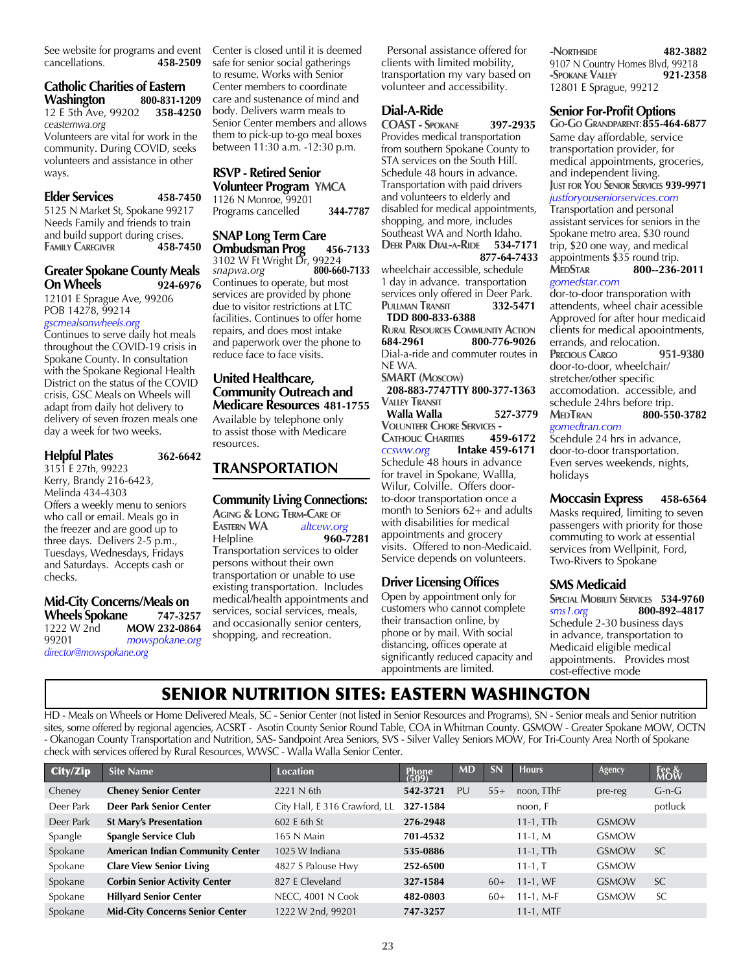See website for programs and event<br>cancellations. 458-2509 cancellations.

#### **Catholic Charities of Eastern Washington 800-831-1209** 12 E 5th Ave, 99202 **358-4250**

*ceasternwa.org*

Volunteers are vital for work in the community. During COVID, seeks volunteers and assistance in other ways.

#### **Elder Services 458-7450**

5125 N Market St, Spokane 99217 Needs Family and friends to train and build support during crises.<br>
FAMILY CAREGIVER **458-7450 FAMILY CAREGIVER** 

#### **Greater Spokane County Meals On Wheels 924-6976**

12101 E Sprague Ave, 99206 POB 14278, 99214 *gscmealsonwheels.org*

Continues to serve daily hot meals throughout the COVID-19 crisis in Spokane County. In consultation with the Spokane Regional Health District on the status of the COVID crisis, GSC Meals on Wheels will adapt from daily hot delivery to delivery of seven frozen meals one day a week for two weeks.

## **Helpful Plates 362-6642**

3151 E 27th, 99223 Kerry, Brandy 216-6423, Melinda 434-4303 Offers a weekly menu to seniors who call or email. Meals go in the freezer and are good up to three days. Delivers 2-5 p.m., Tuesdays, Wednesdays, Fridays and Saturdays. Accepts cash or checks.

#### **Mid-City Concerns/Meals on Wheels Spokane 747-3257** 1222 W 2nd **MOW 232-0864** 99201 *mowspokane.org director@mowspokane.org*

Center is closed until it is deemed safe for senior social gatherings to resume. Works with Senior Center members to coordinate care and sustenance of mind and body. Delivers warm meals to Senior Center members and allows them to pick-up to-go meal boxes between 11:30 a.m. -12:30 p.m.

#### **RSVP - Retired Senior Volunteer Program YMCA**

1126 N Monroe, 99201 Programs cancelled **344-7787**

**SNAP Long Term Care** 

**Ombudsman Prog 456-7133** 3102 W Ft Wright Dr, 99224<br>snapwa.org 800-660-7133  $snapwa.org$ Continues to operate, but most services are provided by phone due to visitor restrictions at LTC facilities. Continues to offer home repairs, and does most intake and paperwork over the phone to reduce face to face visits.

#### **United Healthcare, Community Outreach and Medicare Resources 481-1755**

Available by telephone only to assist those with Medicare resources.

#### **TRANSPORTATION**

#### **Community Living Connections:**

**Aging & Long Term-Care of Eastern WA** *altcew.org* Helpline **960-7281** Transportation services to older persons without their own transportation or unable to use existing transportation. Includes medical/health appointments and services, social services, meals, and occasionally senior centers, shopping, and recreation.

 Personal assistance offered for clients with limited mobility, transportation my vary based on volunteer and accessibility.

#### **Dial-A-Ride**

**COAST - Spokane 397-2935** Provides medical transportation from southern Spokane County to STA services on the South Hill. Schedule 48 hours in advance. Transportation with paid drivers and volunteers to elderly and disabled for medical appointments, shopping, and more, includes Southeast WA and North Idaho. **Deer Park Dial-a-Ride 534-7171 877-64-7433** wheelchair accessible, schedule 1 day in advance. transportation services only offered in Deer Park.<br>**PULLMAN TRANSIT** 332-5471 **Pullman Transit 332-5471 TDD 800-833-6388 Rural Resources Community Action 684-2961 800-776-9026** Dial-a-ride and commuter routes in NE WA. **SMART (Moscow) 208-883-7747TTY 800-377-1363 Valley Transit Walla Walla 527-3779 Volunteer Chore Services - Catholic Charities 459-6172** *ccsww.org* **Intake 459-6171**  Schedule 48 hours in advance for travel in Spokane, Wallla, Wilur, Colville. Offers doorto-door transportation once a month to Seniors 62+ and adults with disabilities for medical appointments and grocery visits. Offered to non-Medicaid. Service depends on volunteers.

#### **Driver Licensing Offices**

Open by appointment only for customers who cannot complete their transaction online, by phone or by mail. With social distancing, offices operate at significantly reduced capacity and appointments are limited.

**-Northside 482-3882** 9107 N Country Homes Blvd, 99218 **-Spokane Valley 921-2358** 12801 E Sprague, 99212

#### **Senior For-Profit Options**

**Go-Go Grandparent**:**855-464-6877**

Same day affordable, service transportation provider, for medical appointments, groceries, and independent living. **Just for You Senior Services 939-9971**

*justforyouseniorservices.com* Transportation and personal assistant services for seniors in the Spokane metro area. \$30 round trip, \$20 one way, and medical appointments \$35 round trip.<br>MEDSTAR 800-236-**MedStar 800--236-2011** *gomedstar.com*

dor-to-door transporation with attendents, wheel chair acessible Approved for after hour medicaid clients for medical apoointments, errands, and relocation.<br>**PRECIOUS CARGO** 951-9380

**PRECIOUS CARGO** door-to-door, wheelchair/ stretcher/other specific accomodation. accessible, and schedule 24hrs before trip. **MedTran 800-550-3782** *gomedtran.com*

Scehdule 24 hrs in advance, door-to-door transportation. Even serves weekends, nights, holidays

#### **Moccasin Express 458-6564**

Masks required, limiting to seven passengers with priority for those commuting to work at essential services from Wellpinit, Ford, Two-Rivers to Spokane

#### **SMS Medicaid**

**SPECIAL MOBILITY SERVICES 534-9760**<br> **800-892-4817** *sms1.org* **800-892–4817** Schedule 2-30 business days in advance, transportation to Medicaid eligible medical appointments. Provides most cost-effective mode

## SENIOR NUTRITION SITES: EASTERN WASHINGTON

HD - Meals on Wheels or Home Delivered Meals, SC - Senior Center (not listed in Senior Resources and Programs), SN - Senior meals and Senior nutrition sites, some offered by regional agencies, ACSRT - Asotin County Senior Round Table, COA in Whitman County. GSMOW - Greater Spokane MOW, OCTN - Okanogan County Transportation and Nutrition, SAS- Sandpoint Area Seniors, SVS - Silver Valley Seniors MOW, For Tri-County Area North of Spokane check with services offered by Rural Resources, WWSC - Walla Walla Senior Center.

| City/Zip  | <b>Site Name</b>                        | <b>Location</b>               | <b>Phone</b><br>(509) | <b>MD</b> | SN    | <b>Hours</b> | Agency       | Fee &<br>MOW |
|-----------|-----------------------------------------|-------------------------------|-----------------------|-----------|-------|--------------|--------------|--------------|
| Cheney    | <b>Cheney Senior Center</b>             | 2221 N 6th                    | 542-3721              | PU        | $55+$ | noon, TThF   | pre-reg      | $G-n-G$      |
| Deer Park | Deer Park Senior Center                 | City Hall, E 316 Crawford, LL | 327-1584              |           |       | noon, F      |              | potluck      |
| Deer Park | <b>St Mary's Presentation</b>           | 602 E 6th St                  | 276-2948              |           |       | $11-1$ , TTh | <b>GSMOW</b> |              |
| Spangle   | <b>Spangle Service Club</b>             | 165 N Main                    | 701-4532              |           |       | $11-1, M$    | <b>GSMOW</b> |              |
| Spokane   | <b>American Indian Community Center</b> | 1025 W Indiana                | 535-0886              |           |       | $11-1$ , TTh | <b>GSMOW</b> | <b>SC</b>    |
| Spokane   | <b>Clare View Senior Living</b>         | 4827 S Palouse Hwy            | 252-6500              |           |       | $11 - 1, T$  | <b>GSMOW</b> |              |
| Spokane   | <b>Corbin Senior Activity Center</b>    | 827 E Cleveland               | 327-1584              |           | $60+$ | $11-1$ , WF  | <b>GSMOW</b> | <b>SC</b>    |
| Spokane   | <b>Hillyard Senior Center</b>           | NECC, 4001 N Cook             | 482-0803              |           | $60+$ | $11-1$ , M-F | <b>GSMOW</b> | <b>SC</b>    |
| Spokane   | <b>Mid-City Concerns Senior Center</b>  | 1222 W 2nd, 99201             | 747-3257              |           |       | $11-1$ , MTF |              |              |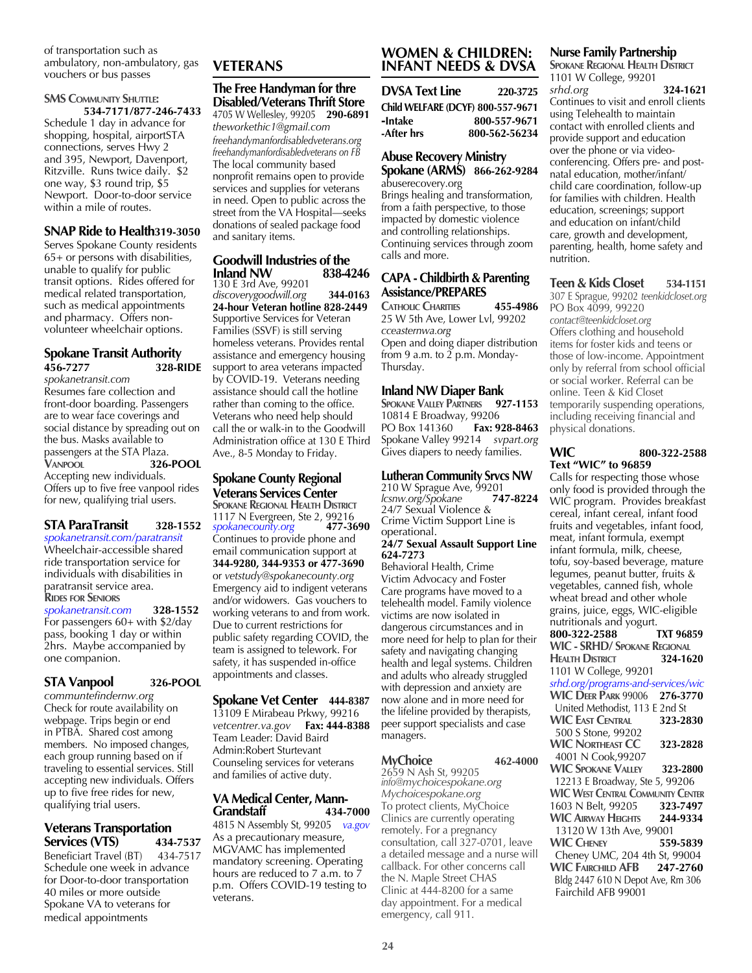of transportation such as ambulatory, non-ambulatory, gas vouchers or bus passes

#### **SMS COMMUNITY SHUTTLE: 534-7171/877-246-7433**

Schedule 1 day in advance for shopping, hospital, airportSTA connections, serves Hwy 2 and 395, Newport, Davenport, Ritzville. Runs twice daily. \$2 one way, \$3 round trip, \$5 Newport. Door-to-door service within a mile of routes.

#### **SNAP Ride to Health319-3050**

Serves Spokane County residents 65+ or persons with disabilities, unable to qualify for public transit options. Rides offered for medical related transportation, such as medical appointments and pharmacy. Offers nonvolunteer wheelchair options.

#### **Spokane Transit Authority 456-7277 328-RIDE**

*spokanetransit.com* Resumes fare collection and front-door boarding. Passengers are to wear face coverings and social distance by spreading out on the bus. Masks available to passengers at the STA Plaza.<br>VANPOOL 326 **Vanpool 326-POOL** Accepting new individuals. Offers up to five free vanpool rides for new, qualifying trial users.

#### **STA ParaTransit 328-1552**

*spokanetransit.com/paratransit* Wheelchair-accessible shared ride transportation service for individuals with disabilities in paratransit service area. **Rides for Seniors**

*spokanetransit.com* **328-1552** For passengers 60+ with \$2/day pass, booking 1 day or within 2hrs. Maybe accompanied by one companion.

#### **STA Vanpool 326-POOL**

*communtefindernw.org* Check for route availability on webpage. Trips begin or end in PTBA. Shared cost among members. No imposed changes, each group running based on if traveling to essential services. Still accepting new individuals. Offers up to five free rides for new, qualifying trial users.

#### **Veterans Transportation Services (VTS) 434-7537**

Beneficiart Travel (BT) 434-7517 Schedule one week in advance for Door-to-door transportation 40 miles or more outside Spokane VA to veterans for medical appointments

## **VETERANS**

#### **The Free Handyman for thre Disabled/Veterans Thrift Store** 4705 W Wellesley, 99205 **290-6891**

*theworkethic1@gmail.com freehandymanfordisabledveterans.org freehandymanfordisabledveterans on FB*  The local community based nonprofit remains open to provide services and supplies for veterans in need. Open to public across the street from the VA Hospital—seeks donations of sealed package food and sanitary items.

#### **Goodwill Industries of the Inland NW**

130 E 3rd Ave, 99201 *discoverygoodwill.org* **344-0163 24-hour Veteran hotline 828-2449**  Supportive Services for Veteran Families (SSVF) is still serving homeless veterans. Provides rental assistance and emergency housing support to area veterans impacted by COVID-19. Veterans needing assistance should call the hotline rather than coming to the office. Veterans who need help should call the or walk-in to the Goodwill Administration office at 130 E Third Ave., 8-5 Monday to Friday.

#### **Spokane County Regional Veterans Services Center**

**SPOKANE REGIONAL HEALTH DISTRICT** 1117 N Evergreen, Ste 2, 99216<br>spokanecounty.org **477-3690** *spokanecounty.org* **477-3690** Continues to provide phone and email communication support at **344-9280, 344-9353 or 477-3690**  or *vetstudy@spokanecounty.org* Emergency aid to indigent veterans and/or widowers. Gas vouchers to working veterans to and from work. Due to current restrictions for public safety regarding COVID, the team is assigned to telework. For safety, it has suspended in-office appointments and classes.

#### **Spokane Vet Center 444-8387**

13109 E Mirabeau Prkwy, 99216 *vetcentrer.va.gov* **Fax: 444-8388** Team Leader: David Baird Admin:Robert Sturtevant Counseling services for veterans and families of active duty.

#### **VA Medical Center, Mann-Grandstaff 434-7000**

4815 N Assembly St, 99205 *va.gov* As a precautionary measure, MGVAMC has implemented mandatory screening. Operating hours are reduced to 7 a.m. to 7 p.m. Offers COVID-19 testing to veterans.

#### **WOMEN & CHILDREN: INFANT NEEDS & DVSA**

**DVSA Text Line 220-3725 Child WELFARE (DCYF) 800-557-9671** -**Intake 800-557-9671 -After hrs 800-562-56234**

#### **Abuse Recovery Ministry Spokane (ARMS) 866-262-9284**

abuserecovery.org Brings healing and transformation, from a faith perspective, to those impacted by domestic violence and controlling relationships. Continuing services through zoom calls and more.

#### **CAPA - Childbirth & Parenting Assistance/PREPARES**

**Catholic Charities 455-4986** 25 W 5th Ave, Lower Lvl, 99202 *cceasternwa.org* Open and doing diaper distribution from 9 a.m. to  $2$  p.m. Monday-Thursday.

#### **Inland NW Diaper Bank**

**Spokane Valley Partners 927-1153** 10814 E Broadway, 99206 PO Box 141360 **Fax: 928-8463** Spokane Valley 99214 *svpart.org* Gives diapers to needy families.

#### **Lutheran Community Srvcs NW**

210 W Sprague Ave, 99201<br>*Icsnw.org/Spokane* 747-8224 *lcsnw.org/Spokane* **747-8224** 24/7 Sexual Violence & Crime Victim Support Line is operational.

#### **24/7 Sexual Assault Support Line 624-7273**

Behavioral Health, Crime Victim Advocacy and Foster Care programs have moved to a telehealth model. Family violence victims are now isolated in dangerous circumstances and in more need for help to plan for their safety and navigating changing health and legal systems. Children and adults who already struggled with depression and anxiety are now alone and in more need for the lifeline provided by therapists, peer support specialists and case managers.

#### **MyChoice 462-4000**

2659 N Ash St, 99205 *info@mychoicespokane.org Mychoicespokane.org* To protect clients, MyChoice Clinics are currently operating remotely. For a pregnancy consultation, call 327-0701, leave a detailed message and a nurse will callback. For other concerns call the N. Maple Street CHAS Clinic at 444-8200 for a same day appointment. For a medical emergency, call 911.

#### **Nurse Family Partnership**

**SPOKANE REGIONAL HEALTH DISTRICT** 1101 W College, 99201 *srhd.org* **324-1621** Continues to visit and enroll clients using Telehealth to maintain contact with enrolled clients and provide support and education over the phone or via videoconferencing. Offers pre- and postnatal education, mother/infant/ child care coordination, follow-up for families with children. Health education, screenings; support and education on infant/child care, growth and development, parenting, health, home safety and nutrition.

## **Teen & Kids Closet 534-1151**

307 E Sprague, 99202 *teenkidcloset.org* PO Box 4099, 99220 *contact@teenkidcloset.org* Offers clothing and household items for foster kids and teens or those of low-income. Appointment only by referral from school official or social worker. Referral can be online. Teen & Kid Closet temporarily suspending operations, including receiving financial and physical donations.

#### **WIC 800-322-2588 Text "WIC" to 96859**

Calls for respecting those whose only food is provided through the WIC program. Provides breakfast cereal, infant cereal, infant food fruits and vegetables, infant food, meat, infant formula, exempt infant formula, milk, cheese, tofu, soy-based beverage, mature legumes, peanut butter, fruits & vegetables, canned fish, whole wheat bread and other whole grains, juice, eggs, WIC-eligible nutritionals and yogurt.<br>800-322-2588 TXT 96859 **800-322-2588 WIC - SRHD/ Spokane Regional Health District 324-1620** 1101 W College, 99201 *srhd.org/programs-and-services/wic* **WIC Deer Park** 99006 **276-3770** United Methodist, 113 E 2nd St **WIC East Central 323-2830** 500 S Stone, 99202 **WIC Northeast CC 323-2828** 4001 N Cook,99207 **WIC Spokane Valley 323-2800** 12213 E Broadway, Ste 5, 99206 **WIC West Central Community Center** 1603 N Belt, 99205 **323-7497 WIC AIRWAY HEIGHTS**  13120 W 13th Ave, 99001 **WIC Cheney 559-5839** Cheney UMC, 204 4th St, 99004 **WIC Fairchild AFB 247-2760** Bldg 2447 610 N Depot Ave, Rm 306 Fairchild AFB 99001